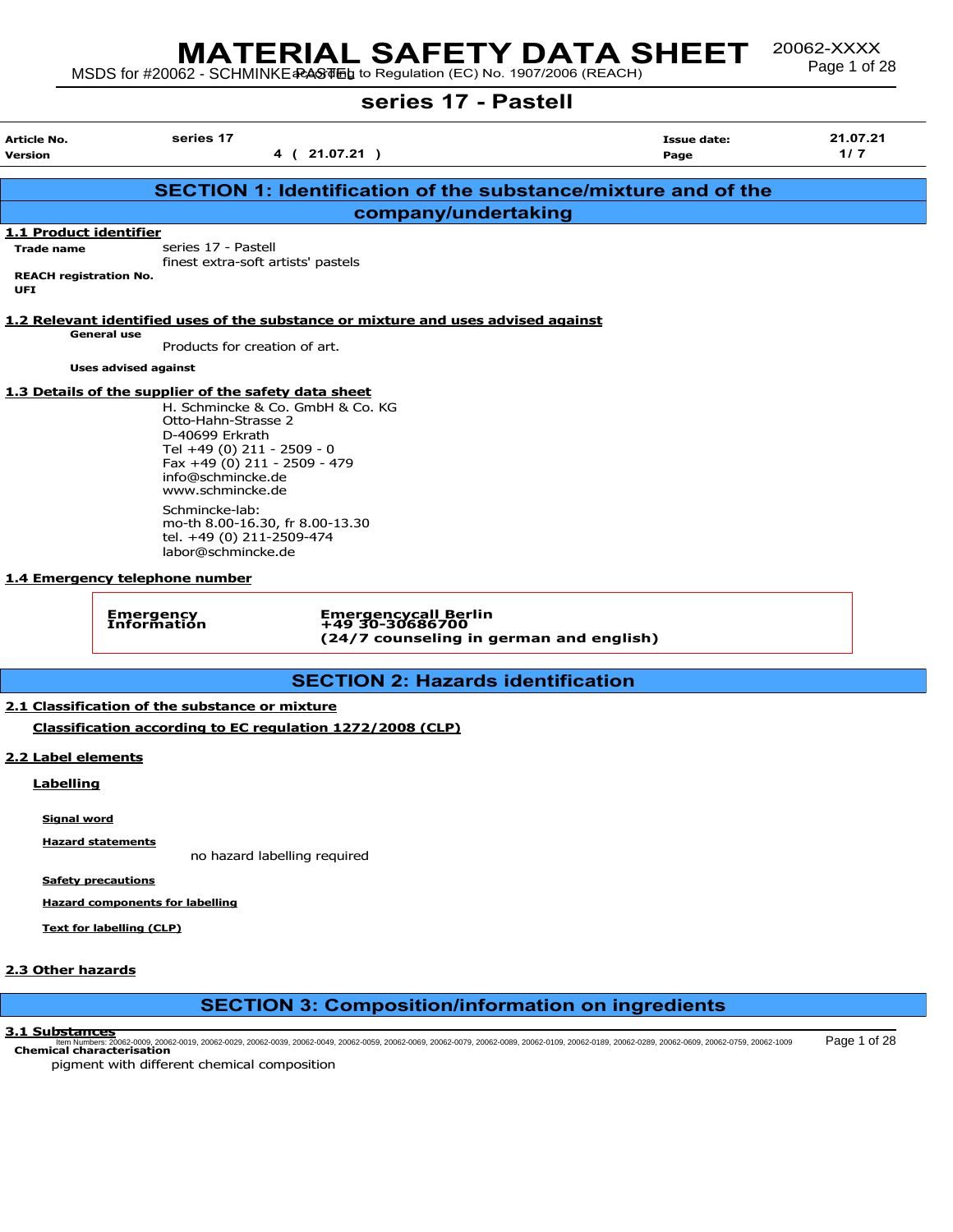# MATERIAL SAFETY DATA SHEET <sup>20062-XXXX</sup><br>MSDS for #20062 - SCHMINKE RASTIFLE to Regulation (EC) No. 1907/2006 (REACH)

20062-XXXX<br>Page 1 of 28

# series 17 - Pastell

|                                       |                                                                                                                                                                                                                                                                            | 561165 <i>11 -</i> Lasigii                                                         |                                                                      |                 |
|---------------------------------------|----------------------------------------------------------------------------------------------------------------------------------------------------------------------------------------------------------------------------------------------------------------------------|------------------------------------------------------------------------------------|----------------------------------------------------------------------|-----------------|
| Article No.<br>Version                | series 17                                                                                                                                                                                                                                                                  | 4 ( 21.07.21 )                                                                     | Issue date:<br>Page                                                  | 21.07.21<br>1/7 |
|                                       |                                                                                                                                                                                                                                                                            |                                                                                    | <b>SECTION 1: Identification of the substance/mixture and of the</b> |                 |
|                                       |                                                                                                                                                                                                                                                                            | company/undertaking                                                                |                                                                      |                 |
| 1.1 Product identifier                |                                                                                                                                                                                                                                                                            |                                                                                    |                                                                      |                 |
| <b>Trade name</b>                     | series 17 - Pastell                                                                                                                                                                                                                                                        |                                                                                    |                                                                      |                 |
|                                       |                                                                                                                                                                                                                                                                            | finest extra-soft artists' pastels                                                 |                                                                      |                 |
| <b>REACH registration No.</b><br>UFI. |                                                                                                                                                                                                                                                                            |                                                                                    |                                                                      |                 |
|                                       |                                                                                                                                                                                                                                                                            | 1.2 Relevant identified uses of the substance or mixture and uses advised against  |                                                                      |                 |
|                                       | <b>General use</b><br>Products for creation of art.                                                                                                                                                                                                                        |                                                                                    |                                                                      |                 |
|                                       |                                                                                                                                                                                                                                                                            |                                                                                    |                                                                      |                 |
|                                       | <b>Uses advised against</b>                                                                                                                                                                                                                                                |                                                                                    |                                                                      |                 |
|                                       | 1.3 Details of the supplier of the safety data sheet<br>Otto-Hahn-Strasse 2<br>D-40699 Erkrath<br>Tel +49 (0) 211 - 2509 - 0<br>Fax +49 (0) 211 - 2509 - 479<br>info@schmincke.de<br>www.schmincke.de<br>Schmincke-lab:<br>tel. +49 (0) 211-2509-474<br>labor@schmincke.de | H. Schmincke & Co. GmbH & Co. KG<br>mo-th 8.00-16.30, fr 8.00-13.30                |                                                                      |                 |
|                                       | 1.4 Emergency telephone number                                                                                                                                                                                                                                             |                                                                                    |                                                                      |                 |
|                                       | Emergency<br>Information                                                                                                                                                                                                                                                   | Emergencycall Berlin<br>+49 30-30686700<br>(24/7 counseling in german and english) |                                                                      |                 |
|                                       |                                                                                                                                                                                                                                                                            | <b>SECTION 2: Hazards identification</b>                                           |                                                                      |                 |

## 2.1 Classification of the substance or mixture

Classification according to EC regulation 1272/2008 (CLP)

## 2.2 Label elements

Labelling

Signal word

Hazard statements

no hazard labelling required

Safety precautions

Hazard components for labelling

Text for labelling (CLP)

## 2.3 Other hazards

# SECTION 3: Composition/information on ingredients

#### 3.1 Substances

Chemical characterisation Item Numbers: 20062-0009, 20062-0019, 20062-0029, 20062-0039, 20062-0049, 20062-0059, 20062-0069, 20062-0079, 20062-0089, 20062-0109, 20062-0189, 20062-0289, 20062-0609, 20062-0759, 20062-1009 Page 1 of 28

pigment with different chemical composition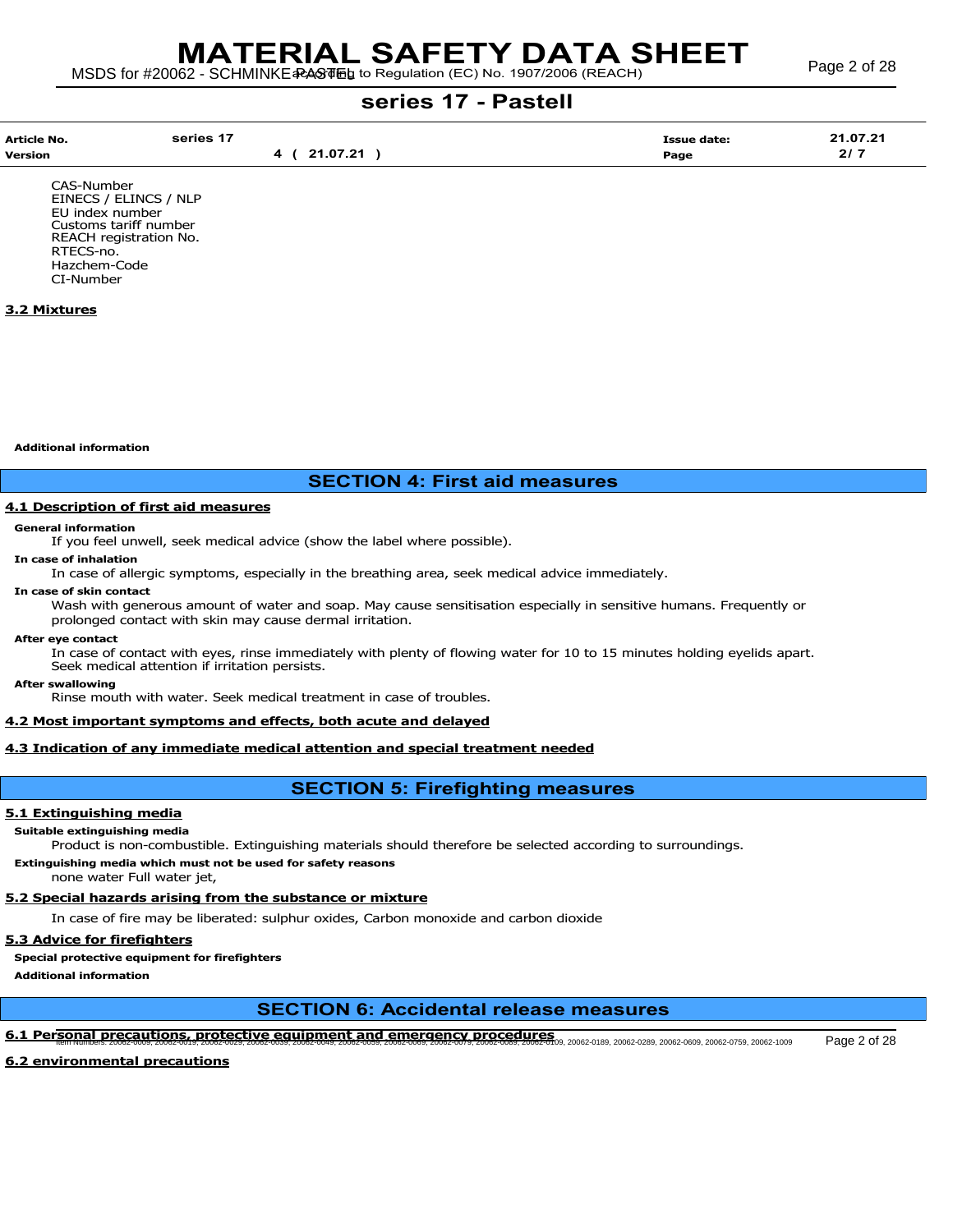| Article No.<br><b>Version</b> | series <sup>47</sup> | 07.24<br>л. | <b>Issue date:</b><br>Page | 10721<br>. .<br>$\sim$ $\sim$<br>$\mathbf{z}$ |
|-------------------------------|----------------------|-------------|----------------------------|-----------------------------------------------|
|                               |                      |             |                            |                                               |

CAS-Number EINECS / ELINCS / NLP EU index number Customs tariff number REACH registration No. RTECS-no. Hazchem-Code CI-Number

## 3.2 Mixtures

Additional information

## SECTION 4: First aid measures

### 4.1 Description of first aid measures

#### General information

If you feel unwell, seek medical advice (show the label where possible).

## In case of inhalation

In case of allergic symptoms, especially in the breathing area, seek medical advice immediately.

#### In case of skin contact

Wash with generous amount of water and soap. May cause sensitisation especially in sensitive humans. Frequently or prolonged contact with skin may cause dermal irritation.

#### After eye contact

In case of contact with eyes, rinse immediately with plenty of flowing water for 10 to 15 minutes holding eyelids apart. Seek medical attention if irritation persists.

#### After swallowing

Rinse mouth with water. Seek medical treatment in case of troubles.

#### 4.2 Most important symptoms and effects, both acute and delayed

## 4.3 Indication of any immediate medical attention and special treatment needed

## SECTION 5: Firefighting measures

## 5.1 Extinguishing media

#### Suitable extinguishing media

Product is non-combustible. Extinguishing materials should therefore be selected according to surroundings.

Extinguishing media which must not be used for safety reasons

none water Full water jet,

## 5.2 Special hazards arising from the substance or mixture

In case of fire may be liberated: sulphur oxides, Carbon monoxide and carbon dioxide

### 5.3 Advice for firefighters

Special protective equipment for firefighters

Additional information

## SECTION 6: Accidental release measures

# 6.1 Personal precautions, protective equipment and emergency procedures<br>THEM NUMBERS: 20062-0009, 20062-0029, 20062-0029, 20062-0039, 20062-0039, 20062-0039, 20062-0039, 20062-009, 20062-0189, 20062-0189, 20062-0289, 20062

6.2 environmental precautions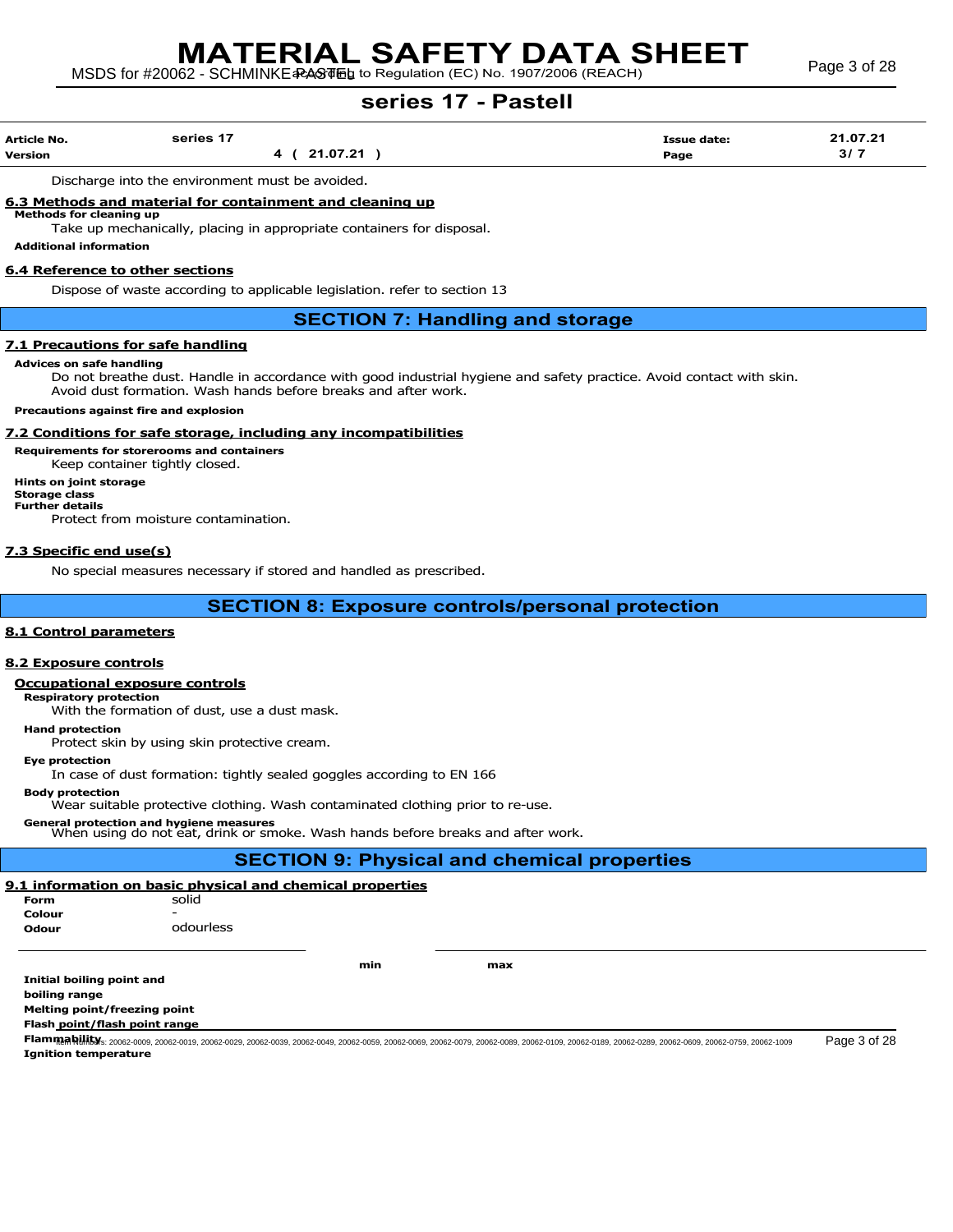| <b>Article No.</b> | series 17 | <b>Issue date:</b> | 21.07.21 |
|--------------------|-----------|--------------------|----------|
| <b>Version</b>     | 21.07.21  | Page               | 3/7      |

Discharge into the environment must be avoided.

#### 6.3 Methods and material for containment and cleaning up Methods for cleaning up

Take up mechanically, placing in appropriate containers for disposal.

Additional information

#### 6.4 Reference to other sections

Dispose of waste according to applicable legislation. refer to section 13

## SECTION 7: Handling and storage

#### 7.1 Precautions for safe handling

#### Advices on safe handling

Do not breathe dust. Handle in accordance with good industrial hygiene and safety practice. Avoid contact with skin. Avoid dust formation. Wash hands before breaks and after work.

#### Precautions against fire and explosion

#### 7.2 Conditions for safe storage, including any incompatibilities

Requirements for storerooms and containers

Keep container tightly closed.

Hints on joint storage Storage class Further details Protect from moisture contamination.

#### 7.3 Specific end use(s)

No special measures necessary if stored and handled as prescribed.

## SECTION 8: Exposure controls/personal protection

#### 8.1 Control parameters

## 8.2 Exposure controls

### Occupational exposure controls

#### Respiratory protection

With the formation of dust, use a dust mask.

Hand protection

Protect skin by using skin protective cream.

#### Eye protection

In case of dust formation: tightly sealed goggles according to EN 166

Body protection

Wear suitable protective clothing. Wash contaminated clothing prior to re-use.

General protection and hygiene measures When using do not eat, drink or smoke. Wash hands before breaks and after work.

## SECTION 9: Physical and chemical properties

#### 9.1 information on basic physical and chemical properties solid

odourless

| Form   | s |
|--------|---|
| Colour |   |
| Odour  |   |

min max

Initial boiling point and boiling range Melting point/freezing point

Flash point/flash point range

FlammaRhility: 20062-0009, 20062-0019, 20062-0029, 20062-0039, 20062-0049, 20062-0059, 20062-0079, 20062-0089, 20062-0109, 20062-0189, 20062-0289, 20062-0609, 20062-0759, 20062-1009 Page 3 of 28 Ignition temperature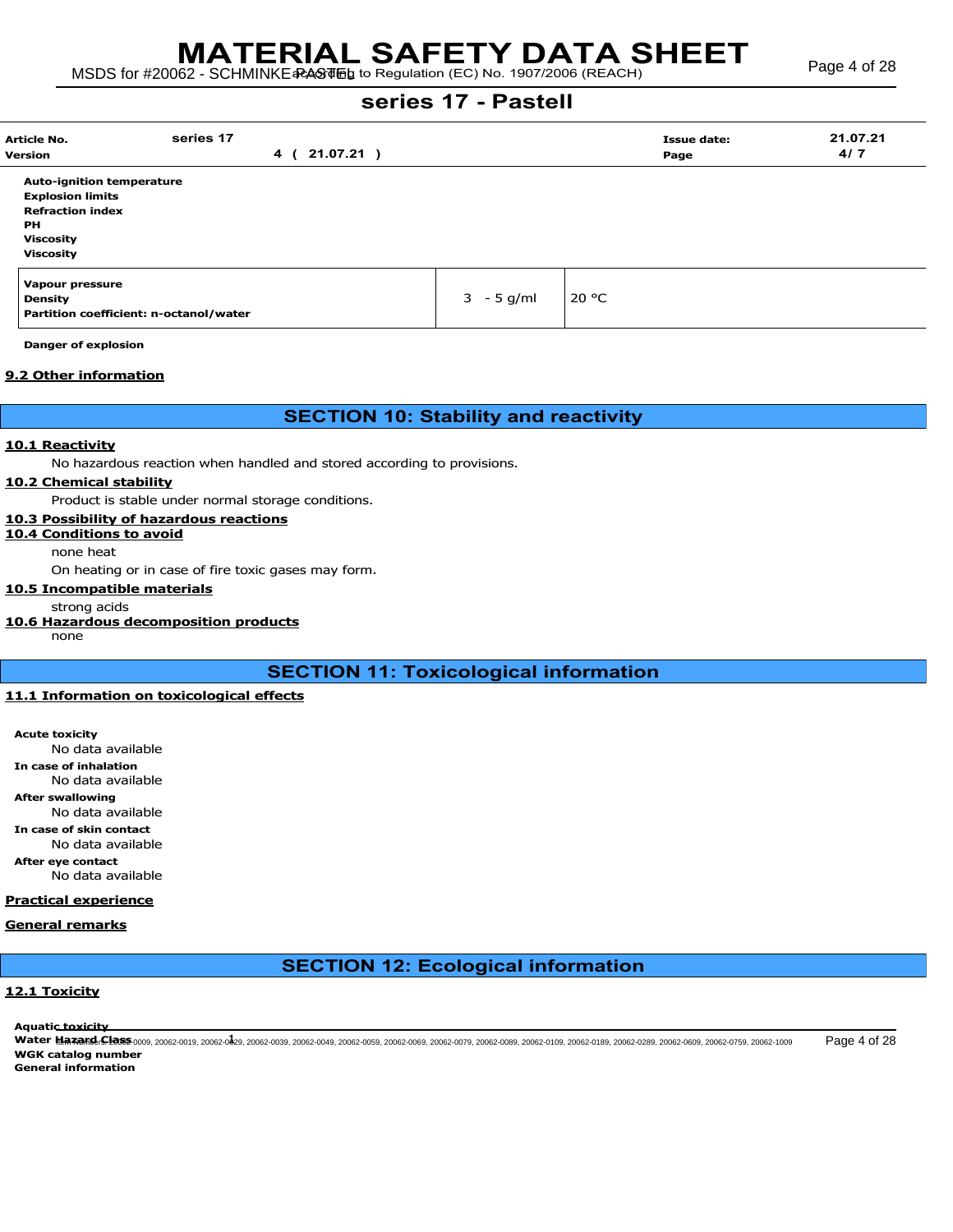| <b>Article No.</b>                     | series 17 |                |              | <b>Issue date:</b> | 21.07.21 |  |
|----------------------------------------|-----------|----------------|--------------|--------------------|----------|--|
| <b>Version</b>                         |           | 4 ( 21.07.21 ) |              | Page               | 4/7      |  |
| <b>Auto-ignition temperature</b>       |           |                |              |                    |          |  |
| <b>Explosion limits</b>                |           |                |              |                    |          |  |
| <b>Refraction index</b>                |           |                |              |                    |          |  |
| PH                                     |           |                |              |                    |          |  |
| <b>Viscosity</b>                       |           |                |              |                    |          |  |
| <b>Viscosity</b>                       |           |                |              |                    |          |  |
| <b>Vapour pressure</b>                 |           |                |              |                    |          |  |
| <b>Density</b>                         |           |                | $3 - 5$ g/ml | 20 $\degree$ C     |          |  |
| Partition coefficient: n-octanol/water |           |                |              |                    |          |  |

Danger of explosion

#### 9.2 Other information

## SECTION 10: Stability and reactivity

#### 10.1 Reactivity

No hazardous reaction when handled and stored according to provisions.

#### 10.2 Chemical stability

Product is stable under normal storage conditions.

### 10.3 Possibility of hazardous reactions

10.4 Conditions to avoid

none heat

On heating or in case of fire toxic gases may form.

## 10.5 Incompatible materials

strong acids

## 10.6 Hazardous decomposition products

none

# SECTION 11: Toxicological information

## 11.1 Information on toxicological effects

Acute toxicity No data available In case of inhalation No data available After swallowing No data available In case of skin contact No data available After eye contact

No data available

### Practical experience

## General remarks

# SECTION 12: Ecological information

## 12.1 Toxicity

Aquatic toxicity

Water Maxers: Class-0009, 20062-0019, 20062-0429, 20062-0039, 20062-0049, 20062-0059, 20062-0069, 20062-0079, 20062-0089, 20062-0199, 20062-0199, 20062-0299, 20062-0609, 20062-050, 20062-0609, 20062-0609, 20062-0609, 20062 WGK catalog number General information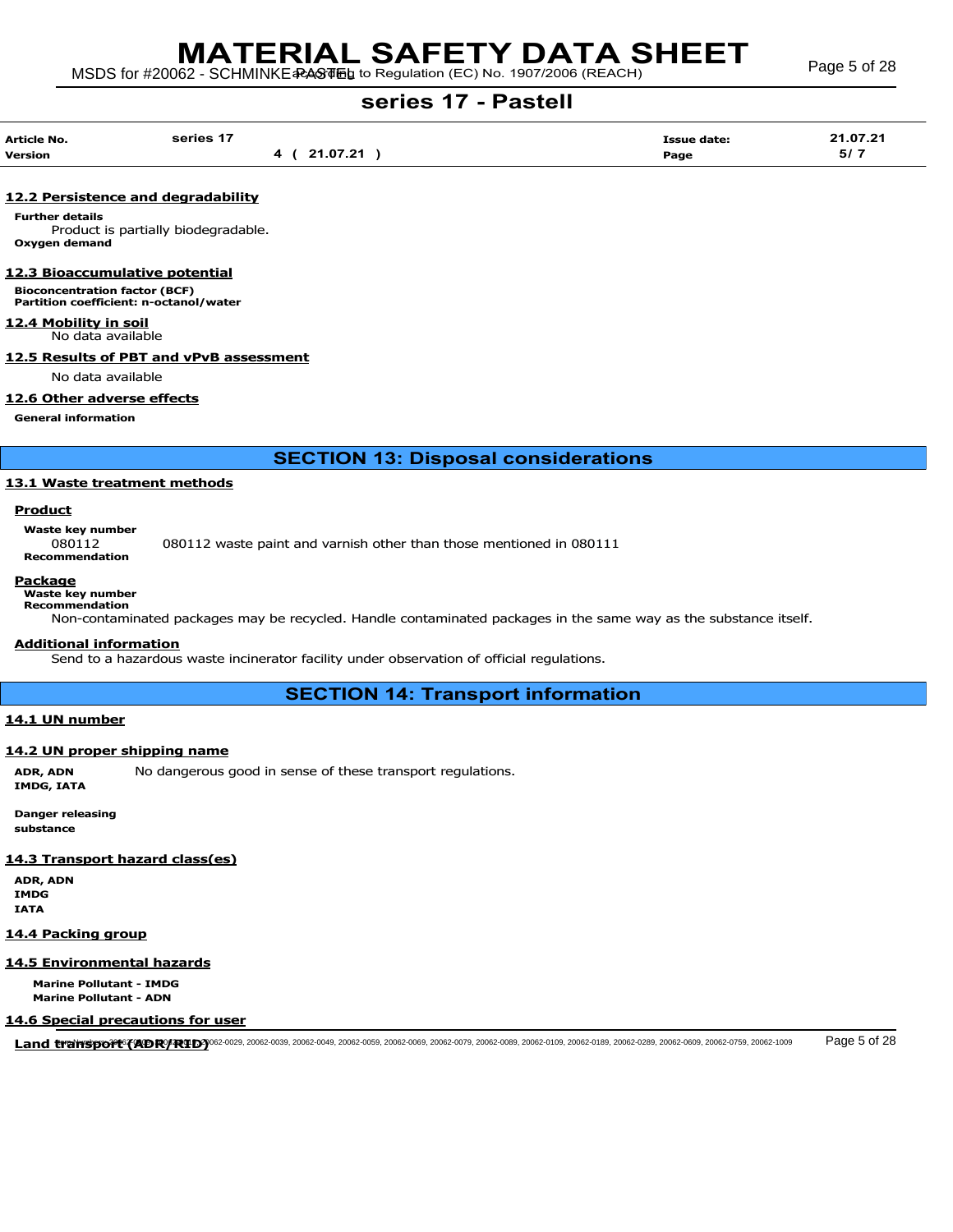| Article No.    | series 17 |          | <b>Issue date:</b> | 21.07.21             |
|----------------|-----------|----------|--------------------|----------------------|
| <b>Version</b> | 4         | 21.07.21 | Page               | 5/7<br>$\sim$ $\sim$ |

## 12.2 Persistence and degradability

Further details Product is partially biodegradable. Oxygen demand

#### 12.3 Bioaccumulative potential

Bioconcentration factor (BCF) Partition coefficient: n-octanol/water

#### 12.4 Mobility in soil

No data available

## 12.5 Results of PBT and vPvB assessment

No data available

#### 12.6 Other adverse effects

General information

SECTION 13: Disposal considerations

#### 13.1 Waste treatment methods

## **Product**

Waste key number

080112 080112 waste paint and varnish other than those mentioned in 080111 Recommendation

## Package

Waste key number

Recommendation

Non-contaminated packages may be recycled. Handle contaminated packages in the same way as the substance itself.

#### Additional information

Send to a hazardous waste incinerator facility under observation of official regulations.

SECTION 14: Transport information

#### 14.1 UN number

#### 14.2 UN proper shipping name

ADR, ADN No dangerous good in sense of these transport regulations. IMDG, IATA

Danger releasing substance

#### 14.3 Transport hazard class(es)

ADR, ADN IMDG IATA

#### 14.4 Packing group

#### 14.5 Environmental hazards

Marine Pollutant - IMDG Marine Pollutant - ADN

#### 14.6 Special precautions for user

Land tramsport (40R/2010) Page 5 of 28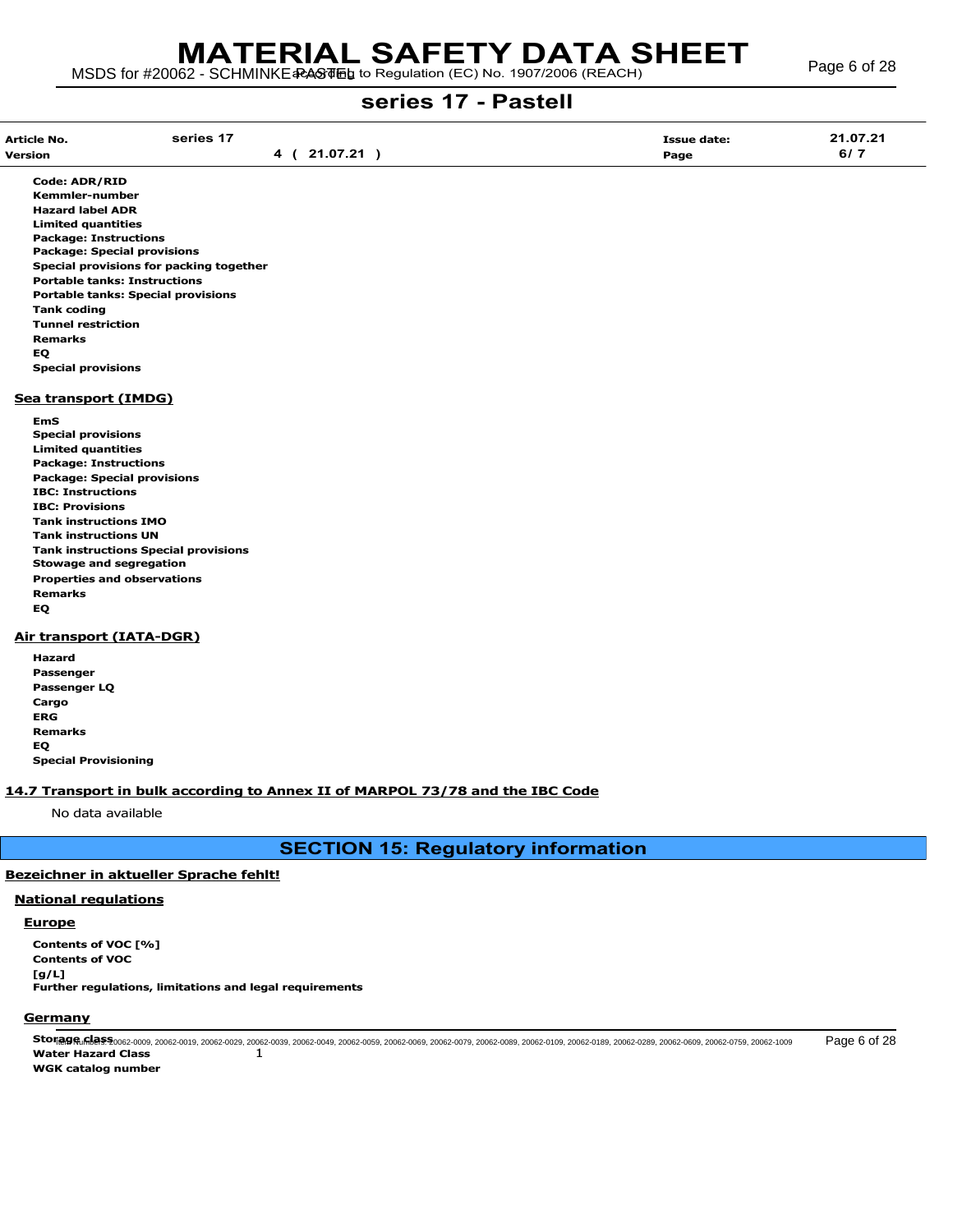| Article No.<br>Version<br>____ | series 17 | በ7 21<br>. .<br>21.07.21 | <b>Issue date:</b><br>Page | 21.07.21<br>6/7 |
|--------------------------------|-----------|--------------------------|----------------------------|-----------------|
|                                |           |                          |                            |                 |

Code: ADR/RID Kemmler-number Hazard label ADR Limited quantities Package: Instructions Package: Special provisions Special provisions for packing together Portable tanks: Instructions Portable tanks: Special provisions Tank coding Tunnel restriction Remarks EQ Special provisions

#### Sea transport (IMDG)

EmS Special provisions Limited quantities Package: Instructions Package: Special provisions IBC: Instructions IBC: Provisions Tank instructions IMO Tank instructions UN Tank instructions Special provisions Stowage and segregation Properties and observations Remarks EQ

#### Air transport (IATA-DGR)

Hazard Passenger Passenger LQ Cargo ERG Remarks EQ Special Provisioning

#### 14.7 Transport in bulk according to Annex II of MARPOL 73/78 and the IBC Code

No data available

SECTION 15: Regulatory information

## Bezeichner in aktueller Sprache fehlt!

# National regulations

## **Europe**

Contents of VOC [%] Contents of VOC [g/L] Further regulations, limitations and legal requirements

## **Germany**

Ston@gr.Mers:20062-0009, 20062-0019, 20062-0029, 20062-0039, 20062-0049, 20062-0069, 20062-0079, 20062-0089, 20062-0109, 20062-0089, 20062-0609, 20062-0699, 20062-0609, 20062-0609, 20062-1009 Page 6 of 28 Water Hazard Class 1 WGK catalog number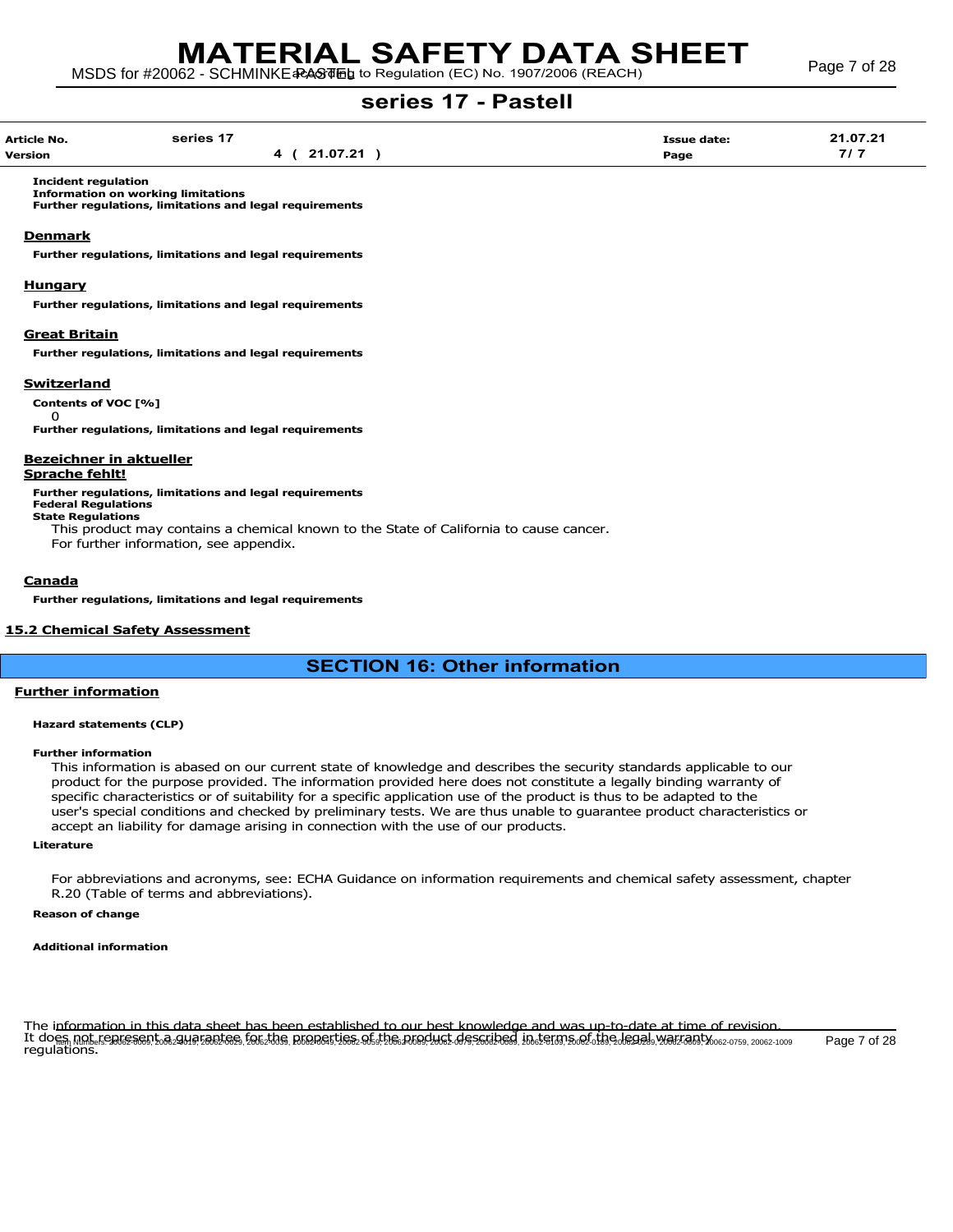| Article No.<br>. | series 17 |                 | Issue date: | 21.07.21 |
|------------------|-----------|-----------------|-------------|----------|
| Version          |           | <b>24.07.24</b> | Page        |          |

Incident regulation Information on working limitations

Further regulations, limitations and legal requirements

#### **Denmark**

Further regulations, limitations and legal requirements

#### Hungary

Further regulations, limitations and legal requirements

#### Great Britain

Further regulations, limitations and legal requirements

#### **Switzerland**

 $\Omega$ 

Contents of VOC [%]

Further regulations, limitations and legal requirements

## Bezeichner in aktueller

#### Sprache fehlt!

Further regulations, limitations and legal requirements

Federal Regulations State Regulations

This product may contains a chemical known to the State of California to cause cancer.

For further information, see appendix.

#### Canada

Further regulations, limitations and legal requirements

#### 15.2 Chemical Safety Assessment

## SECTION 16: Other information

#### Further information

#### Hazard statements (CLP)

#### Further information

This information is abased on our current state of knowledge and describes the security standards applicable to our product for the purpose provided. The information provided here does not constitute a legally binding warranty of specific characteristics or of suitability for a specific application use of the product is thus to be adapted to the user's special conditions and checked by preliminary tests. We are thus unable to guarantee product characteristics or accept an liability for damage arising in connection with the use of our products.

#### Literature

For abbreviations and acronyms, see: ECHA Guidance on information requirements and chemical safety assessment, chapter R.20 (Table of terms and abbreviations).

#### Reason of change

#### Additional information

The information in this data sheet has been established to our best knowledge and was up-to-date at time of revision. It does not reakssent a augustes fak the Roadsties af be Akadust des dibed, in term sæf tig lead. Valzam Yos2-0759, 20062-1009 Page 7 of 28<br>regulations.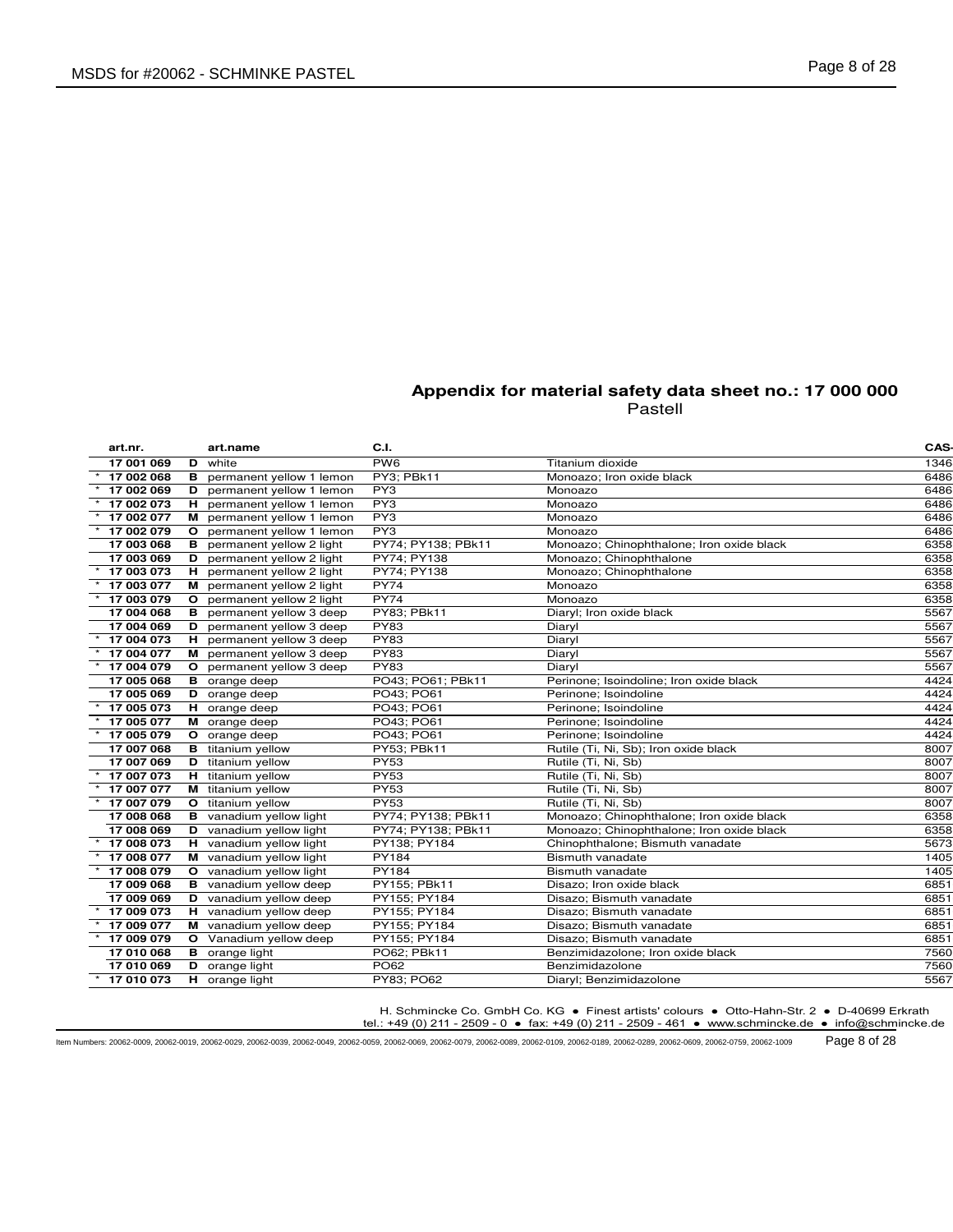| art.nr.    |              | art.name                       | C.I.               |                                           | CAS- |
|------------|--------------|--------------------------------|--------------------|-------------------------------------------|------|
| 17 001 069 | D            | white                          | PW <sub>6</sub>    | Titanium dioxide                          | 1346 |
| 17 002 068 | в            | permanent yellow 1 lemon       | PY3; PBk11         | Monoazo; Iron oxide black                 | 6486 |
| 17 002 069 | D            | permanent yellow 1 lemon       | PY3                | Monoazo                                   | 6486 |
| 17 002 073 | н            | permanent yellow 1 lemon       | PY3                | Monoazo                                   | 6486 |
| 17 002 077 |              | M permanent yellow 1 lemon     | PY3                | Monoazo                                   | 6486 |
| 17 002 079 | $\circ$      | permanent yellow 1 lemon       | PY3                | Monoazo                                   | 6486 |
| 17 003 068 | в            | permanent yellow 2 light       | PY74; PY138; PBk11 | Monoazo; Chinophthalone; Iron oxide black | 6358 |
| 17 003 069 | D            | permanent yellow 2 light       | PY74; PY138        | Monoazo; Chinophthalone                   | 6358 |
| 17 003 073 | н.           | permanent yellow 2 light       | PY74; PY138        | Monoazo; Chinophthalone                   | 6358 |
| 17 003 077 | м            | permanent yellow 2 light       | <b>PY74</b>        | Monoazo                                   | 6358 |
| 17 003 079 | $\circ$      | permanent yellow 2 light       | <b>PY74</b>        | Monoazo                                   | 6358 |
| 17 004 068 | в            | permanent yellow 3 deep        | PY83; PBk11        | Diaryl; Iron oxide black                  | 5567 |
| 17 004 069 | D            | permanent yellow 3 deep        | <b>PY83</b>        | Diaryl                                    | 5567 |
| 17 004 073 | н.           | permanent yellow 3 deep        | <b>PY83</b>        | Diaryl                                    | 5567 |
| 17 004 077 | м            | permanent yellow 3 deep        | <b>PY83</b>        | Diaryl                                    | 5567 |
| 17 004 079 | $\circ$      | permanent yellow 3 deep        | <b>PY83</b>        | Diarvl                                    | 5567 |
| 17 005 068 | в            | orange deep                    | PO43; PO61; PBk11  | Perinone; Isoindoline; Iron oxide black   | 4424 |
| 17 005 069 | D            | orange deep                    | PO43; PO61         | Perinone; Isoindoline                     | 4424 |
| 17 005 073 |              | H orange deep                  | PO43; PO61         | Perinone; Isoindoline                     | 4424 |
| 17 005 077 |              | M orange deep                  | PO43; PO61         | Perinone; Isoindoline                     | 4424 |
| 17 005 079 | $\mathbf{o}$ | orange deep                    | PO43; PO61         | Perinone; Isoindoline                     | 4424 |
| 17 007 068 | в            | titanium yellow                | PY53; PBk11        | Rutile (Ti, Ni, Sb); Iron oxide black     | 8007 |
| 17 007 069 | D            | titanium yellow                | <b>PY53</b>        | Rutile (Ti, Ni, Sb)                       | 8007 |
| 17 007 073 |              | H titanium yellow              | <b>PY53</b>        | Rutile (Ti, Ni, Sb)                       | 8007 |
| 17 007 077 |              | M titanium yellow              | <b>PY53</b>        | Rutile (Ti, Ni, Sb)                       | 8007 |
| 17 007 079 | $\mathbf{o}$ | titanium yellow                | <b>PY53</b>        | Rutile (Ti, Ni, Sb)                       | 8007 |
| 17 008 068 |              | <b>B</b> vanadium yellow light | PY74; PY138; PBk11 | Monoazo; Chinophthalone; Iron oxide black | 6358 |
| 17 008 069 | D            | vanadium yellow light          | PY74; PY138; PBk11 | Monoazo; Chinophthalone; Iron oxide black | 6358 |
| 17 008 073 | н.           | vanadium yellow light          | PY138; PY184       | Chinophthalone; Bismuth vanadate          | 5673 |
| 17 008 077 |              | M vanadium yellow light        | PY184              | <b>Bismuth vanadate</b>                   | 1405 |
| 17 008 079 | $\circ$      | vanadium yellow light          | PY184              | Bismuth vanadate                          | 1405 |
| 17 009 068 |              | <b>B</b> vanadium yellow deep  | PY155; PBk11       | Disazo; Iron oxide black                  | 6851 |
| 17 009 069 | D            | vanadium yellow deep           | PY155; PY184       | Disazo; Bismuth vanadate                  | 6851 |
| 17 009 073 |              | H vanadium yellow deep         | PY155; PY184       | Disazo; Bismuth vanadate                  | 6851 |
| 17 009 077 |              | M vanadium yellow deep         | PY155; PY184       | Disazo: Bismuth vanadate                  | 6851 |
| 17 009 079 |              | O Vanadium yellow deep         | PY155; PY184       | Disazo; Bismuth vanadate                  | 6851 |
| 17 010 068 | в            | orange light                   | PO62; PBk11        | Benzimidazolone; Iron oxide black         | 7560 |
| 17 010 069 | D            | orange light                   | PO62               | Benzimidazolone                           | 7560 |
| 17 010 073 | н.           | orange light                   | PY83; PO62         | Diaryl; Benzimidazolone                   | 5567 |

H. Schmincke Co. GmbH Co. KG ● Finest artists' colours ● Otto-Hahn-Str. 2 ● D-40699 Erkrath

tel.: +49 (0) 211 - 2509 - 0 ● fax: +49 (0) 211 - 2509 - 461 ● www.schmincke.de ● info@schmincke.de

Item Numbers: 20062-0009, 20062-0019, 20062-0029, 20062-0039, 20062-0049, 20062-0059, 20062-0069, 20062-0079, 20062-0089, 20062-0109, 20062-0189, 20062-0289, 20062-0609, 20062-0759, 20062-1009 Page 8 of 28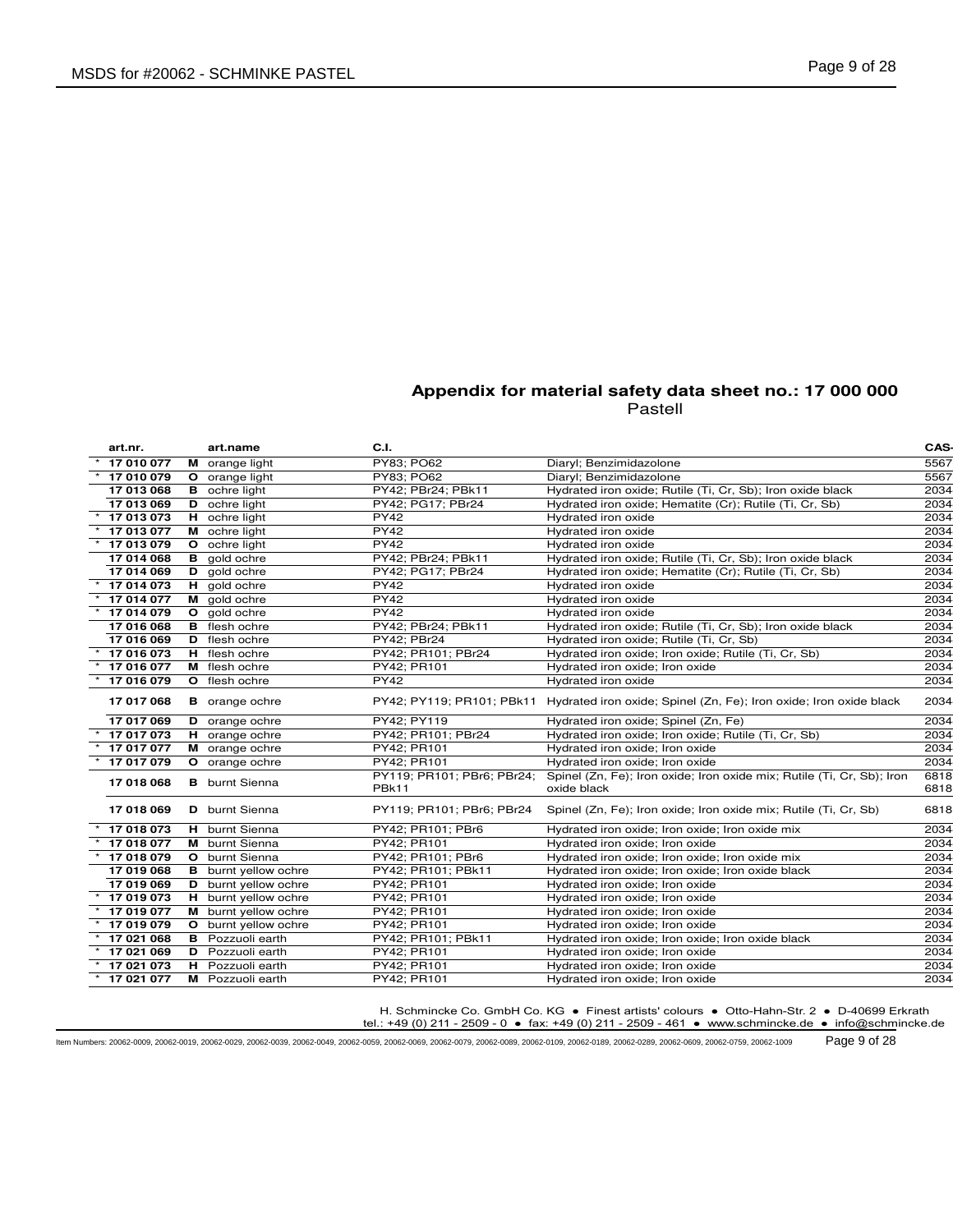| art.nr.        |            | art.name                    | C.I.                                |                                                                                              | CAS-         |
|----------------|------------|-----------------------------|-------------------------------------|----------------------------------------------------------------------------------------------|--------------|
|                | 17 010 077 | M orange light              | PY83; PO62                          | Diaryl; Benzimidazolone                                                                      | 5567         |
|                | 17 010 079 | O orange light              | PY83; PO62                          | Diaryl; Benzimidazolone                                                                      | 5567         |
|                | 17 013 068 | <b>B</b> ochre light        | PY42; PBr24; PBk11                  | Hydrated iron oxide; Rutile (Ti, Cr, Sb); Iron oxide black                                   | 2034         |
|                | 17 013 069 | <b>D</b> ochre light        | PY42; PG17; PBr24                   | Hydrated iron oxide; Hematite (Cr); Rutile (Ti, Cr, Sb)                                      | 2034         |
|                | 17 013 073 | <b>H</b> ochre light        | <b>PY42</b>                         | Hydrated iron oxide                                                                          | 2034         |
|                | 17 013 077 | M ochre light               | <b>PY42</b>                         | Hydrated iron oxide                                                                          | 2034         |
|                | 17 013 079 | <b>O</b> ochre light        | <b>PY42</b>                         | Hydrated iron oxide                                                                          | 2034         |
|                | 17 014 068 | <b>B</b> gold ochre         | PY42; PBr24; PBk11                  | Hydrated iron oxide; Rutile (Ti, Cr, Sb); Iron oxide black                                   | 2034         |
|                | 17 014 069 | D gold ochre                | PY42; PG17; PBr24                   | Hydrated iron oxide; Hematite (Cr); Rutile (Ti, Cr, Sb)                                      | 2034         |
|                | 17 014 073 | H gold ochre                | <b>PY42</b>                         | Hydrated iron oxide                                                                          | 2034         |
|                | 17 014 077 | M gold ochre                | <b>PY42</b>                         | Hydrated iron oxide                                                                          | 2034         |
|                | 17 014 079 | O gold ochre                | <b>PY42</b>                         | Hydrated iron oxide                                                                          | 2034         |
|                | 17 016 068 | <b>B</b> flesh ochre        | PY42; PBr24; PBk11                  | Hydrated iron oxide; Rutile (Ti, Cr, Sb); Iron oxide black                                   | 2034         |
|                | 17 016 069 | D flesh ochre               | PY42; PBr24                         | Hydrated iron oxide; Rutile (Ti, Cr, Sb)                                                     | 2034         |
|                | 17 016 073 | H flesh ochre               | PY42; PR101; PBr24                  | Hydrated iron oxide; Iron oxide; Rutile (Ti, Cr, Sb)                                         | 2034         |
|                | 17 016 077 | M flesh ochre               | PY42; PR101                         | Hydrated iron oxide; Iron oxide                                                              | 2034         |
|                | 17 016 079 | O flesh ochre               | <b>PY42</b>                         | Hydrated iron oxide                                                                          | 2034         |
|                | 17 017 068 | <b>B</b> orange ochre       |                                     | PY42; PY119; PR101; PBk11 Hydrated iron oxide; Spinel (Zn, Fe); Iron oxide; Iron oxide black | 2034         |
|                | 17 017 069 | D orange ochre              | PY42; PY119                         | Hydrated iron oxide; Spinel (Zn, Fe)                                                         | 2034         |
|                | 17 017 073 | H orange ochre              | PY42; PR101; PBr24                  | Hydrated iron oxide; Iron oxide; Rutile (Ti, Cr, Sb)                                         | 2034         |
|                | 17 017 077 | M orange ochre              | PY42; PR101                         | Hydrated iron oxide; Iron oxide                                                              | 2034         |
|                | 17 017 079 | O orange ochre              | PY42; PR101                         | Hydrated iron oxide; Iron oxide                                                              | 2034         |
|                | 17 018 068 | <b>B</b> burnt Sienna       | PY119; PR101; PBr6; PBr24;<br>PBk11 | Spinel (Zn, Fe); Iron oxide; Iron oxide mix; Rutile (Ti, Cr, Sb); Iron<br>oxide black        | 6818<br>6818 |
|                | 17 018 069 | <b>D</b> burnt Sienna       | PY119; PR101; PBr6; PBr24           | Spinel (Zn, Fe); Iron oxide; Iron oxide mix; Rutile (Ti, Cr, Sb)                             | 6818         |
|                | 17 018 073 | H burnt Sienna              | PY42; PR101; PBr6                   | Hydrated iron oxide; Iron oxide; Iron oxide mix                                              | 2034         |
|                | 17 018 077 | <b>M</b> burnt Sienna       | PY42; PR101                         | Hydrated iron oxide; Iron oxide                                                              | 2034         |
|                | 17 018 079 | O burnt Sienna              | PY42; PR101; PBr6                   | Hydrated iron oxide; Iron oxide; Iron oxide mix                                              | 2034         |
|                | 17 019 068 | <b>B</b> burnt yellow ochre | PY42; PR101; PBk11                  | Hydrated iron oxide; Iron oxide; Iron oxide black                                            | 2034         |
|                | 17 019 069 | <b>D</b> burnt yellow ochre | PY42; PR101                         | Hydrated iron oxide; Iron oxide                                                              | 2034         |
|                | 17 019 073 | H burnt yellow ochre        | PY42; PR101                         | Hydrated iron oxide; Iron oxide                                                              | 2034         |
|                | 17 019 077 | M burnt yellow ochre        | PY42; PR101                         | Hydrated iron oxide; Iron oxide                                                              | 2034         |
|                | 17 019 079 | O burnt yellow ochre        | PY42; PR101                         | Hydrated iron oxide; Iron oxide                                                              | 2034         |
|                | 17 021 068 | <b>B</b> Pozzuoli earth     | PY42; PR101; PBk11                  | Hydrated iron oxide; Iron oxide; Iron oxide black                                            | 2034         |
|                | 17 021 069 | D Pozzuoli earth            | PY42; PR101                         | Hydrated iron oxide; Iron oxide                                                              | 2034         |
|                | 17 021 073 | H Pozzuoli earth            | PY42; PR101                         | Hydrated iron oxide; Iron oxide                                                              | 2034         |
| $*$ 17 021 077 |            | M Pozzuoli earth            | PY42; PR101                         | Hydrated iron oxide; Iron oxide                                                              | 2034         |

H. Schmincke Co. GmbH Co. KG ● Finest artists' colours ● Otto-Hahn-Str. 2 ● D-40699 Erkrath

tel.: +49 (0) 211 - 2509 - 0 ● fax: +49 (0) 211 - 2509 - 461 ● www.schmincke.de ● info@schmincke.de

Item Numbers: 20062-0009, 20062-0019, 20062-0029, 20062-0039, 20062-0049, 20062-0059, 20062-0069, 20062-0079, 20062-0089, 20062-0109, 20062-0189, 20062-0289, 20062-0609, 20062-0759, 20062-1009 Page 9 of 28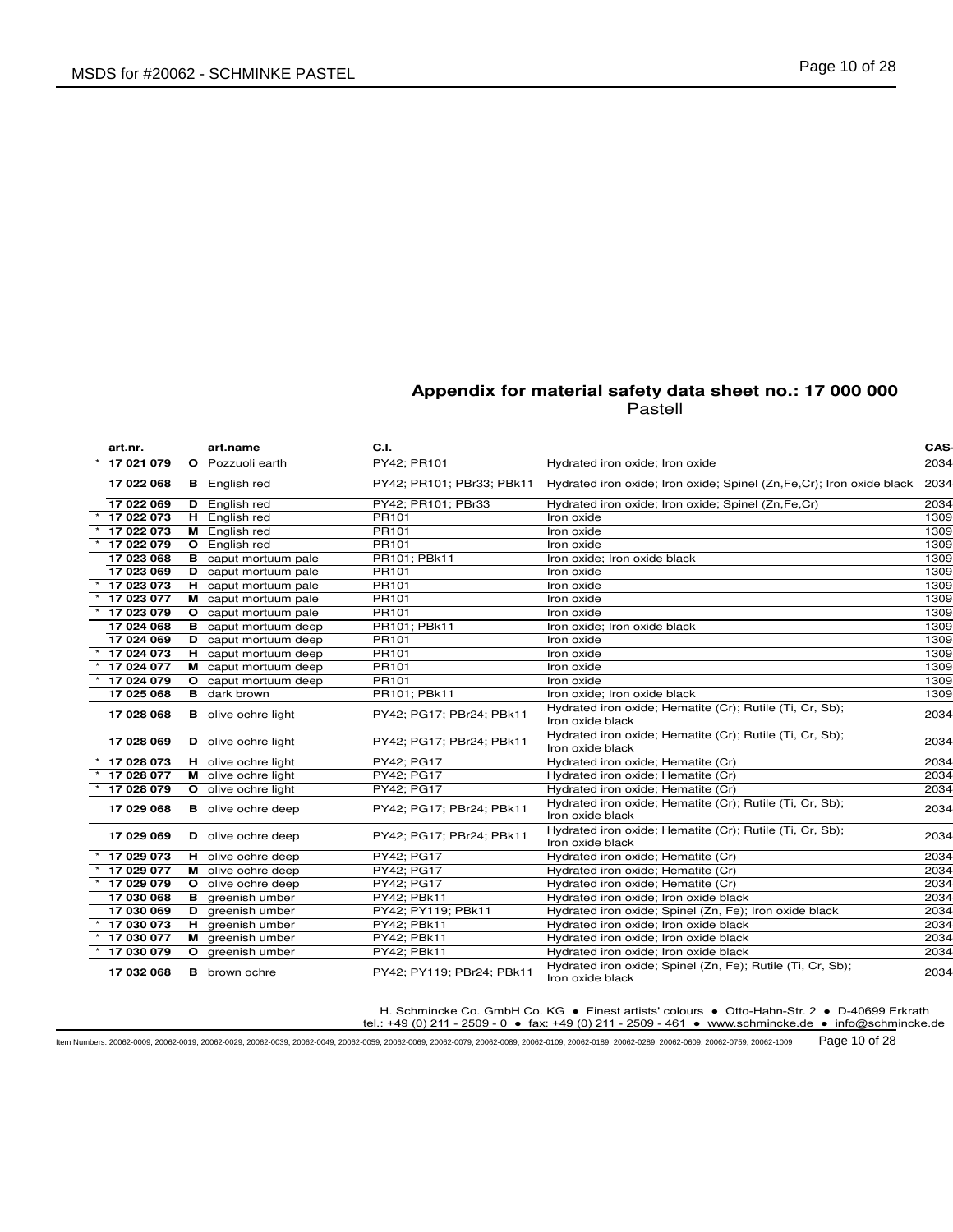| art.nr.    |    | art.name                    | C.I.                      |                                                                                | CAS- |
|------------|----|-----------------------------|---------------------------|--------------------------------------------------------------------------------|------|
| 17 021 079 |    | O Pozzuoli earth            | PY42; PR101               | Hydrated iron oxide; Iron oxide                                                | 2034 |
| 17 022 068 |    | <b>B</b> English red        | PY42; PR101; PBr33; PBk11 | Hydrated iron oxide; Iron oxide; Spinel (Zn, Fe, Cr); Iron oxide black         | 2034 |
| 17 022 069 | D  | English red                 | PY42; PR101; PBr33        | Hydrated iron oxide; Iron oxide; Spinel (Zn, Fe, Cr)                           | 2034 |
| 17 022 073 | н. | English red                 | PR101                     | Iron oxide                                                                     | 1309 |
| 17 022 073 |    | M English red               | PR101                     | Iron oxide                                                                     | 1309 |
| 17 022 079 | O  | English red                 | PR101                     | Iron oxide                                                                     | 1309 |
| 17 023 068 | в  | caput mortuum pale          | PR101; PBk11              | Iron oxide; Iron oxide black                                                   | 1309 |
| 17 023 069 |    | <b>D</b> caput mortuum pale | PR101                     | Iron oxide                                                                     | 1309 |
| 17 023 073 |    | H caput mortuum pale        | PR101                     | Iron oxide                                                                     | 1309 |
| 17 023 077 |    | M caput mortuum pale        | PR101                     | Iron oxide                                                                     | 1309 |
| 17 023 079 |    | O caput mortuum pale        | PR101                     | Iron oxide                                                                     | 1309 |
| 17 024 068 |    | <b>B</b> caput mortuum deep | PR101; PBk11              | Iron oxide; Iron oxide black                                                   | 1309 |
| 17 024 069 | D  | caput mortuum deep          | PR101                     | Iron oxide                                                                     | 1309 |
| 17 024 073 | н. | caput mortuum deep          | PR101                     | Iron oxide                                                                     | 1309 |
| 17 024 077 | м  | caput mortuum deep          | PR101                     | Iron oxide                                                                     | 1309 |
| 17 024 079 |    | O caput mortuum deep        | PR101                     | Iron oxide                                                                     | 1309 |
| 17 025 068 | в  | dark brown                  | PR101; PBk11              | Iron oxide; Iron oxide black                                                   | 1309 |
| 17 028 068 |    | <b>B</b> olive ochre light  | PY42; PG17; PBr24; PBk11  | Hydrated iron oxide; Hematite (Cr); Rutile (Ti, Cr, Sb);<br>Iron oxide black   | 2034 |
| 17 028 069 |    | D olive ochre light         | PY42; PG17; PBr24; PBk11  | Hydrated iron oxide; Hematite (Cr); Rutile (Ti, Cr, Sb);<br>Iron oxide black   | 2034 |
| 17 028 073 |    | H olive ochre light         | PY42; PG17                | Hydrated iron oxide; Hematite (Cr)                                             | 2034 |
| 17 028 077 |    | M olive ochre light         | PY42; PG17                | Hydrated iron oxide; Hematite (Cr)                                             | 2034 |
| 17 028 079 |    | <b>O</b> olive ochre light  | PY42; PG17                | Hydrated iron oxide; Hematite (Cr)                                             | 2034 |
| 17 029 068 |    | <b>B</b> olive ochre deep   | PY42; PG17; PBr24; PBk11  | Hydrated iron oxide; Hematite (Cr); Rutile (Ti, Cr, Sb);<br>Iron oxide black   | 2034 |
| 17 029 069 |    | D olive ochre deep          | PY42; PG17; PBr24; PBk11  | Hydrated iron oxide; Hematite (Cr); Rutile (Ti, Cr, Sb);<br>Iron oxide black   | 2034 |
| 17 029 073 |    | H olive ochre deep          | PY42; PG17                | Hydrated iron oxide; Hematite (Cr)                                             | 2034 |
| 17 029 077 |    | M olive ochre deep          | PY42; PG17                | Hydrated iron oxide; Hematite (Cr)                                             | 2034 |
| 17 029 079 |    | O olive ochre deep          | PY42; PG17                | Hydrated iron oxide; Hematite (Cr)                                             | 2034 |
| 17 030 068 |    | <b>B</b> greenish umber     | PY42; PBk11               | Hydrated iron oxide; Iron oxide black                                          | 2034 |
| 17 030 069 |    | D greenish umber            | PY42; PY119; PBk11        | Hydrated iron oxide; Spinel (Zn, Fe); Iron oxide black                         | 2034 |
| 17 030 073 |    | H greenish umber            | PY42; PBk11               | Hydrated iron oxide; Iron oxide black                                          | 2034 |
| 17 030 077 |    | M greenish umber            | PY42; PBk11               | Hydrated iron oxide; Iron oxide black                                          | 2034 |
| 17 030 079 |    | O greenish umber            | PY42; PBk11               | Hydrated iron oxide; Iron oxide black                                          | 2034 |
| 17 032 068 |    | <b>B</b> brown ochre        | PY42; PY119; PBr24; PBk11 | Hydrated iron oxide; Spinel (Zn, Fe); Rutile (Ti, Cr, Sb);<br>Iron oxide black | 2034 |

H. Schmincke Co. GmbH Co. KG ● Finest artists' colours ● Otto-Hahn-Str. 2 ● D-40699 Erkrath

tel.: +49 (0) 211 - 2509 - 0 ● fax: +49 (0) 211 - 2509 - 461 ● www.schmincke.de ● info@schmincke.de

Item Numbers: 20062-0009, 20062-0019, 20062-0029, 20062-0039, 20062-0049, 20062-0059, 20062-0069, 20062-0079, 20062-0089, 20062-0109, 20062-0189, 20062-0289, 20062-0609, 20062-0759, 20062-1009 Page 10 of 28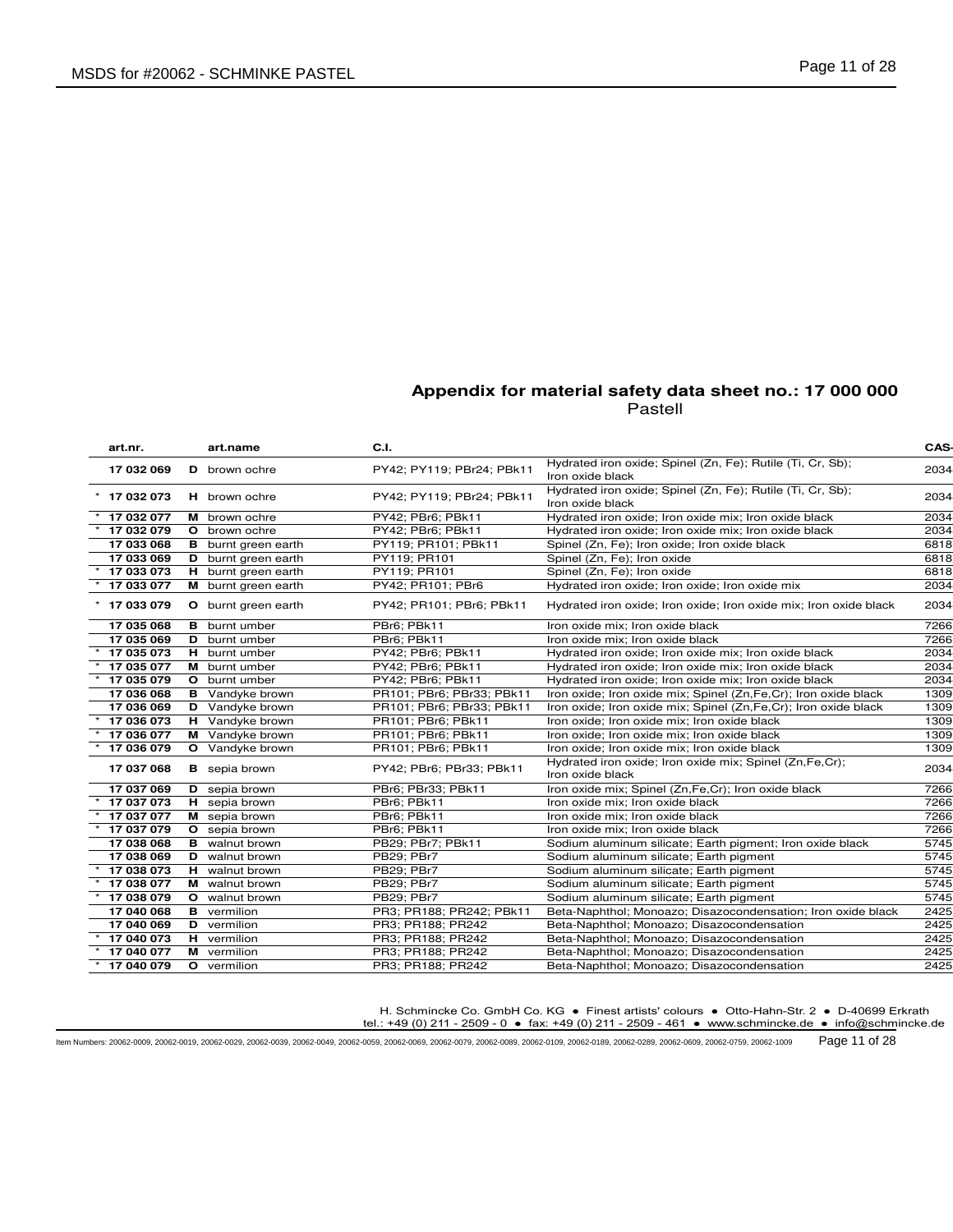| art.nr.    | art.name                   | C.I.                      |                                                                                | CAS- |
|------------|----------------------------|---------------------------|--------------------------------------------------------------------------------|------|
| 17 032 069 | <b>D</b> brown ochre       | PY42; PY119; PBr24; PBk11 | Hydrated iron oxide; Spinel (Zn, Fe); Rutile (Ti, Cr, Sb);<br>Iron oxide black | 2034 |
| 17 032 073 | H brown ochre              | PY42; PY119; PBr24; PBk11 | Hydrated iron oxide; Spinel (Zn, Fe); Rutile (Ti, Cr, Sb);<br>Iron oxide black | 2034 |
| 17 032 077 | M brown ochre              | PY42; PBr6; PBk11         | Hydrated iron oxide; Iron oxide mix; Iron oxide black                          | 2034 |
| 17 032 079 | <b>O</b> brown ochre       | PY42; PBr6; PBk11         | Hydrated iron oxide; Iron oxide mix; Iron oxide black                          | 2034 |
| 17 033 068 | <b>B</b> burnt green earth | PY119; PR101; PBk11       | Spinel (Zn, Fe); Iron oxide; Iron oxide black                                  | 6818 |
| 17 033 069 | <b>D</b> burnt green earth | PY119; PR101              | Spinel (Zn, Fe); Iron oxide                                                    | 6818 |
| 17 033 073 | H burnt green earth        | PY119; PR101              | Spinel (Zn, Fe); Iron oxide                                                    | 6818 |
| 17 033 077 | M burnt green earth        | PY42; PR101; PBr6         | Hydrated iron oxide; Iron oxide; Iron oxide mix                                | 2034 |
| 17 033 079 | <b>O</b> burnt green earth | PY42; PR101; PBr6; PBk11  | Hydrated iron oxide; Iron oxide; Iron oxide mix; Iron oxide black              | 2034 |
| 17 035 068 | <b>B</b> burnt umber       | PBr6; PBk11               | Iron oxide mix; Iron oxide black                                               | 7266 |
| 17 035 069 | <b>D</b> burnt umber       | PBr6; PBk11               | Iron oxide mix: Iron oxide black                                               | 7266 |
| 17 035 073 | H burnt umber              | PY42; PBr6; PBk11         | Hydrated iron oxide; Iron oxide mix; Iron oxide black                          | 2034 |
| 17 035 077 | M burnt umber              | PY42; PBr6; PBk11         | Hydrated iron oxide; Iron oxide mix; Iron oxide black                          | 2034 |
| 17 035 079 | O burnt umber              | PY42; PBr6; PBk11         | Hydrated iron oxide; Iron oxide mix; Iron oxide black                          | 2034 |
| 17 036 068 | <b>B</b> Vandyke brown     | PR101; PBr6; PBr33; PBk11 | Iron oxide; Iron oxide mix; Spinel (Zn, Fe, Cr); Iron oxide black              | 1309 |
| 17 036 069 | <b>D</b> Vandyke brown     | PR101; PBr6; PBr33; PBk11 | Iron oxide; Iron oxide mix; Spinel (Zn, Fe, Cr); Iron oxide black              | 1309 |
| 17 036 073 | H Vandyke brown            | PR101; PBr6; PBk11        | Iron oxide; Iron oxide mix; Iron oxide black                                   | 1309 |
| 17 036 077 | M Vandyke brown            | PR101; PBr6; PBk11        | Iron oxide; Iron oxide mix; Iron oxide black                                   | 1309 |
| 17 036 079 | <b>O</b> Vandyke brown     | PR101; PBr6; PBk11        | Iron oxide; Iron oxide mix; Iron oxide black                                   | 1309 |
| 17 037 068 | <b>B</b> sepia brown       | PY42; PBr6; PBr33; PBk11  | Hydrated iron oxide; Iron oxide mix; Spinel (Zn,Fe,Cr);<br>Iron oxide black    | 2034 |
| 17 037 069 | <b>D</b> sepia brown       | PBr6; PBr33; PBk11        | Iron oxide mix; Spinel (Zn,Fe,Cr); Iron oxide black                            | 7266 |
| 17 037 073 | H sepia brown              | PBr6; PBk11               | Iron oxide mix; Iron oxide black                                               | 7266 |
| 17 037 077 | M sepia brown              | PBr6; PBk11               | Iron oxide mix; Iron oxide black                                               | 7266 |
| 17 037 079 | O sepia brown              | PBr6; PBk11               | Iron oxide mix; Iron oxide black                                               | 7266 |
| 17 038 068 | <b>B</b> walnut brown      | PB29; PBr7; PBk11         | Sodium aluminum silicate; Earth pigment; Iron oxide black                      | 5745 |
| 17 038 069 | <b>D</b> walnut brown      | PB29; PBr7                | Sodium aluminum silicate; Earth pigment                                        | 5745 |
| 17 038 073 | H walnut brown             | PB29; PBr7                | Sodium aluminum silicate; Earth pigment                                        | 5745 |
| 17 038 077 | M walnut brown             | PB29: PBr7                | Sodium aluminum silicate; Earth pigment                                        | 5745 |
| 17 038 079 | <b>O</b> walnut brown      | PB29: PBr7                | Sodium aluminum silicate; Earth pigment                                        | 5745 |
| 17 040 068 | <b>B</b> vermilion         | PR3; PR188; PR242; PBk11  | Beta-Naphthol; Monoazo; Disazocondensation; Iron oxide black                   | 2425 |
| 17 040 069 | <b>D</b> vermilion         | PR3; PR188; PR242         | Beta-Naphthol; Monoazo; Disazocondensation                                     | 2425 |
| 17 040 073 | H vermilion                | PR3; PR188; PR242         | Beta-Naphthol; Monoazo; Disazocondensation                                     | 2425 |
| 17 040 077 | M vermilion                | PR3; PR188; PR242         | Beta-Naphthol; Monoazo; Disazocondensation                                     | 2425 |
| 17 040 079 | O vermilion                | PR3; PR188; PR242         | Beta-Naphthol; Monoazo; Disazocondensation                                     | 2425 |

H. Schmincke Co. GmbH Co. KG ● Finest artists' colours ● Otto-Hahn-Str. 2 ● D-40699 Erkrath

tel.: +49 (0) 211 - 2509 - 0 ● fax: +49 (0) 211 - 2509 - 461 ● www.schmincke.de ● info@schmincke.de

Item Numbers: 20062-0009, 20062-0019, 20062-0029, 20062-0039, 20062-0049, 20062-0059, 20062-0069, 20062-0079, 20062-0089, 20062-0109, 20062-0189, 20062-0289, 20062-0609, 20062-0759, 20062-1009 Page 11 of 28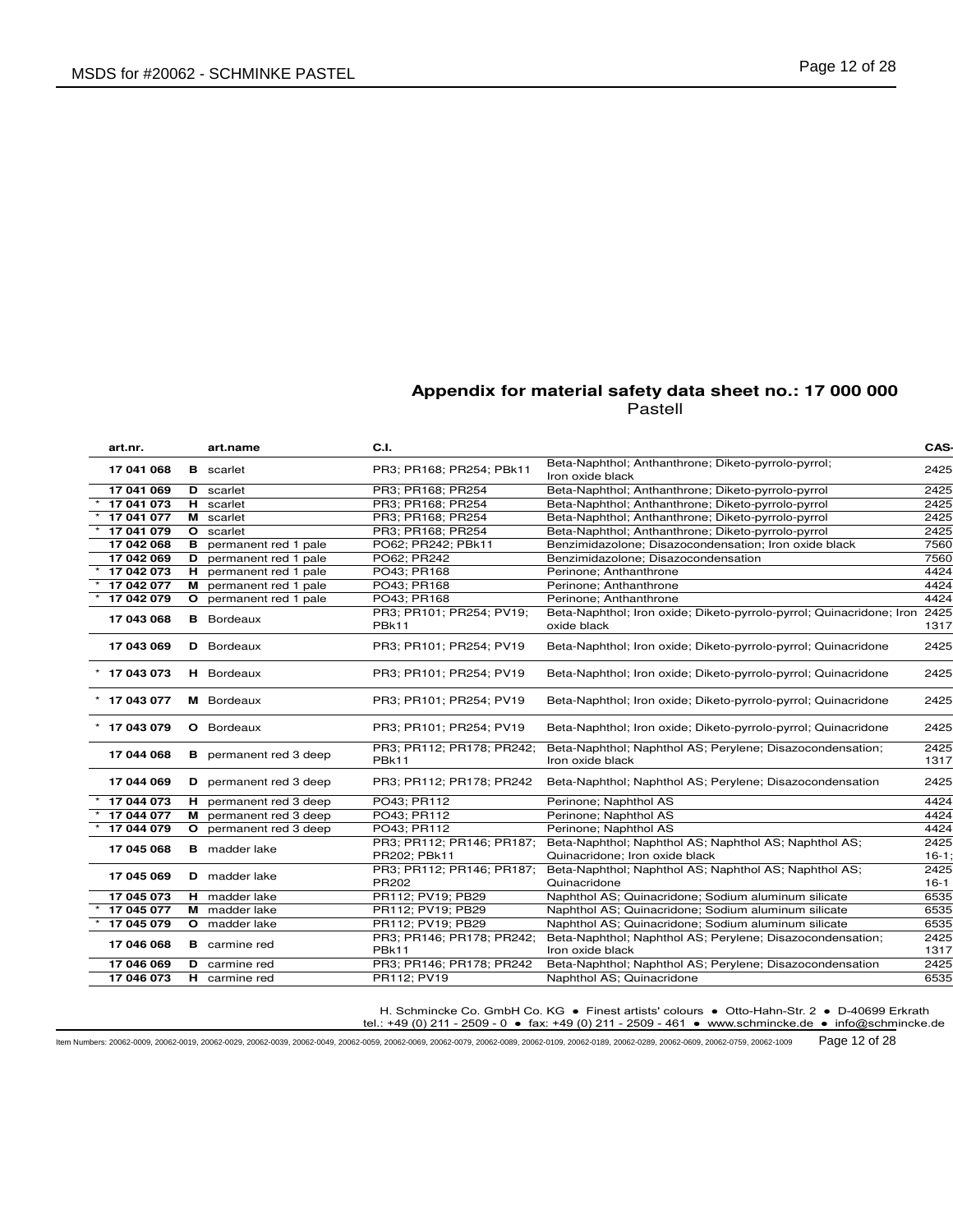| art.nr.        |   | art.name                      | C.I.                                      |                                                                                         | CAS-            |
|----------------|---|-------------------------------|-------------------------------------------|-----------------------------------------------------------------------------------------|-----------------|
| 17 041 068     |   | <b>B</b> scarlet              | PR3: PR168: PR254: PBk11                  | Beta-Naphthol; Anthanthrone; Diketo-pyrrolo-pyrrol;<br>Iron oxide black                 | 2425            |
| 17 041 069     |   | <b>D</b> scarlet              | PR3; PR168; PR254                         | Beta-Naphthol; Anthanthrone; Diketo-pyrrolo-pyrrol                                      | 2425            |
| 17 041 073     |   | H scarlet                     | PR3; PR168; PR254                         | Beta-Naphthol; Anthanthrone; Diketo-pyrrolo-pyrrol                                      | 2425            |
| 17 041 077     |   | M scarlet                     | PR3; PR168; PR254                         | Beta-Naphthol; Anthanthrone; Diketo-pyrrolo-pyrrol                                      | 2425            |
| 17 041 079     |   | O scarlet                     | PR3; PR168; PR254                         | Beta-Naphthol; Anthanthrone; Diketo-pyrrolo-pyrrol                                      | 2425            |
| 17 042 068     |   | <b>B</b> permanent red 1 pale | PO62; PR242; PBk11                        | Benzimidazolone; Disazocondensation; Iron oxide black                                   | 7560            |
| 17 042 069     |   | D permanent red 1 pale        | PO62; PR242                               | Benzimidazolone; Disazocondensation                                                     | 7560            |
| 17 042 073     |   | H permanent red 1 pale        | PO43; PR168                               | Perinone; Anthanthrone                                                                  | 4424            |
| 17 042 077     |   | M permanent red 1 pale        | PO43; PR168                               | Perinone; Anthanthrone                                                                  | 4424            |
| 17 042 079     | O | permanent red 1 pale          | PO43; PR168                               | Perinone; Anthanthrone                                                                  | 4424            |
| 17 043 068     |   | <b>B</b> Bordeaux             | PR3; PR101; PR254; PV19;<br>PBk11         | Beta-Naphthol; Iron oxide; Diketo-pyrrolo-pyrrol; Quinacridone; Iron<br>oxide black     | 2425<br>1317    |
| 17 043 069     |   | <b>D</b> Bordeaux             | PR3; PR101; PR254; PV19                   | Beta-Naphthol; Iron oxide; Diketo-pyrrolo-pyrrol; Quinacridone                          | 2425            |
| $*$ 17 043 073 |   | <b>H</b> Bordeaux             | PR3; PR101; PR254; PV19                   | Beta-Naphthol; Iron oxide; Diketo-pyrrolo-pyrrol; Quinacridone                          | 2425            |
| $*$ 17 043 077 |   | <b>M</b> Bordeaux             | PR3; PR101; PR254; PV19                   | Beta-Naphthol; Iron oxide; Diketo-pyrrolo-pyrrol; Quinacridone                          | 2425            |
| * 17 043 079   |   | <b>O</b> Bordeaux             | PR3; PR101; PR254; PV19                   | Beta-Naphthol; Iron oxide; Diketo-pyrrolo-pyrrol; Quinacridone                          | 2425            |
| 17 044 068     |   | <b>B</b> permanent red 3 deep | PR3; PR112; PR178; PR242;<br><b>PBk11</b> | Beta-Naphthol; Naphthol AS; Perylene; Disazocondensation;<br>Iron oxide black           | 2425<br>1317    |
| 17 044 069     |   | D permanent red 3 deep        | PR3; PR112; PR178; PR242                  | Beta-Naphthol; Naphthol AS; Perylene; Disazocondensation                                | 2425            |
| 17 044 073     |   | H permanent red 3 deep        | PO43; PR112                               | Perinone: Naphthol AS                                                                   | 4424            |
| 17 044 077     |   | M permanent red 3 deep        | PO43: PR112                               | Perinone; Naphthol AS                                                                   | 4424            |
| 17 044 079     |   | O permanent red 3 deep        | PO43: PR112                               | Perinone: Naphthol AS                                                                   | 4424            |
| 17 045 068     |   | <b>B</b> madder lake          | PR3; PR112; PR146; PR187;<br>PR202; PBk11 | Beta-Naphthol; Naphthol AS; Naphthol AS; Naphthol AS;<br>Quinacridone; Iron oxide black | 2425<br>$16-1;$ |
| 17 045 069     |   | <b>D</b> madder lake          | PR3; PR112; PR146; PR187;<br>PR202        | Beta-Naphthol; Naphthol AS; Naphthol AS; Naphthol AS;<br>Quinacridone                   | 2425<br>$16-1$  |
| 17 045 073     |   | <b>H</b> madder lake          | PR112; PV19; PB29                         | Naphthol AS; Quinacridone; Sodium aluminum silicate                                     | 6535            |
| 17 045 077     |   | M madder lake                 | PR112; PV19; PB29                         | Naphthol AS; Quinacridone; Sodium aluminum silicate                                     | 6535            |
| 17 045 079     |   | O madder lake                 | PR112; PV19; PB29                         | Naphthol AS; Quinacridone; Sodium aluminum silicate                                     | 6535            |
| 17 046 068     |   | <b>B</b> carmine red          | PR3; PR146; PR178; PR242;                 | Beta-Naphthol; Naphthol AS; Perylene; Disazocondensation;                               | 2425            |
|                |   |                               | <b>PBk11</b>                              | Iron oxide black                                                                        | 1317            |
| 17 046 069     |   | <b>D</b> carmine red          | PR3; PR146; PR178; PR242                  | Beta-Naphthol; Naphthol AS; Perylene; Disazocondensation                                | 2425            |
| 17 046 073     |   | <b>H</b> carmine red          | PR112; PV19                               | Naphthol AS; Quinacridone                                                               | 6535            |

H. Schmincke Co. GmbH Co. KG ● Finest artists' colours ● Otto-Hahn-Str. 2 ● D-40699 Erkrath

tel.: +49 (0) 211 - 2509 - 0 ● fax: +49 (0) 211 - 2509 - 461 ● www.schmincke.de ● info@schmincke.de

Item Numbers: 20062-0009, 20062-0019, 20062-0029, 20062-0039, 20062-0049, 20062-0059, 20062-0069, 20062-0079, 20062-0089, 20062-0109, 20062-0189, 20062-0289, 20062-0609, 20062-0759, 20062-1009 Page 12 of 28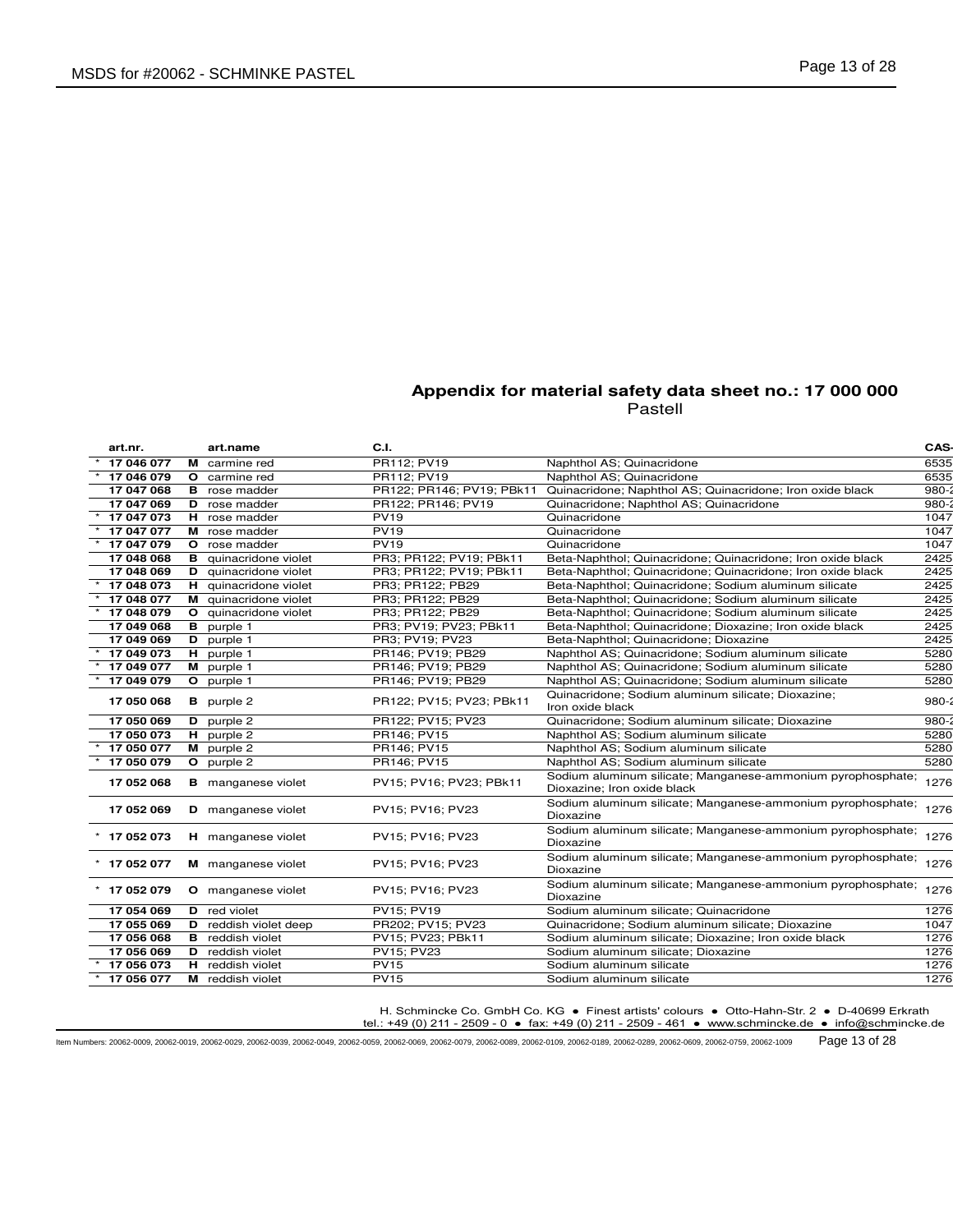| art.nr.        | art.name                     | C.I.                      |                                                                                            | CAS-      |
|----------------|------------------------------|---------------------------|--------------------------------------------------------------------------------------------|-----------|
| 17 046 077     | M carmine red                | PR112; PV19               | Naphthol AS; Quinacridone                                                                  | 6535      |
| 17 046 079     | O carmine red                | PR112; PV19               | Naphthol AS; Quinacridone                                                                  | 6535      |
| 17 047 068     | <b>B</b> rose madder         | PR122; PR146; PV19; PBk11 | Quinacridone; Naphthol AS; Quinacridone; Iron oxide black                                  | $980 - 3$ |
| 17 047 069     | <b>D</b> rose madder         | PR122; PR146; PV19        | Quinacridone; Naphthol AS; Quinacridone                                                    | 980-      |
| 17 047 073     | H rose madder                | <b>PV19</b>               | Quinacridone                                                                               | 1047      |
| 17 047 077     | M rose madder                | <b>PV19</b>               | Quinacridone                                                                               | 1047      |
| 17 047 079     | O rose madder                | <b>PV19</b>               | Quinacridone                                                                               | 1047      |
| 17 048 068     | <b>B</b> quinacridone violet | PR3; PR122; PV19; PBk11   | Beta-Naphthol; Quinacridone; Quinacridone; Iron oxide black                                | 2425      |
| 17 048 069     | D quinacridone violet        | PR3; PR122; PV19; PBk11   | Beta-Naphthol; Quinacridone; Quinacridone; Iron oxide black                                | 2425      |
| 17 048 073     | H quinacridone violet        | PR3; PR122; PB29          | Beta-Naphthol; Quinacridone; Sodium aluminum silicate                                      | 2425      |
| 17 048 077     | M quinacridone violet        | PR3; PR122; PB29          | Beta-Naphthol; Quinacridone; Sodium aluminum silicate                                      | 2425      |
| 17 048 079     | O quinacridone violet        | PR3; PR122; PB29          | Beta-Naphthol; Quinacridone; Sodium aluminum silicate                                      | 2425      |
| 17 049 068     | <b>B</b> purple 1            | PR3; PV19; PV23; PBk11    | Beta-Naphthol; Quinacridone; Dioxazine; Iron oxide black                                   | 2425      |
| 17 049 069     | D purple 1                   | PR3; PV19; PV23           | Beta-Naphthol; Quinacridone; Dioxazine                                                     | 2425      |
| 17 049 073     | H purple 1                   | PR146; PV19; PB29         | Naphthol AS; Quinacridone; Sodium aluminum silicate                                        | 5280      |
| 17 049 077     | M purple 1                   | PR146; PV19; PB29         | Naphthol AS; Quinacridone; Sodium aluminum silicate                                        | 5280      |
| 17 049 079     | O purple 1                   | PR146; PV19; PB29         | Naphthol AS; Quinacridone; Sodium aluminum silicate                                        | 5280      |
| 17 050 068     | <b>B</b> purple 2            | PR122; PV15; PV23; PBk11  | Quinacridone; Sodium aluminum silicate; Dioxazine;<br>Iron oxide black                     | $980 - 2$ |
| 17 050 069     | D purple 2                   | PR122; PV15; PV23         | Quinacridone; Sodium aluminum silicate; Dioxazine                                          | 980-      |
| 17 050 073     | $H$ purple 2                 | PR146; PV15               | Naphthol AS; Sodium aluminum silicate                                                      | 5280      |
| 17 050 077     | M purple 2                   | PR146; PV15               | Naphthol AS; Sodium aluminum silicate                                                      | 5280      |
| 17 050 079     | O purple 2                   | PR146; PV15               | Naphthol AS; Sodium aluminum silicate                                                      | 5280      |
| 17 052 068     | <b>B</b> manganese violet    | PV15; PV16; PV23; PBk11   | Sodium aluminum silicate; Manganese-ammonium pyrophosphate;<br>Dioxazine; Iron oxide black | 1276      |
| 17 052 069     | <b>D</b> manganese violet    | PV15; PV16; PV23          | Sodium aluminum silicate; Manganese-ammonium pyrophosphate;<br>Dioxazine                   | 1276      |
| $*$ 17 052 073 | H manganese violet           | PV15; PV16; PV23          | Sodium aluminum silicate; Manganese-ammonium pyrophosphate; 1276<br>Dioxazine              |           |
| $*$ 17 052 077 | M manganese violet           | PV15; PV16; PV23          | Sodium aluminum silicate; Manganese-ammonium pyrophosphate;<br>Dioxazine                   | 1276      |
| $*$ 17 052 079 | O manganese violet           | PV15; PV16; PV23          | Sodium aluminum silicate; Manganese-ammonium pyrophosphate;<br>Dioxazine                   | 1276      |
| 17 054 069     | <b>D</b> red violet          | PV15; PV19                | Sodium aluminum silicate; Quinacridone                                                     | 1276      |
| 17 055 069     | <b>D</b> reddish violet deep | PR202; PV15; PV23         | Quinacridone; Sodium aluminum silicate; Dioxazine                                          | 1047      |
| 17 056 068     | <b>B</b> reddish violet      | PV15; PV23; PBk11         | Sodium aluminum silicate; Dioxazine; Iron oxide black                                      | 1276      |
| 17 056 069     | D reddish violet             | PV15; PV23                | Sodium aluminum silicate; Dioxazine                                                        | 1276      |
| 17 056 073     | H reddish violet             | <b>PV15</b>               | Sodium aluminum silicate                                                                   | 1276      |
| 17 056 077     | M reddish violet             | <b>PV15</b>               | Sodium aluminum silicate                                                                   | 1276      |
|                |                              |                           |                                                                                            |           |

H. Schmincke Co. GmbH Co. KG ● Finest artists' colours ● Otto-Hahn-Str. 2 ● D-40699 Erkrath

tel.: +49 (0) 211 - 2509 - 0 ● fax: +49 (0) 211 - 2509 - 461 ● www.schmincke.de ● info@schmincke.de

Item Numbers: 20062-0009, 20062-0019, 20062-0029, 20062-0039, 20062-0049, 20062-0059, 20062-0069, 20062-0079, 20062-0089, 20062-0109, 20062-0189, 20062-0289, 20062-0609, 20062-0759, 20062-1009 Page 13 of 28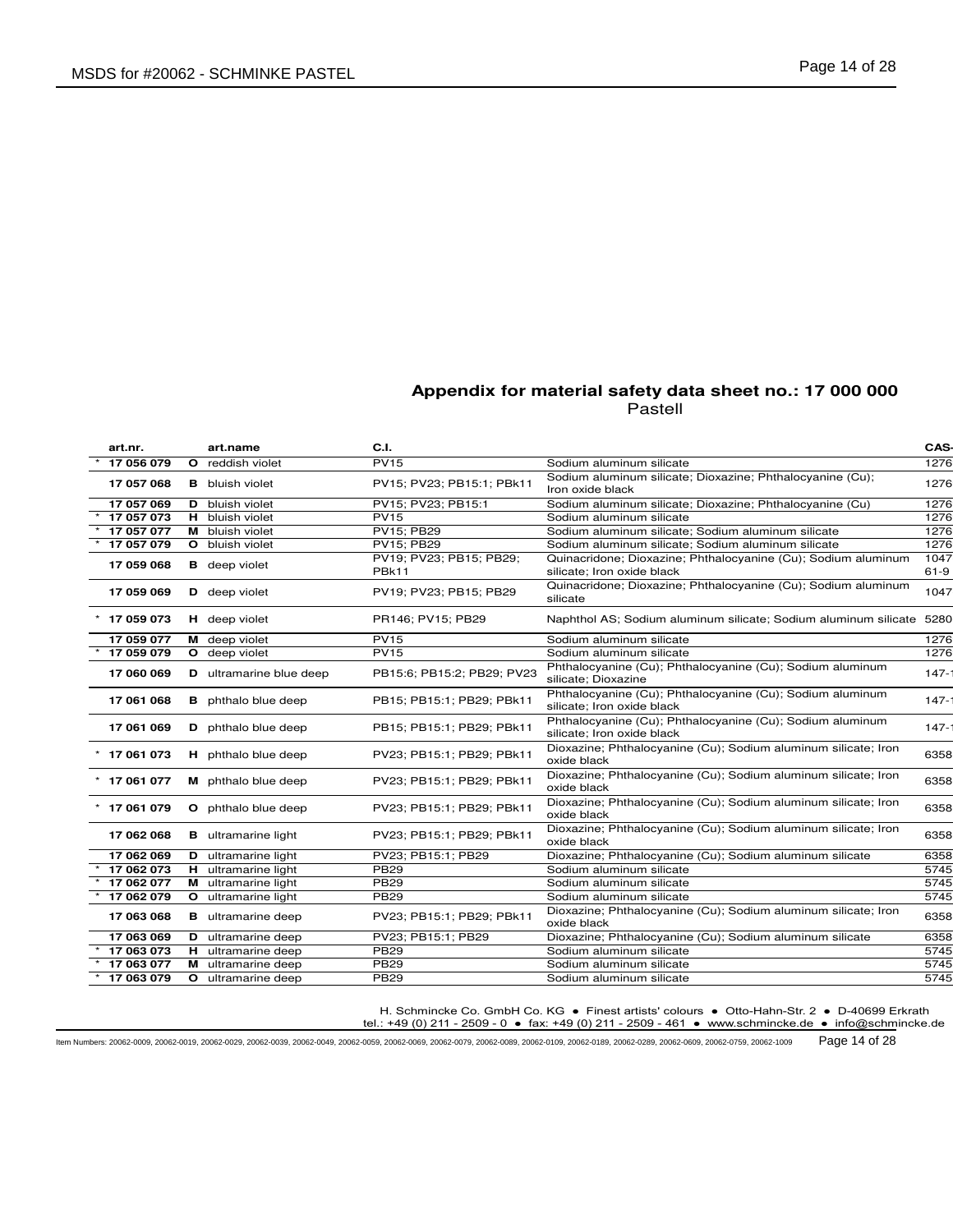| art.nr.      | art.name                       | C.I.                                         |                                                                                             | CAS-           |
|--------------|--------------------------------|----------------------------------------------|---------------------------------------------------------------------------------------------|----------------|
| 17 056 079   | O reddish violet               | <b>PV15</b>                                  | Sodium aluminum silicate                                                                    | 1276           |
| 17 057 068   | <b>B</b> bluish violet         | PV15; PV23; PB15:1; PBk11                    | Sodium aluminum silicate; Dioxazine; Phthalocyanine (Cu);<br>Iron oxide black               | 1276           |
| 17 057 069   | <b>D</b> bluish violet         | PV15: PV23: PB15:1                           | Sodium aluminum silicate; Dioxazine; Phthalocyanine (Cu)                                    | 1276           |
| 17 057 073   | H bluish violet                | <b>PV15</b>                                  | Sodium aluminum silicate                                                                    | 1276           |
| 17 057 077   | M bluish violet                | PV15; PB29                                   | Sodium aluminum silicate; Sodium aluminum silicate                                          | 1276           |
| 17 057 079   | O bluish violet                | PV15; PB29                                   | Sodium aluminum silicate; Sodium aluminum silicate                                          | 1276           |
| 17 059 068   | <b>B</b> deep violet           | PV19; PV23; PB15; PB29;<br>PB <sub>k11</sub> | Quinacridone; Dioxazine; Phthalocyanine (Cu); Sodium aluminum<br>silicate; Iron oxide black | 1047<br>$61-9$ |
| 17 059 069   | D deep violet                  | PV19: PV23: PB15: PB29                       | Quinacridone; Dioxazine; Phthalocyanine (Cu); Sodium aluminum<br>silicate                   | 1047           |
| * 17 059 073 | <b>H</b> deep violet           | PR146: PV15: PB29                            | Naphthol AS; Sodium aluminum silicate; Sodium aluminum silicate 5280                        |                |
| 17 059 077   | M deep violet                  | <b>PV15</b>                                  | Sodium aluminum silicate                                                                    | 1276           |
| 17 059 079   | O deep violet                  | <b>PV15</b>                                  | Sodium aluminum silicate                                                                    | 1276           |
| 17 060 069   | <b>D</b> ultramarine blue deep | PB15:6; PB15:2; PB29; PV23                   | Phthalocyanine (Cu); Phthalocyanine (Cu); Sodium aluminum<br>silicate; Dioxazine            | $147 -$        |
| 17 061 068   | <b>B</b> phthalo blue deep     | PB15: PB15:1: PB29: PBk11                    | Phthalocyanine (Cu); Phthalocyanine (Cu); Sodium aluminum<br>silicate: Iron oxide black     | $147 -$        |
| 17 061 069   | D phthalo blue deep            | PB15; PB15:1; PB29; PBk11                    | Phthalocyanine (Cu); Phthalocyanine (Cu); Sodium aluminum<br>silicate; Iron oxide black     | $147 -$        |
| 17 061 073   | H phthalo blue deep            | PV23; PB15:1; PB29; PBk11                    | Dioxazine; Phthalocyanine (Cu); Sodium aluminum silicate; Iron<br>oxide black               | 6358           |
| 17 061 077   | M phthalo blue deep            | PV23; PB15:1; PB29; PBk11                    | Dioxazine; Phthalocyanine (Cu); Sodium aluminum silicate; Iron<br>oxide black               | 6358           |
| * 17 061 079 | O phthalo blue deep            | PV23; PB15:1; PB29; PBk11                    | Dioxazine; Phthalocyanine (Cu); Sodium aluminum silicate; Iron<br>oxide black               | 6358           |
| 17 062 068   | <b>B</b> ultramarine light     | PV23; PB15:1; PB29; PBk11                    | Dioxazine; Phthalocyanine (Cu); Sodium aluminum silicate; Iron<br>oxide black               | 6358           |
| 17 062 069   | <b>D</b> ultramarine light     | PV23; PB15:1; PB29                           | Dioxazine; Phthalocyanine (Cu); Sodium aluminum silicate                                    | 6358           |
| 17 062 073   | H ultramarine light            | <b>PB29</b>                                  | Sodium aluminum silicate                                                                    | 5745           |
| 17 062 077   | M ultramarine light            | <b>PB29</b>                                  | Sodium aluminum silicate                                                                    | 5745           |
| 17 062 079   | <b>O</b> ultramarine light     | <b>PB29</b>                                  | Sodium aluminum silicate                                                                    | 5745           |
| 17 063 068   | <b>B</b> ultramarine deep      | PV23; PB15:1; PB29; PBk11                    | Dioxazine; Phthalocyanine (Cu); Sodium aluminum silicate; Iron<br>oxide black               | 6358           |
| 17 063 069   | <b>D</b> ultramarine deep      | PV23; PB15:1; PB29                           | Dioxazine; Phthalocyanine (Cu); Sodium aluminum silicate                                    | 6358           |
| 17 063 073   | H ultramarine deep             | <b>PB29</b>                                  | Sodium aluminum silicate                                                                    | 5745           |
| 17 063 077   | M ultramarine deep             | <b>PB29</b>                                  | Sodium aluminum silicate                                                                    | 5745           |
| 17 063 079   | <b>O</b> ultramarine deep      | <b>PB29</b>                                  | Sodium aluminum silicate                                                                    | 5745           |

H. Schmincke Co. GmbH Co. KG ● Finest artists' colours ● Otto-Hahn-Str. 2 ● D-40699 Erkrath

tel.: +49 (0) 211 - 2509 - 0 ● fax: +49 (0) 211 - 2509 - 461 ● www.schmincke.de ● info@schmincke.de

Item Numbers: 20062-0009, 20062-0019, 20062-0029, 20062-0039, 20062-0049, 20062-0059, 20062-0069, 20062-0079, 20062-0089, 20062-0109, 20062-0189, 20062-0289, 20062-0609, 20062-0759, 20062-1009 Page 14 of 28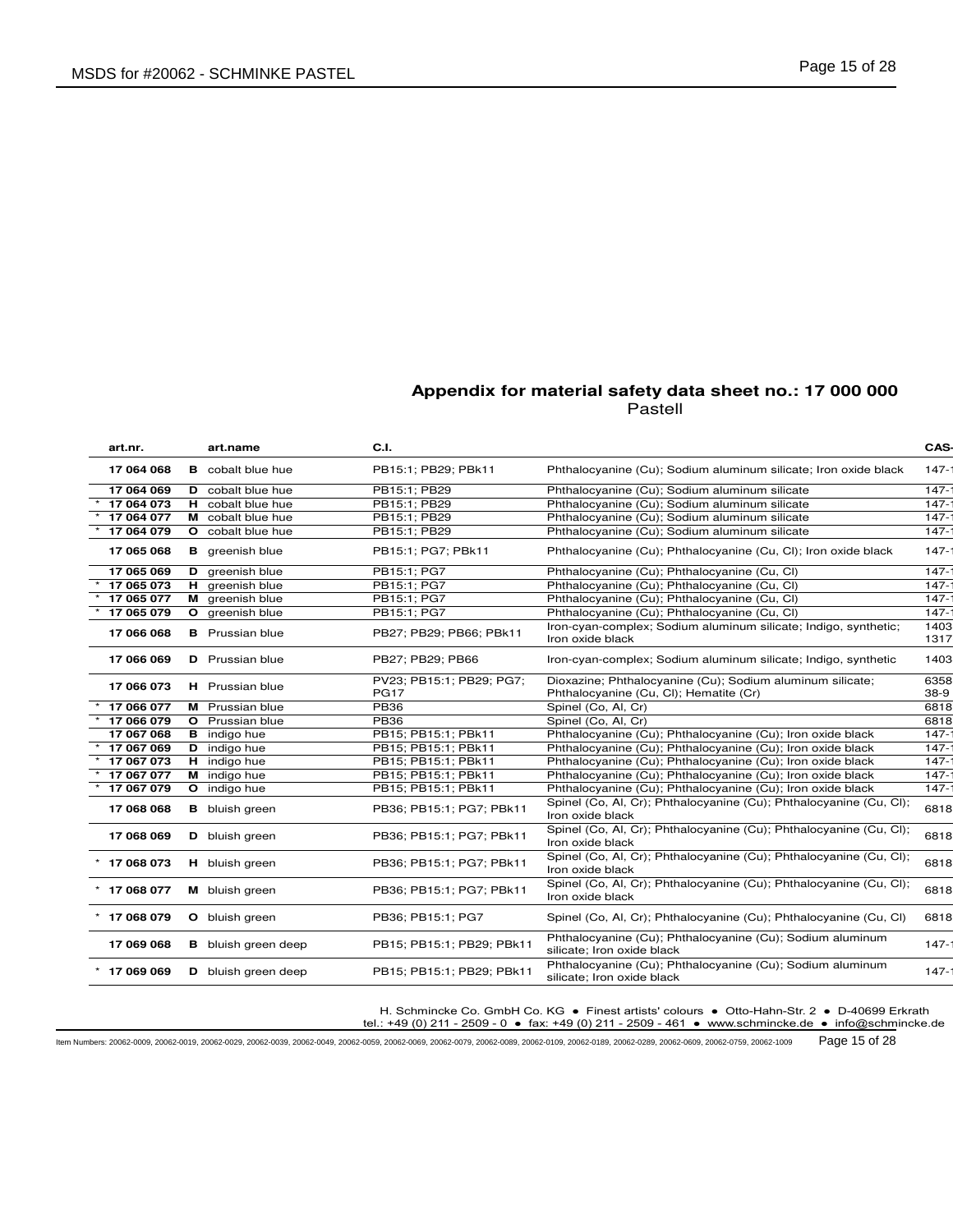| art.nr.        |              | art.name                   | C.I.                                    |                                                                                                     | CAS-           |
|----------------|--------------|----------------------------|-----------------------------------------|-----------------------------------------------------------------------------------------------------|----------------|
| 17 064 068     |              | <b>B</b> cobalt blue hue   | PB15:1; PB29; PBk11                     | Phthalocyanine (Cu); Sodium aluminum silicate; Iron oxide black                                     | $147 -$        |
| 17 064 069     |              | D cobalt blue hue          | PB15:1; PB29                            | Phthalocyanine (Cu); Sodium aluminum silicate                                                       | $147 -$        |
| 17 064 073     |              | H cobalt blue hue          | PB15:1: PB29                            | Phthalocyanine (Cu); Sodium aluminum silicate                                                       | $147 -$        |
| 17 064 077     |              | M cobalt blue hue          | PB15:1; PB29                            | Phthalocyanine (Cu); Sodium aluminum silicate                                                       | $147 -$        |
| 17 064 079     |              | O cobalt blue hue          | PB15:1; PB29                            | Phthalocyanine (Cu); Sodium aluminum silicate                                                       | $147 -$        |
| 17 065 068     |              | <b>B</b> greenish blue     | PB15:1; PG7; PBk11                      | Phthalocyanine (Cu); Phthalocyanine (Cu, Cl); Iron oxide black                                      | $147 -$        |
| 17 065 069     |              | D greenish blue            | PB15:1; PG7                             | Phthalocyanine (Cu); Phthalocyanine (Cu, Cl)                                                        | $147 -$        |
| 17 065 073     |              | H greenish blue            | PB15:1; PG7                             | Phthalocyanine (Cu); Phthalocyanine (Cu, Cl)                                                        | $147 -$        |
| 17 065 077     |              | M greenish blue            | PB15:1: PG7                             | Phthalocyanine (Cu); Phthalocyanine (Cu, Cl)                                                        | $147 -$        |
| 17 065 079     | $\mathbf{o}$ | greenish blue              | PB15:1; PG7                             | Phthalocyanine (Cu); Phthalocyanine (Cu, Cl)                                                        | $147 -$        |
| 17 066 068     |              | <b>B</b> Prussian blue     | PB27; PB29; PB66; PBk11                 | Iron-cyan-complex; Sodium aluminum silicate; Indigo, synthetic;<br>Iron oxide black                 | 1403<br>1317   |
| 17 066 069     |              | <b>D</b> Prussian blue     | PB27; PB29; PB66                        | Iron-cyan-complex; Sodium aluminum silicate; Indigo, synthetic                                      | 1403           |
| 17 066 073     |              | H Prussian blue            | PV23; PB15:1; PB29; PG7;<br><b>PG17</b> | Dioxazine; Phthalocyanine (Cu); Sodium aluminum silicate;<br>Phthalocyanine (Cu, Cl); Hematite (Cr) | 6358<br>$38-9$ |
| 17 066 077     |              | M Prussian blue            | <b>PB36</b>                             | Spinel (Co, Al, Cr)                                                                                 | 6818           |
| 17 066 079     |              | <b>O</b> Prussian blue     | <b>PB36</b>                             | Spinel (Co, Al, Cr)                                                                                 | 6818           |
| 17 067 068     |              | <b>B</b> indigo hue        | PB15; PB15:1; PBk11                     | Phthalocyanine (Cu); Phthalocyanine (Cu); Iron oxide black                                          | $147 -$        |
| 17 067 069     |              | <b>D</b> indigo hue        | PB15; PB15:1; PBk11                     | Phthalocyanine (Cu); Phthalocyanine (Cu); Iron oxide black                                          | $147 -$        |
| 17 067 073     |              | H indigo hue               | PB15; PB15:1; PBk11                     | Phthalocyanine (Cu); Phthalocyanine (Cu); Iron oxide black                                          | $147 -$        |
| 17 067 077     |              | M indigo hue               | PB15; PB15:1; PBk11                     | Phthalocyanine (Cu); Phthalocyanine (Cu); Iron oxide black                                          | $147 -$        |
| 17 067 079     |              | O indigo hue               | PB15; PB15:1; PBk11                     | Phthalocyanine (Cu); Phthalocyanine (Cu); Iron oxide black                                          | $147 -$        |
| 17 068 068     |              | <b>B</b> bluish green      | PB36; PB15:1; PG7; PBk11                | Spinel (Co, Al, Cr); Phthalocyanine (Cu); Phthalocyanine (Cu, Cl);<br>Iron oxide black              | 6818           |
| 17 068 069     |              | D bluish green             | PB36; PB15:1; PG7; PBk11                | Spinel (Co, Al, Cr); Phthalocyanine (Cu); Phthalocyanine (Cu, Cl);<br>Iron oxide black              | 6818           |
| $*$ 17 068 073 |              | H bluish green             | PB36; PB15:1; PG7; PBk11                | Spinel (Co, Al, Cr); Phthalocyanine (Cu); Phthalocyanine (Cu, Cl);<br>Iron oxide black              | 6818           |
| $*$ 17 068 077 |              | M bluish green             | PB36; PB15:1; PG7; PBk11                | Spinel (Co, Al, Cr); Phthalocyanine (Cu); Phthalocyanine (Cu, Cl);<br>Iron oxide black              | 6818           |
| $*$ 17 068 079 |              | O bluish green             | PB36: PB15:1: PG7                       | Spinel (Co, Al, Cr); Phthalocyanine (Cu); Phthalocyanine (Cu, Cl)                                   | 6818           |
| 17 069 068     |              | <b>B</b> bluish green deep | PB15; PB15:1; PB29; PBk11               | Phthalocyanine (Cu); Phthalocyanine (Cu); Sodium aluminum<br>silicate; Iron oxide black             | $147 -$        |
| $*$ 17 069 069 |              | D bluish green deep        | PB15; PB15:1; PB29; PBk11               | Phthalocyanine (Cu); Phthalocyanine (Cu); Sodium aluminum<br>silicate; Iron oxide black             | $147 -$        |
|                |              |                            |                                         |                                                                                                     |                |

H. Schmincke Co. GmbH Co. KG ● Finest artists' colours ● Otto-Hahn-Str. 2 ● D-40699 Erkrath

tel.: +49 (0) 211 - 2509 - 0 ● fax: +49 (0) 211 - 2509 - 461 ● www.schmincke.de ● info@schmincke.de

Item Numbers: 20062-0009, 20062-0019, 20062-0029, 20062-0039, 20062-0049, 20062-0059, 20062-0069, 20062-0079, 20062-0089, 20062-0109, 20062-0189, 20062-0289, 20062-0609, 20062-0759, 20062-1009 Page 15 of 28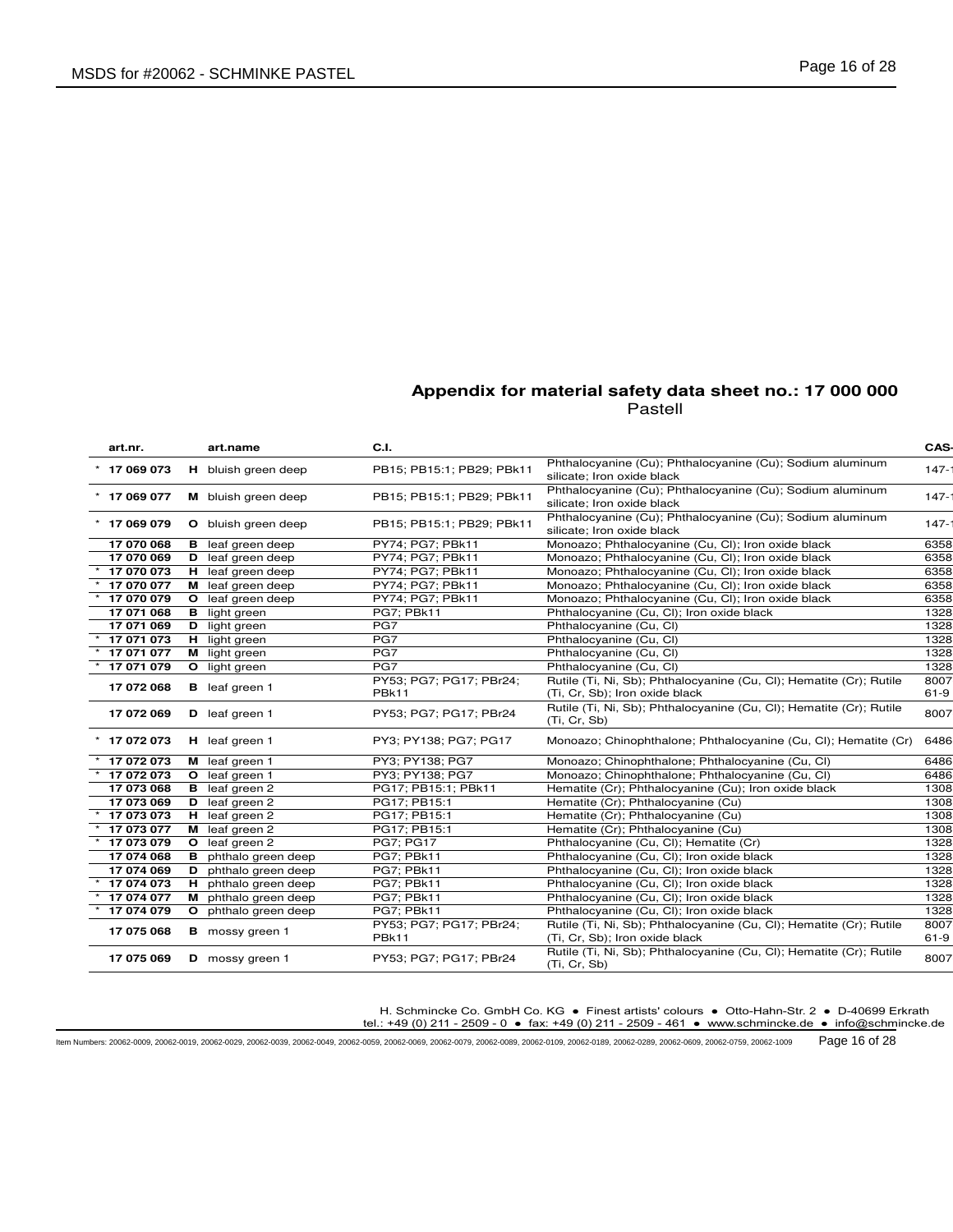| art.nr.        | art.name                    | C.I.                             |                                                                                                       | CAS-         |
|----------------|-----------------------------|----------------------------------|-------------------------------------------------------------------------------------------------------|--------------|
| 17 069 073     | H bluish green deep         | PB15; PB15:1; PB29; PBk11        | Phthalocyanine (Cu); Phthalocyanine (Cu); Sodium aluminum<br>silicate; Iron oxide black               | $147 -$      |
| $*$ 17 069 077 | M bluish green deep         | PB15; PB15:1; PB29; PBk11        | Phthalocyanine (Cu); Phthalocyanine (Cu); Sodium aluminum<br>silicate; Iron oxide black               | $147 -$      |
| * 17 069 079   | O bluish green deep         | PB15; PB15:1; PB29; PBk11        | Phthalocyanine (Cu); Phthalocyanine (Cu); Sodium aluminum<br>silicate; Iron oxide black               | $147 -$      |
| 17 070 068     | <b>B</b> leaf green deep    | PY74; PG7; PBk11                 | Monoazo; Phthalocyanine (Cu, Cl); Iron oxide black                                                    | 6358         |
| 17 070 069     | <b>D</b> leaf green deep    | PY74; PG7; PBk11                 | Monoazo; Phthalocyanine (Cu, Cl); Iron oxide black                                                    | 6358         |
| 17 070 073     | H leaf green deep           | PY74; PG7; PBk11                 | Monoazo; Phthalocyanine (Cu, Cl); Iron oxide black                                                    | 6358         |
| 17 070 077     | M leaf green deep           | PY74; PG7; PBk11                 | Monoazo; Phthalocyanine (Cu, Cl); Iron oxide black                                                    | 6358         |
| 17 070 079     | O leaf green deep           | PY74; PG7; PBk11                 | Monoazo; Phthalocyanine (Cu, Cl); Iron oxide black                                                    | 6358         |
| 17 071 068     | <b>B</b> light green        | PG7; PBk11                       | Phthalocyanine (Cu, Cl); Iron oxide black                                                             | 1328         |
| 17 071 069     | D light green               | PG7                              | Phthalocyanine (Cu, Cl)                                                                               | 1328         |
| 17 071 073     | <b>H</b> light green        | PG7                              | Phthalocyanine (Cu, Cl)                                                                               | 1328         |
| 17 071 077     | M light green               | PG7                              | Phthalocyanine (Cu, Cl)                                                                               | 1328         |
| 17 071 079     | O light green               | PG7                              | Phthalocyanine (Cu, Cl)                                                                               | 1328         |
|                | <b>B</b> leaf green 1       | PY53; PG7; PG17; PBr24;          | Rutile (Ti, Ni, Sb); Phthalocyanine (Cu, Cl); Hematite (Cr); Rutile                                   | 8007         |
| 17 072 068     |                             | PBk11                            | (Ti, Cr, Sb); Iron oxide black                                                                        | $61-9$       |
| 17 072 069     | D leaf green 1              | PY53; PG7; PG17; PBr24           | Rutile (Ti, Ni, Sb); Phthalocyanine (Cu, Cl); Hematite (Cr); Rutile<br>(Ti, Cr, Sb)                   | 8007         |
| $*$ 17 072 073 | H leaf green 1              | PY3; PY138; PG7; PG17            | Monoazo; Chinophthalone; Phthalocyanine (Cu, Cl); Hematite (Cr)                                       | 6486         |
| 17 072 073     | M leaf green 1              | PY3: PY138: PG7                  | Monoazo; Chinophthalone; Phthalocyanine (Cu, Cl)                                                      | 6486         |
| 17 072 073     | O leaf green 1              | PY3: PY138: PG7                  | Monoazo; Chinophthalone; Phthalocyanine (Cu, Cl)                                                      | 6486         |
| 17 073 068     | <b>B</b> leaf green 2       | PG17; PB15:1; PBk11              | Hematite (Cr); Phthalocyanine (Cu); Iron oxide black                                                  | 1308         |
| 17 073 069     | D leaf green 2              | PG17; PB15:1                     | Hematite (Cr); Phthalocyanine (Cu)                                                                    | 1308         |
| 17 073 073     | H leaf green 2              | PG17; PB15:1                     | Hematite (Cr); Phthalocyanine (Cu)                                                                    | 1308         |
| 17 073 077     | M leaf green 2              | PG17; PB15:1                     | Hematite (Cr); Phthalocyanine (Cu)                                                                    | 1308         |
| 17 073 079     | O leaf green 2              | <b>PG7: PG17</b>                 | Phthalocyanine (Cu, Cl); Hematite (Cr)                                                                | 1328         |
| 17 074 068     | <b>B</b> phthalo green deep | PG7; PBk11                       | Phthalocyanine (Cu, Cl); Iron oxide black                                                             | 1328         |
| 17 074 069     | D phthalo green deep        | PG7: PBk11                       | Phthalocyanine (Cu, Cl); Iron oxide black                                                             | 1328         |
| 17 074 073     | H phthalo green deep        | PG7; PBk11                       | Phthalocyanine (Cu, Cl); Iron oxide black                                                             | 1328         |
| 17 074 077     | M phthalo green deep        | PG7; PBk11                       | Phthalocyanine (Cu, Cl); Iron oxide black                                                             | 1328         |
| 17 074 079     | O phthalo green deep        | PG7; PBk11                       | Phthalocyanine (Cu, Cl); Iron oxide black                                                             | 1328         |
| 17 075 068     | <b>B</b> mossy green 1      | PY53; PG7; PG17; PBr24;<br>PBk11 | Rutile (Ti, Ni, Sb); Phthalocyanine (Cu, Cl); Hematite (Cr); Rutile<br>(Ti, Cr, Sb); Iron oxide black | 8007<br>61-9 |
| 17 075 069     | D mossy green 1             | PY53; PG7; PG17; PBr24           | Rutile (Ti, Ni, Sb); Phthalocyanine (Cu, Cl); Hematite (Cr); Rutile<br>(Ti, Cr, Sb)                   | 8007         |

H. Schmincke Co. GmbH Co. KG ● Finest artists' colours ● Otto-Hahn-Str. 2 ● D-40699 Erkrath

tel.: +49 (0) 211 - 2509 - 0 ● fax: +49 (0) 211 - 2509 - 461 ● www.schmincke.de ● info@schmincke.de

Item Numbers: 20062-0009, 20062-0019, 20062-0029, 20062-0039, 20062-0049, 20062-0059, 20062-0069, 20062-0079, 20062-0089, 20062-0109, 20062-0189, 20062-0289, 20062-0609, 20062-0759, 20062-1009 Page 16 of 28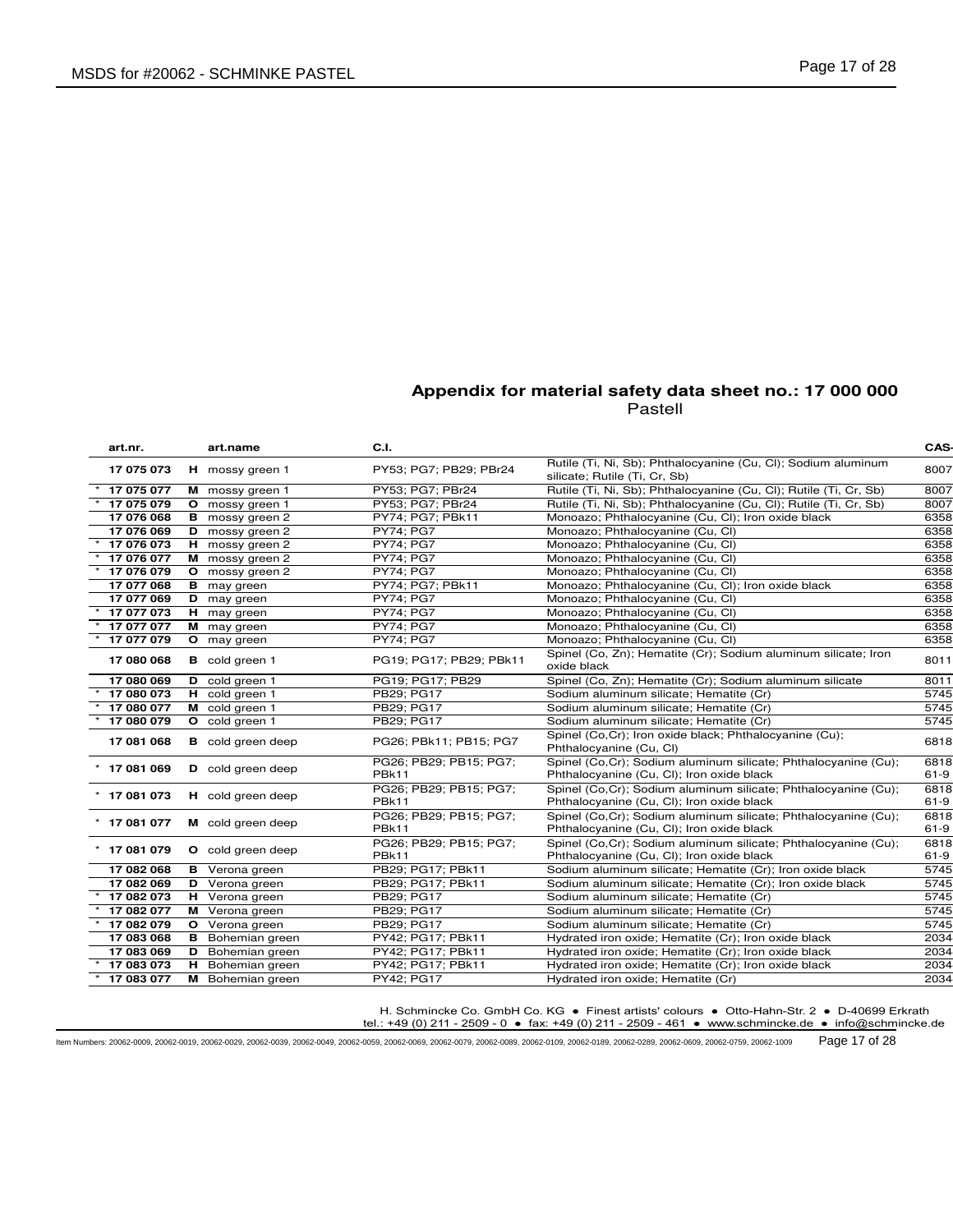| art.nr.        | art.name                 | C.I.                                   |                                                                                                              | CAS-           |
|----------------|--------------------------|----------------------------------------|--------------------------------------------------------------------------------------------------------------|----------------|
| 17 075 073     | H mossy green 1          | PY53: PG7: PB29: PBr24                 | Rutile (Ti, Ni, Sb); Phthalocyanine (Cu, Cl); Sodium aluminum<br>silicate; Rutile (Ti, Cr, Sb)               | 8007           |
| 17 075 077     | M mossy green 1          | PY53; PG7; PBr24                       | Rutile (Ti, Ni, Sb); Phthalocyanine (Cu, Cl); Rutile (Ti, Cr, Sb)                                            | 8007           |
| 17 075 079     | O mossy green 1          | PY53; PG7; PBr24                       | Rutile (Ti, Ni, Sb); Phthalocyanine (Cu, Cl); Rutile (Ti, Cr, Sb)                                            | 8007           |
| 17 076 068     | <b>B</b> mossy green 2   | PY74; PG7; PBk11                       | Monoazo; Phthalocyanine (Cu, Cl); Iron oxide black                                                           | 6358           |
| 17 076 069     | D mossy green 2          | PY74; PG7                              | Monoazo; Phthalocyanine (Cu, Cl)                                                                             | 6358           |
| 17 076 073     | H mossy green 2          | <b>PY74: PG7</b>                       | Monoazo; Phthalocyanine (Cu, Cl)                                                                             | 6358           |
| 17 076 077     | M mossy green 2          | <b>PY74: PG7</b>                       | Monoazo; Phthalocyanine (Cu, Cl)                                                                             | 6358           |
| 17 076 079     | O mossy green 2          | <b>PY74: PG7</b>                       | Monoazo; Phthalocyanine (Cu, Cl)                                                                             | 6358           |
| 17 077 068     | <b>B</b> may green       | PY74; PG7; PBk11                       | Monoazo; Phthalocyanine (Cu, Cl); Iron oxide black                                                           | 6358           |
| 17 077 069     | D may green              | <b>PY74: PG7</b>                       | Monoazo; Phthalocyanine (Cu, Cl)                                                                             | 6358           |
| 17 077 073     | H may green              | <b>PY74: PG7</b>                       | Monoazo; Phthalocyanine (Cu, Cl)                                                                             | 6358           |
| 17 077 077     | M may green              | <b>PY74: PG7</b>                       | Monoazo; Phthalocyanine (Cu, Cl)                                                                             | 6358           |
| 17 077 079     | O may green              | <b>PY74: PG7</b>                       | Monoazo; Phthalocyanine (Cu, Cl)                                                                             | 6358           |
| 17 080 068     | <b>B</b> cold green 1    | PG19: PG17: PB29: PBk11                | Spinel (Co, Zn); Hematite (Cr); Sodium aluminum silicate; Iron<br>oxide black                                | 8011           |
| 17 080 069     | D cold green 1           | PG19; PG17; PB29                       | Spinel (Co, Zn); Hematite (Cr); Sodium aluminum silicate                                                     | 8011           |
| 17 080 073     | H cold green 1           | PB29; PG17                             | Sodium aluminum silicate; Hematite (Cr)                                                                      | 5745           |
| 17 080 077     | M cold green 1           | PB29; PG17                             | Sodium aluminum silicate; Hematite (Cr)                                                                      | 5745           |
| 17 080 079     | O cold green 1           | PB29; PG17                             | Sodium aluminum silicate; Hematite (Cr)                                                                      | 5745           |
| 17 081 068     | <b>B</b> cold green deep | PG26; PBk11; PB15; PG7                 | Spinel (Co,Cr); Iron oxide black; Phthalocyanine (Cu);<br>Phthalocyanine (Cu, Cl)                            | 6818           |
| * 17 081 069   | <b>D</b> cold green deep | PG26; PB29; PB15; PG7;<br><b>PBk11</b> | Spinel (Co, Cr); Sodium aluminum silicate; Phthalocyanine (Cu);<br>Phthalocyanine (Cu, Cl); Iron oxide black | 6818<br>$61-9$ |
| $*$ 17 081 073 | H cold green deep        | PG26; PB29; PB15; PG7;<br>PBk11        | Spinel (Co, Cr); Sodium aluminum silicate; Phthalocyanine (Cu);<br>Phthalocyanine (Cu, Cl); Iron oxide black | 6818<br>$61-9$ |
| $*$ 17 081 077 | M cold green deep        | PG26; PB29; PB15; PG7;<br>PBk11        | Spinel (Co.Cr); Sodium aluminum silicate; Phthalocyanine (Cu);<br>Phthalocyanine (Cu, Cl); Iron oxide black  | 6818<br>$61-9$ |
| $*$ 17 081 079 | O cold green deep        | PG26; PB29; PB15; PG7;<br>PBk11        | Spinel (Co, Cr); Sodium aluminum silicate; Phthalocyanine (Cu);<br>Phthalocyanine (Cu, Cl); Iron oxide black | 6818<br>$61-9$ |
| 17 082 068     | <b>B</b> Verona green    | PB29; PG17; PBk11                      | Sodium aluminum silicate; Hematite (Cr); Iron oxide black                                                    | 5745           |
| 17 082 069     | <b>D</b> Verona green    | PB29; PG17; PBk11                      | Sodium aluminum silicate; Hematite (Cr); Iron oxide black                                                    | 5745           |
| 17 082 073     | H Verona green           | PB29; PG17                             | Sodium aluminum silicate; Hematite (Cr)                                                                      | 5745           |
| 17 082 077     | M Verona green           | PB29; PG17                             | Sodium aluminum silicate; Hematite (Cr)                                                                      | 5745           |
| 17 082 079     | O Verona green           | PB29: PG17                             | Sodium aluminum silicate; Hematite (Cr)                                                                      | 5745           |
| 17 083 068     | <b>B</b> Bohemian green  | PY42; PG17; PBk11                      | Hydrated iron oxide; Hematite (Cr); Iron oxide black                                                         | 2034           |
| 17 083 069     | <b>D</b> Bohemian green  | PY42; PG17; PBk11                      | Hydrated iron oxide; Hematite (Cr); Iron oxide black                                                         | 2034           |
| 17 083 073     | H Bohemian green         | PY42; PG17; PBk11                      | Hydrated iron oxide; Hematite (Cr); Iron oxide black                                                         | 2034           |
| 17 083 077     | M Bohemian green         | PY42; PG17                             | Hydrated iron oxide; Hematite (Cr)                                                                           | 2034           |

H. Schmincke Co. GmbH Co. KG ● Finest artists' colours ● Otto-Hahn-Str. 2 ● D-40699 Erkrath

tel.: +49 (0) 211 - 2509 - 0 ● fax: +49 (0) 211 - 2509 - 461 ● www.schmincke.de ● info@schmincke.de

Item Numbers: 20062-0009, 20062-0019, 20062-0029, 20062-0039, 20062-0049, 20062-0059, 20062-0069, 20062-0079, 20062-0089, 20062-0109, 20062-0189, 20062-0289, 20062-0609, 20062-0759, 20062-1009 Page 17 of 28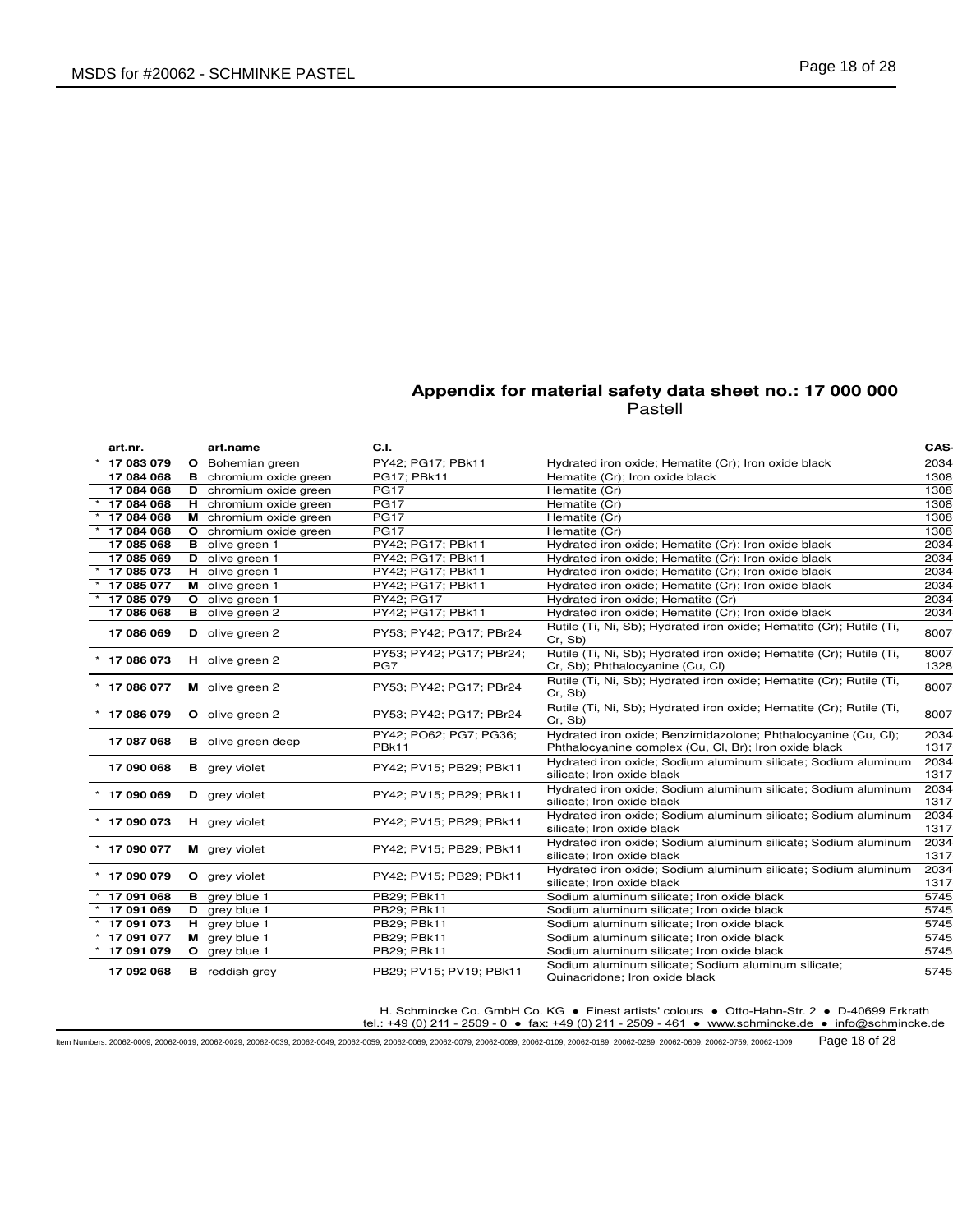| art.nr.        | art.name                      | C.I.                            |                                                                                                          | CAS-         |
|----------------|-------------------------------|---------------------------------|----------------------------------------------------------------------------------------------------------|--------------|
| 17 083 079     | <b>O</b> Bohemian green       | PY42; PG17; PBk11               | Hydrated iron oxide; Hematite (Cr); Iron oxide black                                                     | 2034         |
| 17 084 068     | <b>B</b> chromium oxide green | PG17; PBk11                     | Hematite (Cr); Iron oxide black                                                                          | 1308         |
| 17 084 068     | <b>D</b> chromium oxide green | <b>PG17</b>                     | Hematite (Cr)                                                                                            | 1308         |
| 17 084 068     | H chromium oxide green        | <b>PG17</b>                     | Hematite (Cr)                                                                                            | 1308         |
| 17 084 068     | M chromium oxide green        | <b>PG17</b>                     | Hematite (Cr)                                                                                            | 1308         |
| 17 084 068     | <b>O</b> chromium oxide green | <b>PG17</b>                     | Hematite (Cr)                                                                                            | 1308         |
| 17 085 068     | <b>B</b> olive green 1        | PY42; PG17; PBk11               | Hydrated iron oxide; Hematite (Cr); Iron oxide black                                                     | 2034         |
| 17 085 069     | D olive green 1               | PY42; PG17; PBk11               | Hydrated iron oxide; Hematite (Cr); Iron oxide black                                                     | 2034         |
| 17 085 073     | H olive green 1               | PY42; PG17; PBk11               | Hydrated iron oxide; Hematite (Cr); Iron oxide black                                                     | 2034         |
| 17 085 077     | M olive green 1               | PY42; PG17; PBk11               | Hydrated iron oxide; Hematite (Cr); Iron oxide black                                                     | 2034         |
| 17 085 079     | O olive green 1               | PY42; PG17                      | Hydrated iron oxide; Hematite (Cr)                                                                       | 2034         |
| 17 086 068     | <b>B</b> olive green 2        | PY42; PG17; PBk11               | Hydrated iron oxide; Hematite (Cr); Iron oxide black                                                     | 2034         |
| 17 086 069     | D olive green 2               | PY53; PY42; PG17; PBr24         | Rutile (Ti, Ni, Sb); Hydrated iron oxide; Hematite (Cr); Rutile (Ti,<br>Cr. Sb)                          | 8007         |
| $*$ 17 086 073 | H olive green 2               | PY53; PY42; PG17; PBr24;<br>PG7 | Rutile (Ti, Ni, Sb); Hydrated iron oxide; Hematite (Cr); Rutile (Ti,<br>Cr, Sb); Phthalocyanine (Cu, Cl) | 8007<br>1328 |
| $*$ 17 086 077 | M olive green 2               | PY53; PY42; PG17; PBr24         | Rutile (Ti, Ni, Sb); Hydrated iron oxide; Hematite (Cr); Rutile (Ti,<br>Cr. Sb)                          | 8007         |
| * 17 086 079   | O olive green 2               | PY53; PY42; PG17; PBr24         | Rutile (Ti, Ni, Sb); Hydrated iron oxide; Hematite (Cr); Rutile (Ti,<br>Cr, Sb)                          | 8007         |
|                |                               | PY42; PO62; PG7; PG36;          | Hydrated iron oxide; Benzimidazolone; Phthalocyanine (Cu, Cl);                                           | 2034         |
| 17 087 068     | <b>B</b> olive green deep     | PBk11                           | Phthalocyanine complex (Cu, Cl, Br); Iron oxide black                                                    | 1317         |
| 17 090 068     | <b>B</b> grey violet          | PY42; PV15; PB29; PBk11         | Hydrated iron oxide; Sodium aluminum silicate; Sodium aluminum<br>silicate; Iron oxide black             | 2034<br>1317 |
| 17 090 069     | D grey violet                 | PY42; PV15; PB29; PBk11         | Hydrated iron oxide; Sodium aluminum silicate; Sodium aluminum<br>silicate; Iron oxide black             | 2034<br>1317 |
| $*$ 17 090 073 | H grey violet                 | PY42; PV15; PB29; PBk11         | Hydrated iron oxide; Sodium aluminum silicate; Sodium aluminum<br>silicate; Iron oxide black             | 2034<br>1317 |
| * 17 090 077   | M grey violet                 | PY42; PV15; PB29; PBk11         | Hydrated iron oxide; Sodium aluminum silicate; Sodium aluminum<br>silicate; Iron oxide black             | 2034<br>1317 |
| * 17 090 079   | O grey violet                 | PY42; PV15; PB29; PBk11         | Hydrated iron oxide; Sodium aluminum silicate; Sodium aluminum<br>silicate; Iron oxide black             | 2034<br>1317 |
| 17 091 068     | <b>B</b> grey blue 1          | PB29; PBk11                     | Sodium aluminum silicate; Iron oxide black                                                               | 5745         |
| 17 091 069     | D grey blue 1                 | PB29; PBk11                     | Sodium aluminum silicate; Iron oxide black                                                               | 5745         |
| 17 091 073     | H grey blue 1                 | PB29; PBk11                     | Sodium aluminum silicate; Iron oxide black                                                               | 5745         |
| 17 091 077     | M grey blue 1                 | PB29; PBk11                     | Sodium aluminum silicate; Iron oxide black                                                               | 5745         |
| 17 091 079     | O grey blue 1                 | PB29; PBk11                     | Sodium aluminum silicate; Iron oxide black                                                               | 5745         |
| 17 092 068     | <b>B</b> reddish grey         | PB29; PV15; PV19; PBk11         | Sodium aluminum silicate; Sodium aluminum silicate;<br>Quinacridone; Iron oxide black                    | 5745         |

H. Schmincke Co. GmbH Co. KG ● Finest artists' colours ● Otto-Hahn-Str. 2 ● D-40699 Erkrath

tel.: +49 (0) 211 - 2509 - 0 ● fax: +49 (0) 211 - 2509 - 461 ● www.schmincke.de ● info@schmincke.de

Item Numbers: 20062-0009, 20062-0019, 20062-0029, 20062-0039, 20062-0049, 20062-0059, 20062-0069, 20062-0079, 20062-0089, 20062-0109, 20062-0189, 20062-0289, 20062-0609, 20062-0759, 20062-1009 Page 18 of 28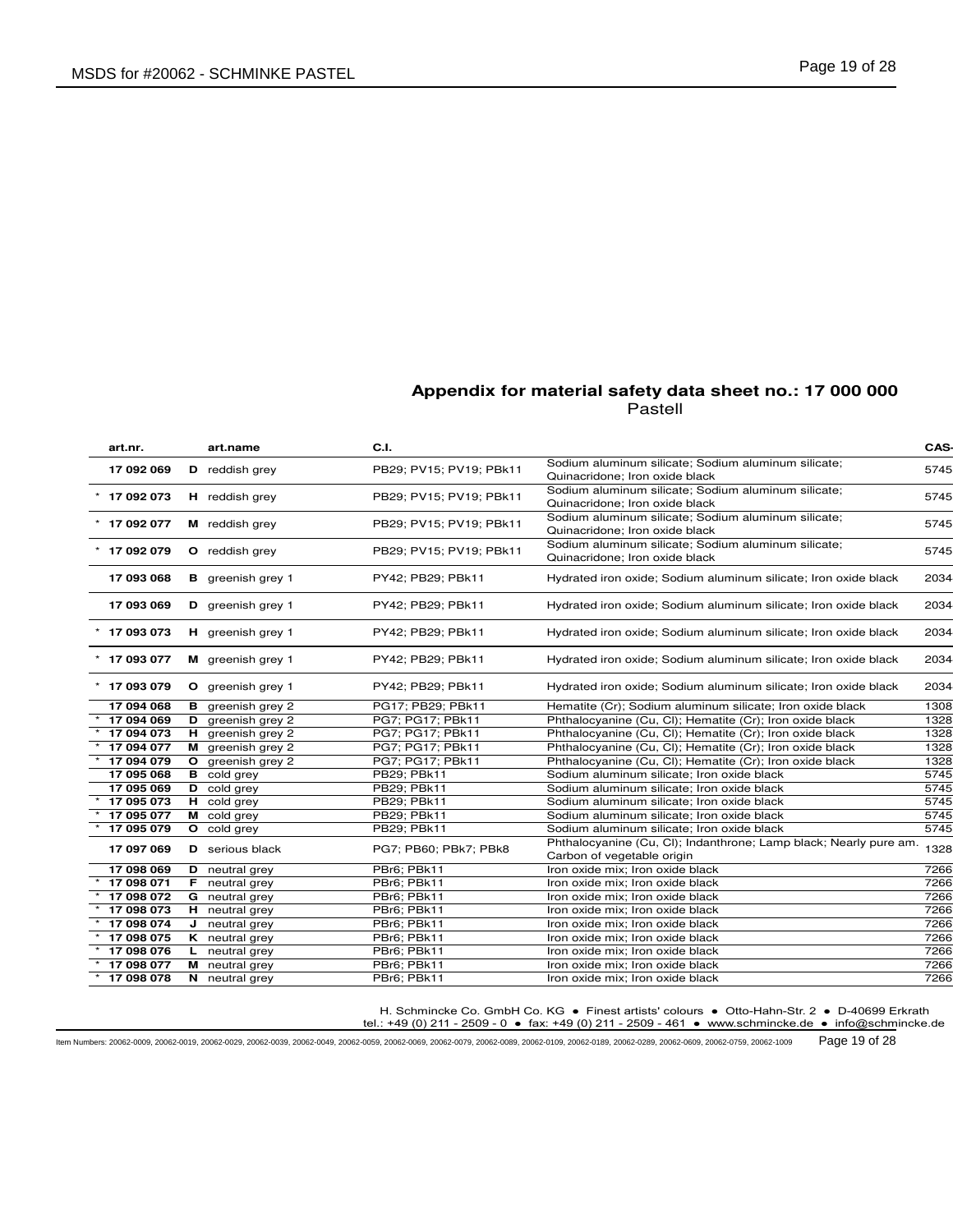| art.nr.        |    | art.name                 | C.I.                    |                                                                                                 | CAS- |
|----------------|----|--------------------------|-------------------------|-------------------------------------------------------------------------------------------------|------|
| 17 092 069     |    | D reddish grey           | PB29: PV15: PV19: PBk11 | Sodium aluminum silicate; Sodium aluminum silicate;<br>Quinacridone; Iron oxide black           | 5745 |
| 17 092 073     |    | <b>H</b> reddish grey    | PB29; PV15; PV19; PBk11 | Sodium aluminum silicate; Sodium aluminum silicate;<br>Quinacridone; Iron oxide black           | 5745 |
| 17 092 077     |    | M reddish grey           | PB29; PV15; PV19; PBk11 | Sodium aluminum silicate; Sodium aluminum silicate;<br>Quinacridone; Iron oxide black           | 5745 |
| 17 092 079     |    | O reddish grey           | PB29; PV15; PV19; PBk11 | Sodium aluminum silicate; Sodium aluminum silicate;<br>Quinacridone; Iron oxide black           | 5745 |
| 17 093 068     |    | <b>B</b> greenish grey 1 | PY42; PB29; PBk11       | Hydrated iron oxide; Sodium aluminum silicate; Iron oxide black                                 | 2034 |
| 17 093 069     |    | D greenish grey 1        | PY42; PB29; PBk11       | Hydrated iron oxide; Sodium aluminum silicate; Iron oxide black                                 | 2034 |
| $*$ 17 093 073 |    | H greenish grey 1        | PY42; PB29; PBk11       | Hydrated iron oxide; Sodium aluminum silicate; Iron oxide black                                 | 2034 |
| $*$ 17 093 077 |    | M greenish grey 1        | PY42; PB29; PBk11       | Hydrated iron oxide; Sodium aluminum silicate; Iron oxide black                                 | 2034 |
| * 17 093 079   |    | O greenish grey 1        | PY42; PB29; PBk11       | Hydrated iron oxide; Sodium aluminum silicate; Iron oxide black                                 | 2034 |
| 17 094 068     |    | <b>B</b> greenish grey 2 | PG17; PB29; PBk11       | Hematite (Cr); Sodium aluminum silicate; Iron oxide black                                       | 1308 |
| 17 094 069     |    | D greenish grey 2        | PG7; PG17; PBk11        | Phthalocyanine (Cu, Cl); Hematite (Cr); Iron oxide black                                        | 1328 |
| 17 094 073     |    | H greenish grey 2        | PG7; PG17; PBk11        | Phthalocyanine (Cu, Cl); Hematite (Cr); Iron oxide black                                        | 1328 |
| 17 094 077     |    | M greenish grey 2        | PG7; PG17; PBk11        | Phthalocyanine (Cu, Cl); Hematite (Cr); Iron oxide black                                        | 1328 |
| 17 094 079     |    | O greenish grey 2        | PG7; PG17; PBk11        | Phthalocyanine (Cu, Cl); Hematite (Cr); Iron oxide black                                        | 1328 |
| 17 095 068     |    | <b>B</b> cold grey       | PB29; PBk11             | Sodium aluminum silicate; Iron oxide black                                                      | 5745 |
| 17 095 069     |    | D cold grey              | PB29; PBk11             | Sodium aluminum silicate; Iron oxide black                                                      | 5745 |
| 17 095 073     |    | H cold grey              | PB29; PBk11             | Sodium aluminum silicate; Iron oxide black                                                      | 5745 |
| 17 095 077     |    | M cold grey              | PB29; PBk11             | Sodium aluminum silicate; Iron oxide black                                                      | 5745 |
| 17 095 079     |    | O cold grey              | PB29: PBk11             | Sodium aluminum silicate; Iron oxide black                                                      | 5745 |
| 17 097 069     |    | <b>D</b> serious black   | PG7; PB60; PBk7; PBk8   | Phthalocyanine (Cu, Cl); Indanthrone; Lamp black; Nearly pure am.<br>Carbon of vegetable origin | 1328 |
| 17 098 069     |    | D neutral grey           | PBr6; PBk11             | Iron oxide mix; Iron oxide black                                                                | 7266 |
| 17 098 071     |    | <b>F</b> neutral grey    | PBr6; PBk11             | Iron oxide mix: Iron oxide black                                                                | 7266 |
| 17 098 072     |    | <b>G</b> neutral grey    | PBr6; PBk11             | Iron oxide mix; Iron oxide black                                                                | 7266 |
| 17 098 073     |    | H neutral grey           | PBr6; PBk11             | Iron oxide mix; Iron oxide black                                                                | 7266 |
| 17 098 074     |    | $J$ neutral grey         | PBr6; PBk11             | Iron oxide mix; Iron oxide black                                                                | 7266 |
| 17 098 075     |    | K neutral grey           | PBr6; PBk11             | Iron oxide mix; Iron oxide black                                                                | 7266 |
| 17 098 076     |    | neutral grey             | PBr6; PBk11             | Iron oxide mix; Iron oxide black                                                                | 7266 |
| 17 098 077     |    | <b>M</b> neutral grey    | PBr6; PBk11             | Iron oxide mix; Iron oxide black                                                                | 7266 |
| 17 098 078     | N. | neutral grey             | PBr6; PBk11             | Iron oxide mix; Iron oxide black                                                                | 7266 |

H. Schmincke Co. GmbH Co. KG ● Finest artists' colours ● Otto-Hahn-Str. 2 ● D-40699 Erkrath

tel.: +49 (0) 211 - 2509 - 0 ● fax: +49 (0) 211 - 2509 - 461 ● www.schmincke.de ● info@schmincke.de

Item Numbers: 20062-0009, 20062-0019, 20062-0029, 20062-0039, 20062-0049, 20062-0059, 20062-0069, 20062-0079, 20062-0089, 20062-0109, 20062-0189, 20062-0289, 20062-0609, 20062-0759, 20062-1009 Page 19 of 28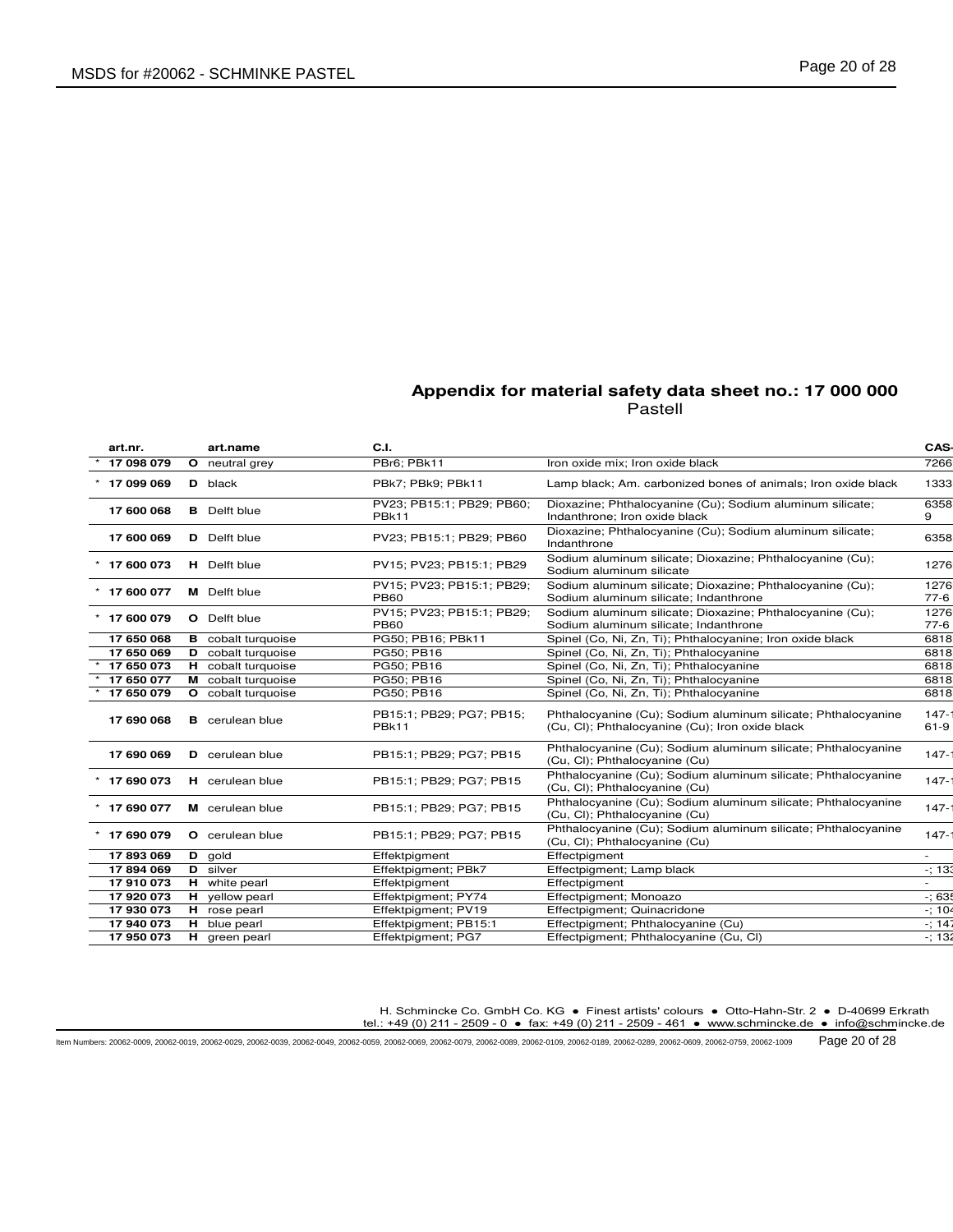| art.nr.        | art.name                  | C.I.                                     |                                                                                                                  | CAS-              |
|----------------|---------------------------|------------------------------------------|------------------------------------------------------------------------------------------------------------------|-------------------|
| 17 098 079     | O neutral grey            | PBr6; PBk11                              | Iron oxide mix; Iron oxide black                                                                                 | 7266              |
| 17 099 069     | D black                   | PBk7; PBk9; PBk11                        | Lamp black; Am. carbonized bones of animals; Iron oxide black                                                    | 1333              |
| 17 600 068     | <b>B</b> Delft blue       | PV23; PB15:1; PB29; PB60;<br>PBk11       | Dioxazine; Phthalocyanine (Cu); Sodium aluminum silicate;<br>Indanthrone; Iron oxide black                       | 6358<br>9         |
| 17 600 069     | <b>D</b> Delft blue       | PV23; PB15:1; PB29; PB60                 | Dioxazine; Phthalocyanine (Cu); Sodium aluminum silicate;<br>Indanthrone                                         | 6358              |
| $*$ 17 600 073 | H Delft blue              | PV15; PV23; PB15:1; PB29                 | Sodium aluminum silicate; Dioxazine; Phthalocyanine (Cu);<br>Sodium aluminum silicate                            | 1276              |
| 17 600 077     | <b>M</b> Delft blue       | PV15; PV23; PB15:1; PB29;<br><b>PB60</b> | Sodium aluminum silicate; Dioxazine; Phthalocyanine (Cu);<br>Sodium aluminum silicate; Indanthrone               | 1276<br>$77-6$    |
| $*$ 17 600 079 | <b>O</b> Delft blue       | PV15: PV23: PB15:1: PB29:<br><b>PB60</b> | Sodium aluminum silicate; Dioxazine; Phthalocyanine (Cu);<br>Sodium aluminum silicate; Indanthrone               | 1276<br>$77-6$    |
| 17 650 068     | <b>B</b> cobalt turquoise | PG50; PB16; PBk11                        | Spinel (Co, Ni, Zn, Ti); Phthalocyanine; Iron oxide black                                                        | 6818              |
| 17 650 069     | <b>D</b> cobalt turquoise | PG50: PB16                               | Spinel (Co, Ni, Zn, Ti); Phthalocyanine                                                                          | 6818              |
| 17 650 073     | H cobalt turquoise        | PG50; PB16                               | Spinel (Co, Ni, Zn, Ti); Phthalocyanine                                                                          | 6818              |
| 17 650 077     | M cobalt turquoise        | PG50; PB16                               | Spinel (Co, Ni, Zn, Ti); Phthalocyanine                                                                          | 6818              |
| 17 650 079     | O cobalt turquoise        | PG50; PB16                               | Spinel (Co, Ni, Zn, Ti); Phthalocyanine                                                                          | 6818              |
| 17 690 068     | <b>B</b> cerulean blue    | PB15:1; PB29; PG7; PB15;<br>PBk11        | Phthalocyanine (Cu); Sodium aluminum silicate; Phthalocyanine<br>(Cu, Cl); Phthalocyanine (Cu); Iron oxide black | $147 -$<br>$61-9$ |
| 17 690 069     | <b>D</b> cerulean blue    | PB15:1; PB29; PG7; PB15                  | Phthalocyanine (Cu); Sodium aluminum silicate; Phthalocyanine<br>(Cu, Cl); Phthalocyanine (Cu)                   | $147 -$           |
| $*$ 17 690 073 | H cerulean blue           | PB15:1; PB29; PG7; PB15                  | Phthalocyanine (Cu); Sodium aluminum silicate; Phthalocyanine<br>(Cu, Cl); Phthalocyanine (Cu)                   | $147 -$           |
| 17 690 077     | M cerulean blue           | PB15:1; PB29; PG7; PB15                  | Phthalocyanine (Cu); Sodium aluminum silicate; Phthalocyanine<br>(Cu, Cl); Phthalocyanine (Cu)                   | $147 -$           |
| $*$ 17 690 079 | O cerulean blue           | PB15:1; PB29; PG7; PB15                  | Phthalocyanine (Cu); Sodium aluminum silicate; Phthalocyanine<br>(Cu, Cl); Phthalocyanine (Cu)                   | $147 -$           |
| 17893069       | D gold                    | Effektpigment                            | Effectpigment                                                                                                    |                   |
| 17894069       | D silver                  | Effektpigment; PBk7                      | Effectpigment; Lamp black                                                                                        | $-; 133$          |
| 17 910 073     | H white pearl             | Effektpigment                            | Effectpigment                                                                                                    |                   |
| 17 920 073     | H yellow pearl            | Effektpigment; PY74                      | Effectpigment; Monoazo                                                                                           | $-;635$           |
| 17 930 073     | H rose pearl              | Effektpigment; PV19                      | Effectpigment; Quinacridone                                                                                      | $-; 104$          |
| 17 940 073     | H blue pearl              | Effektpigment; PB15:1                    | Effectpigment; Phthalocyanine (Cu)                                                                               | $-; 14$           |
| 17 950 073     | H green pearl             | Effektpigment; PG7                       | Effectpigment; Phthalocyanine (Cu, Cl)                                                                           | $-132$            |

H. Schmincke Co. GmbH Co. KG ● Finest artists' colours ● Otto-Hahn-Str. 2 ● D-40699 Erkrath

tel.: +49 (0) 211 - 2509 - 0 ● fax: +49 (0) 211 - 2509 - 461 ● www.schmincke.de ● info@schmincke.de

Item Numbers: 20062-0009, 20062-0019, 20062-0029, 20062-0039, 20062-0049, 20062-0059, 20062-0069, 20062-0079, 20062-0089, 20062-0109, 20062-0189, 20062-0289, 20062-0609, 20062-0759, 20062-1009 Page 20 of 28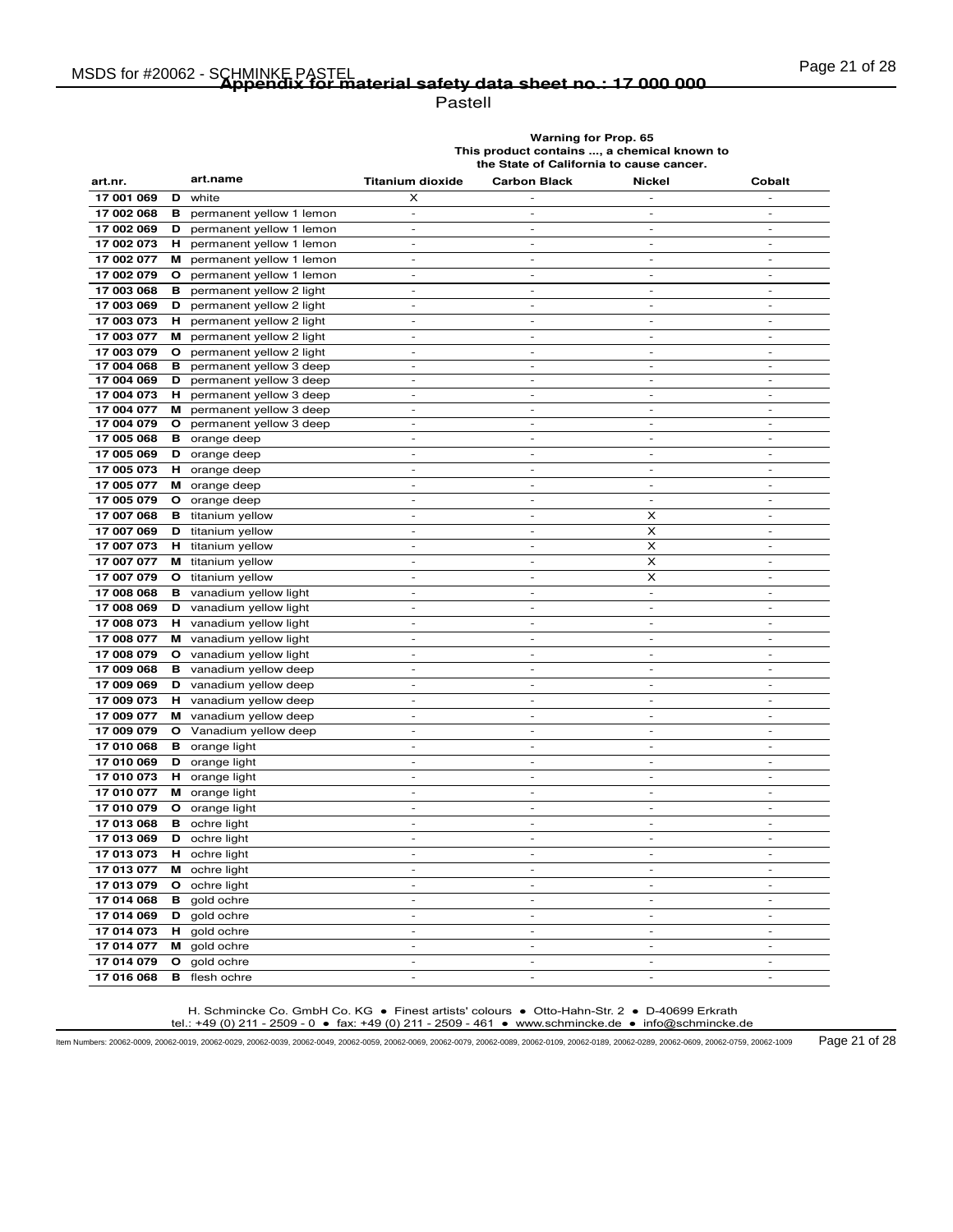# Page 21 of 28 MSDS for #20062 - SCHMINKE PASTEL **Appendix for material safety data sheet no.: 17 000 000**

Pastell

**Warning for Prop. 65 This product contains ..., a chemical known to the State of California to cause cancer.**

| art.nr.                  | art.name                                       | <b>Titanium dioxide</b>            | <b>Carbon Black</b>                | <b>Nickel</b>                      | Cobalt                             |
|--------------------------|------------------------------------------------|------------------------------------|------------------------------------|------------------------------------|------------------------------------|
| 17 001 069               | D<br>white                                     | x                                  |                                    | $\overline{\phantom{a}}$           | $\overline{a}$                     |
| 17 002 068               | в<br>permanent yellow 1 lemon                  | $\overline{\phantom{a}}$           | $\overline{\phantom{m}}$           | $\overline{\phantom{a}}$           | $\overline{\phantom{m}}$           |
| 17 002 069               | permanent yellow 1 lemon<br>D                  | $\overline{\phantom{a}}$           | $\overline{a}$                     | $\frac{1}{2}$                      | $\overline{a}$                     |
| 17 002 073               | permanent yellow 1 lemon<br>н                  | $\overline{a}$                     | $\overline{\phantom{a}}$           | $\overline{\phantom{a}}$           | $\overline{\phantom{a}}$           |
| 17 002 077               | permanent yellow 1 lemon<br>M                  | $\overline{\phantom{a}}$           | $\sim$                             | $\sim$                             | $\overline{\phantom{a}}$           |
| 17 002 079               | $\circ$<br>permanent yellow 1 lemon            | $\overline{\phantom{a}}$           | $\frac{1}{2}$                      | $\overline{\phantom{a}}$           | $\overline{\phantom{a}}$           |
| 17 003 068               | permanent yellow 2 light<br>в                  | $\overline{\phantom{a}}$           | $\overline{\phantom{a}}$           | $\overline{\phantom{a}}$           | $\overline{\phantom{a}}$           |
| 17 003 069               | permanent yellow 2 light<br>D                  | $\overline{\phantom{a}}$           | $\sim$                             | $\sim$                             | $\sim$                             |
| 17 003 073               | н<br>permanent yellow 2 light                  |                                    |                                    |                                    |                                    |
| 17 003 077               | permanent yellow 2 light<br>м                  | $\overline{\phantom{a}}$           | $\overline{\phantom{a}}$           | $\sim$                             | $\overline{\phantom{a}}$           |
| 17 003 079               | permanent yellow 2 light<br>$\circ$            | $\overline{\phantom{a}}$           | $\overline{\phantom{a}}$           | $\overline{\phantom{a}}$           | $\overline{\phantom{a}}$           |
| 17 004 068               | permanent yellow 3 deep<br>в                   | $\qquad \qquad \blacksquare$       | $\overline{\phantom{m}}$           | $\frac{1}{2}$                      | $\overline{a}$                     |
| 17 004 069               | D<br>permanent yellow 3 deep                   | $\frac{1}{2}$                      | $\overline{a}$                     | $\overline{a}$                     | L,                                 |
| 17 004 073               | н<br>permanent yellow 3 deep                   | $\overline{\phantom{a}}$           | $\sim$                             | $\sim$                             | $\sim$                             |
| 17 004 077               | permanent yellow 3 deep<br>м                   | $\overline{\phantom{a}}$           | $\qquad \qquad -$                  | $\overline{\phantom{a}}$           | $\overline{a}$                     |
| 17 004 079               | $\circ$<br>permanent yellow 3 deep             | $\overline{a}$                     | $\frac{1}{2}$                      | $\overline{\phantom{a}}$           | $\overline{\phantom{a}}$           |
| 17 005 068               | <b>B</b> orange deep                           | $\overline{\phantom{a}}$           | $\sim$                             | $\sim$                             | $\sim$                             |
| 17 005 069               | D<br>orange deep                               | $\overline{a}$                     | $\overline{a}$                     | ÷,                                 | L,                                 |
| 17 005 073               | H.<br>orange deep                              | $\sim$                             | $\overline{\phantom{a}}$           | $\sim$                             | $\sim$                             |
| 17 005 077               | м<br>orange deep                               | $\overline{\phantom{a}}$           | $\overline{\phantom{a}}$           | $\sim$                             | $\overline{\phantom{a}}$           |
| 17 005 079               | $\mathbf{o}$<br>orange deep                    | $\overline{a}$                     | $\overline{a}$                     | $\overline{a}$                     | L,                                 |
| 17 007 068               | <b>B</b> titanium yellow                       | $\overline{a}$                     | $\overline{a}$                     | x                                  | $\overline{a}$                     |
| 17 007 069               | titanium yellow<br>D                           | $\sim$                             | $\overline{\phantom{a}}$           | X                                  | $\overline{a}$                     |
| 17 007 073               | н<br>titanium yellow                           | $\frac{1}{2}$                      | $\overline{a}$                     | X                                  | $\mathbb{L}$                       |
| 17 007 077               | titanium yellow<br>м                           | $\overline{a}$                     | $\overline{a}$                     | X                                  | $\sim$                             |
| 17 007 079               | titanium yellow<br>$\mathbf{o}$                | $\blacksquare$                     | $\blacksquare$<br>$\overline{a}$   | x<br>$\overline{a}$                | $\sim$                             |
| 17 008 068               | в<br>vanadium yellow light                     | $\overline{a}$                     |                                    |                                    | L,                                 |
| 17 008 069               | vanadium yellow light<br>D                     | $\overline{\phantom{a}}$           | ٠                                  | $\overline{\phantom{a}}$           | $\overline{a}$                     |
| 17 008 073               | vanadium yellow light<br>н.                    | $\overline{\phantom{a}}$           | $\overline{\phantom{a}}$           | $\overline{\phantom{a}}$           | $\overline{\phantom{a}}$           |
| 17 008 077               | м<br>vanadium yellow light                     |                                    |                                    |                                    |                                    |
| 17 008 079               | vanadium yellow light<br>$\mathbf{o}$          | $\sim$                             | $\sim$                             | $\sim$                             | $\sim$                             |
| 17 009 068               | в<br>vanadium yellow deep                      | $\overline{\phantom{a}}$           | $\overline{\phantom{a}}$           | $\overline{\phantom{a}}$           | $\overline{\phantom{a}}$           |
| 17 009 069<br>17 009 073 | D<br>vanadium yellow deep<br>н                 | $\overline{\phantom{a}}$<br>$\sim$ | $\overline{\phantom{m}}$<br>$\sim$ | $\overline{\phantom{a}}$<br>$\sim$ | $\overline{\phantom{m}}$<br>$\sim$ |
| 17 009 077               | vanadium yellow deep<br>M vanadium yellow deep | $\overline{a}$                     | $\overline{\phantom{a}}$           | $\overline{\phantom{a}}$           | $\overline{a}$                     |
| 17 009 079               | $\circ$<br>Vanadium yellow deep                | $\overline{\phantom{a}}$           | $\frac{1}{2}$                      | $\overline{\phantom{a}}$           | $\overline{\phantom{a}}$           |
| 17 010 068               | <b>B</b> orange light                          | $\overline{\phantom{a}}$           | $\sim$                             | $\overline{\phantom{a}}$           | $\overline{\phantom{a}}$           |
| 17 010 069               | D<br>orange light                              | $\overline{\phantom{a}}$           | ÷,                                 | $\overline{\phantom{a}}$           | $\overline{\phantom{a}}$           |
| 17 010 073               | <b>H</b> orange light                          |                                    | $\overline{a}$                     |                                    |                                    |
| 17 010 077               | M orange light                                 | $\sim$                             | $\sim$                             | $\sim$                             | $\overline{a}$                     |
| 17 010 079               | O orange light                                 | $\overline{\phantom{a}}$           | $\overline{\phantom{a}}$           | $\mathcal{L}_{\mathcal{A}}$        | $\blacksquare$                     |
| 17 013 068               | в<br>ochre light                               | $\overline{\phantom{0}}$           | $\overline{a}$                     | $\overline{a}$                     | $\overline{a}$                     |
| 17 013 069               | D<br>ochre light                               | $\sim$                             | $\sim$                             | $\sim$                             | $\sim$                             |
| 17 013 073               | н.<br>ochre light                              | $\overline{\phantom{a}}$           | $\sim$                             | $\sim$                             | $\sim$                             |
| 17 013 077               | M ochre light                                  | $\qquad \qquad \blacksquare$       | $\overline{a}$                     | $\overline{a}$                     | $\overline{a}$                     |
| 17 013 079               | O ochre light                                  | $\overline{\phantom{a}}$           | $\overline{a}$                     | $\sim$                             | $\sim$                             |
| 17 014 068               | в<br>gold ochre                                | $\overline{\phantom{a}}$           | $\sim$                             | $\sim$                             | $\overline{\phantom{a}}$           |
| 17 014 069               | D<br>gold ochre                                | $\overline{a}$                     | $\overline{a}$                     | $\sim$                             | $\overline{\phantom{a}}$           |
| 17 014 073               | H gold ochre                                   | $\overline{\phantom{a}}$           | $\overline{\phantom{a}}$           | $\overline{\phantom{a}}$           | $\overline{a}$                     |
| 17 014 077               | м<br>gold ochre                                | $\sim$                             | $\sim$                             | $\sim$                             | $\sim$                             |
| 17 014 079               | $\mathbf{o}$<br>gold ochre                     |                                    |                                    |                                    |                                    |
| 17 016 068               | в<br>flesh ochre                               |                                    | $\overline{a}$                     | $\overline{a}$                     |                                    |

H. Schmincke Co. GmbH Co. KG ● Finest artists' colours ● Otto-Hahn-Str. 2 ● D-40699 Erkrath tel.: +49 (0) 211 - 2509 - 0 ● fax: +49 (0) 211 - 2509 - 461 ● www.schmincke.de ● info@schmincke.de

Item Numbers: 20062-0009, 20062-0019, 20062-0029, 20062-0039, 20062-0049, 20062-0059, 20062-0069, 20062-0079, 20062-0089, 20062-0109, 20062-0189, 20062-0289, 20062-0609, 20062-0759, 20062-1009 Page 21 of 28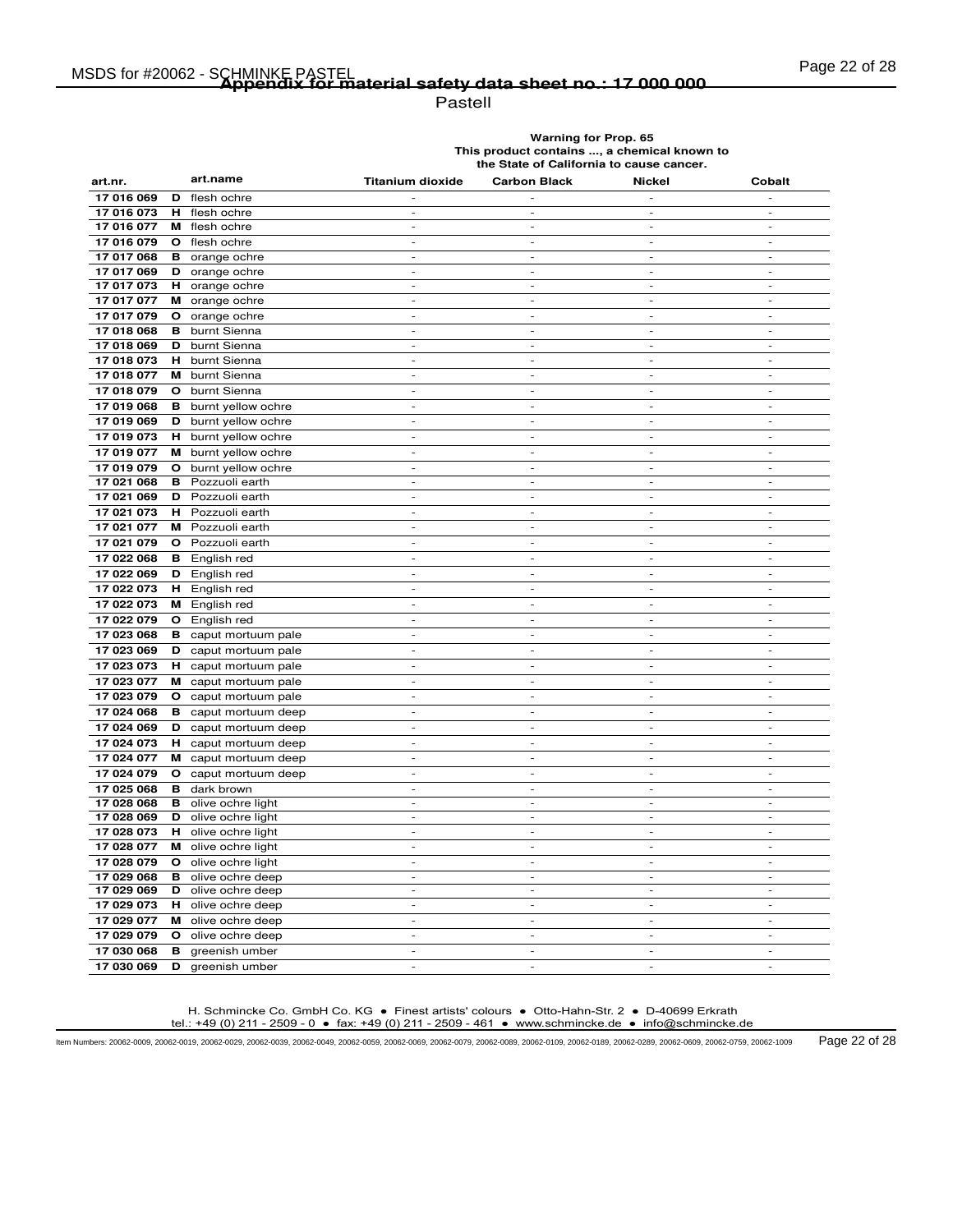Pastell

**Warning for Prop. 65 This product contains ..., a chemical known to the State of California to cause cancer.**

| art.nr.    |    | art.name              | <b>Titanium dioxide</b>  | <b>Carbon Black</b>          | <b>Nickel</b>                | Cobalt                   |
|------------|----|-----------------------|--------------------------|------------------------------|------------------------------|--------------------------|
| 17 016 069 | D  | flesh ochre           |                          |                              |                              |                          |
| 17 016 073 | н  | flesh ochre           | $\overline{\phantom{a}}$ | $\overline{\phantom{a}}$     | $\overline{a}$               | $\overline{\phantom{a}}$ |
| 17 016 077 | м  | flesh ochre           | $\overline{\phantom{a}}$ | $\sim$                       | $\equiv$                     | $\blacksquare$           |
| 17 016 079 | O  | flesh ochre           |                          | $\overline{a}$               |                              |                          |
| 17 017 068 | в  | orange ochre          | $\overline{a}$           | $\overline{a}$               | $\overline{a}$               | $\overline{a}$           |
| 17 017 069 |    | <b>D</b> orange ochre | $\sim$                   | $\sim$                       | $\overline{\phantom{a}}$     | $\sim$                   |
| 17 017 073 | н. | orange ochre          | $\overline{\phantom{a}}$ | $\overline{\phantom{a}}$     | $\overline{\phantom{m}}$     | $\overline{\phantom{a}}$ |
| 17 017 077 | м  | orange ochre          | ÷,                       | ÷,                           | ÷,                           | ÷,                       |
| 17 017 079 |    | O orange ochre        | $\overline{\phantom{a}}$ | $\overline{\phantom{a}}$     | $\overline{\phantom{a}}$     | $\overline{\phantom{a}}$ |
| 17 018 068 | в  | burnt Sienna          | $\overline{a}$           | $\overline{a}$               | $\overline{a}$               | ÷,                       |
| 17 018 069 | D  | burnt Sienna          | $\sim$                   | $\sim$                       | $\overline{\phantom{a}}$     | $\Box$                   |
| 17 018 073 | н  | burnt Sienna          | $\overline{a}$           | $\overline{\phantom{a}}$     | $\overline{a}$               | $\frac{1}{2}$            |
| 17 018 077 | м  | burnt Sienna          | $\sim$                   | $\sim$                       | $\overline{\phantom{a}}$     | $\overline{a}$           |
| 17 018 079 |    | O burnt Sienna        | $\overline{\phantom{a}}$ | $\overline{\phantom{a}}$     | $\overline{\phantom{a}}$     | $\overline{\phantom{a}}$ |
| 17 019 068 | в  | burnt yellow ochre    | $\overline{a}$           | L,                           | $\overline{a}$               | $\overline{a}$           |
| 17 019 069 | D  | burnt yellow ochre    | $\overline{\phantom{a}}$ | $\overline{\phantom{a}}$     | $\overline{\phantom{a}}$     | $\overline{\phantom{a}}$ |
| 17 019 073 |    | H burnt yellow ochre  | $\overline{\phantom{a}}$ | $\sim$                       | $\sim$                       | $\sim$                   |
| 17 019 077 | м  | burnt yellow ochre    | $\equiv$                 | $\blacksquare$               | $\equiv$                     | $\blacksquare$           |
| 17 019 079 | O  | burnt yellow ochre    | $\overline{a}$           | ÷,                           | L,                           | $\overline{\phantom{a}}$ |
| 17 021 068 | в  | Pozzuoli earth        | $\overline{\phantom{a}}$ | $\overline{\phantom{a}}$     | $\overline{\phantom{a}}$     | $\overline{\phantom{a}}$ |
| 17 021 069 | D  | Pozzuoli earth        | $\overline{\phantom{a}}$ | $\overline{\phantom{a}}$     | $\overline{\phantom{a}}$     | $\blacksquare$           |
| 17 021 073 | н. | Pozzuoli earth        | $\overline{\phantom{a}}$ | $\overline{\phantom{a}}$     | $\overline{\phantom{a}}$     | $\sim$                   |
| 17 021 077 | м  | Pozzuoli earth        | $\overline{\phantom{a}}$ | $\overline{\phantom{a}}$     | $\overline{\phantom{a}}$     | $\equiv$                 |
| 17 021 079 | O  | Pozzuoli earth        | $\overline{a}$           | $\overline{a}$               | L,                           |                          |
| 17 022 068 |    | <b>B</b> English red  | $\overline{\phantom{a}}$ | $\sim$                       | ÷,                           | $\overline{\phantom{a}}$ |
| 17 022 069 | D  | English red           | $\sim$                   | $\sim$                       | $\overline{a}$               | $\sim$                   |
| 17 022 073 |    | <b>H</b> English red  | $\overline{\phantom{a}}$ | $\overline{\phantom{a}}$     | $\overline{a}$               | $\overline{\phantom{a}}$ |
| 17 022 073 |    | M English red         | $\overline{\phantom{a}}$ | $\overline{a}$               | $\overline{a}$               | $\sim$                   |
| 17 022 079 | O  | English red           | $\overline{\phantom{a}}$ | $\sim$                       | $\overline{\phantom{a}}$     | $\sim$                   |
| 17 023 068 | в  | caput mortuum pale    | $\equiv$                 | $\blacksquare$               | $\blacksquare$               | $\overline{\phantom{a}}$ |
| 17 023 069 | D  | caput mortuum pale    | $\overline{\phantom{a}}$ | $\overline{\phantom{a}}$     | $\overline{\phantom{a}}$     | $\overline{\phantom{a}}$ |
| 17 023 073 |    | H caput mortuum pale  | $\overline{\phantom{a}}$ | $\frac{1}{2}$                | $\qquad \qquad \blacksquare$ | $\overline{\phantom{a}}$ |
| 17 023 077 |    | M caput mortuum pale  | $\sim$                   | $\sim$                       | $\sim$                       | $\sim$                   |
| 17 023 079 |    | O caput mortuum pale  | $\sim$                   | $\sim$                       | $\sim$                       | $\overline{\phantom{a}}$ |
| 17 024 068 | в  | caput mortuum deep    | $\overline{\phantom{a}}$ | $\overline{\phantom{a}}$     | $\overline{a}$               | $\overline{\phantom{a}}$ |
| 17 024 069 | D  | caput mortuum deep    | $\sim$                   | $\sim$                       | ÷,                           | $\overline{\phantom{a}}$ |
| 17 024 073 | н. | caput mortuum deep    | $\sim$                   | $\overline{\phantom{a}}$     | $\overline{\phantom{a}}$     | $\overline{\phantom{a}}$ |
| 17 024 077 | м  | caput mortuum deep    | $\overline{\phantom{a}}$ | $\overline{\phantom{a}}$     | $\overline{\phantom{m}}$     | $\overline{\phantom{a}}$ |
| 17 024 079 | O  | caput mortuum deep    | $\overline{\phantom{0}}$ | $\qquad \qquad \blacksquare$ | $\overline{a}$               | $\overline{\phantom{a}}$ |
| 17 025 068 | в  | dark brown            | $\overline{a}$           | $\overline{a}$               | $\overline{a}$               | $\overline{\phantom{a}}$ |
| 17 028 068 | в  | olive ochre light     | $\overline{a}$           | $\overline{\phantom{a}}$     | $\overline{a}$               | $\overline{\phantom{a}}$ |
| 17 028 069 | D  | olive ochre light     | $\overline{\phantom{a}}$ | $\overline{\phantom{0}}$     | $\overline{\phantom{0}}$     | $\blacksquare$           |
| 17 028 073 | н. | olive ochre light     | $\sim$                   | $\sim$                       | $\overline{\phantom{a}}$     | $\overline{\phantom{a}}$ |
| 17 028 077 |    | M olive ochre light   | $\overline{\phantom{a}}$ | $\overline{\phantom{a}}$     | $\overline{a}$               | $\overline{\phantom{a}}$ |
| 17 028 079 |    | O olive ochre light   | $\overline{\phantom{0}}$ | $\qquad \qquad \blacksquare$ | $\qquad \qquad \blacksquare$ | $\overline{\phantom{a}}$ |
| 17 029 068 | в  | olive ochre deep      | $\overline{\phantom{a}}$ | $\overline{\phantom{a}}$     | $\overline{\phantom{a}}$     | $\overline{\phantom{a}}$ |
| 17 029 069 | D  | olive ochre deep      | $\overline{\phantom{a}}$ | $\overline{\phantom{a}}$     | $\overline{a}$               | $\overline{\phantom{a}}$ |
| 17 029 073 | н  | olive ochre deep      | $\sim$                   | $\sim$                       | $\sim$                       | $\sim$                   |
| 17 029 077 | м  | olive ochre deep      | $\overline{\phantom{a}}$ | $\overline{\phantom{a}}$     | $\overline{\phantom{a}}$     | $\overline{\phantom{a}}$ |
| 17 029 079 | O  | olive ochre deep      | $\overline{\phantom{a}}$ | $\overline{\phantom{a}}$     | $\blacksquare$               | $\overline{\phantom{a}}$ |
| 17 030 068 | в  | greenish umber        |                          | $\overline{\phantom{a}}$     |                              |                          |
| 17 030 069 | D  | greenish umber        | $\overline{a}$           | ÷.                           |                              |                          |

H. Schmincke Co. GmbH Co. KG ● Finest artists' colours ● Otto-Hahn-Str. 2 ● D-40699 Erkrath tel.: +49 (0) 211 - 2509 - 0 ● fax: +49 (0) 211 - 2509 - 461 ● www.schmincke.de ● info@schmincke.de

Item Numbers: 20062-0009, 20062-0019, 20062-0029, 20062-0039, 20062-0049, 20062-0059, 20062-0069, 20062-0079, 20062-0089, 20062-0109, 20062-0189, 20062-0289, 20062-0609, 20062-0759, 20062-1009 Page 22 of 28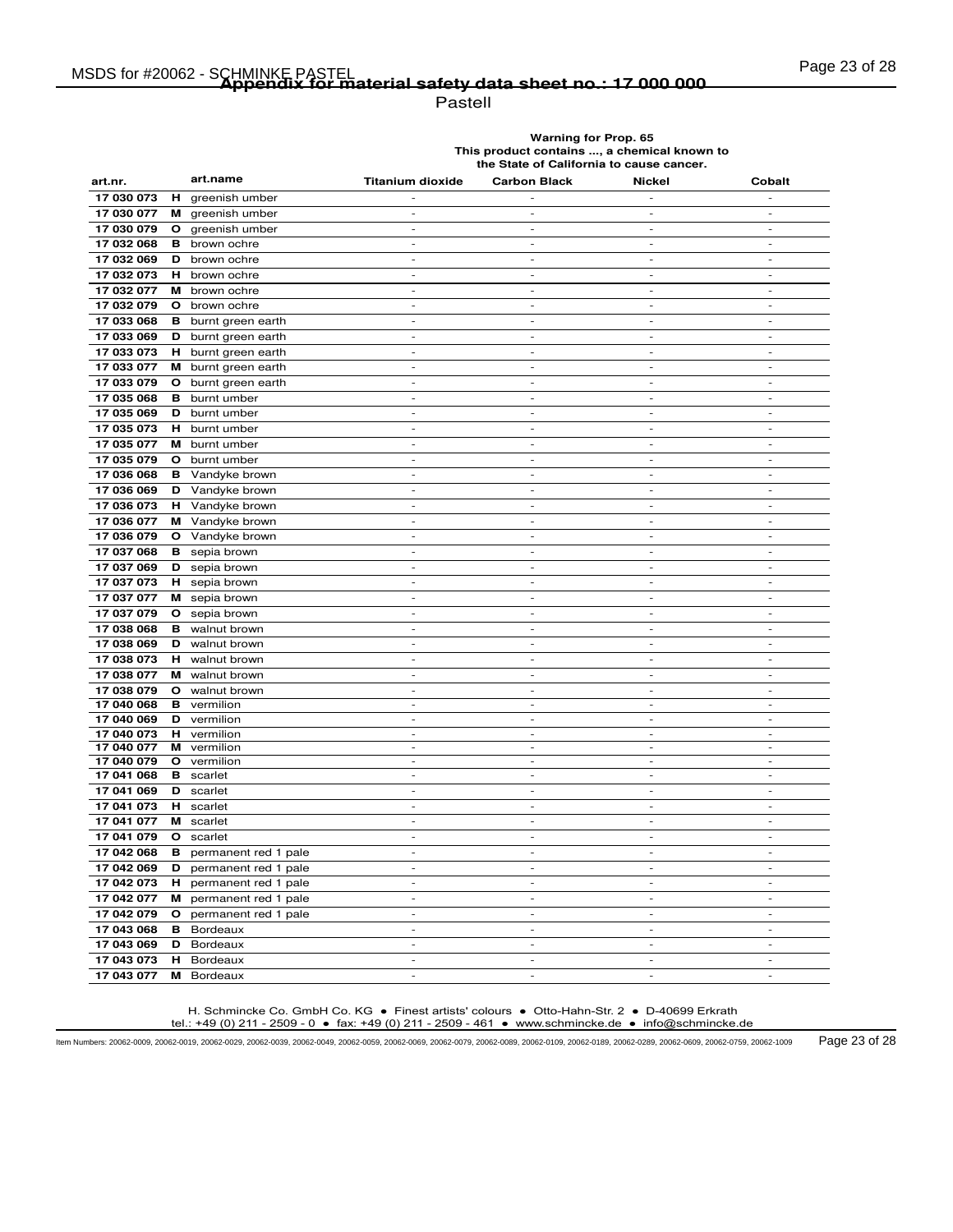Pastell

**Warning for Prop. 65 This product contains ..., a chemical known to the State of California to cause cancer.**

| art.nr.    | art.name                             | <b>Titanium dioxide</b>  | <b>Carbon Black</b>      | <b>Nickel</b>            | Cobalt                   |
|------------|--------------------------------------|--------------------------|--------------------------|--------------------------|--------------------------|
| 17 030 073 | н<br>greenish umber                  |                          |                          |                          | $\overline{a}$           |
| 17 030 077 | M greenish umber                     | $\overline{\phantom{a}}$ | $\overline{a}$           | $\overline{a}$           | $\overline{\phantom{a}}$ |
| 17 030 079 | $\circ$<br>greenish umber            | $\sim$                   | $\overline{a}$           | $\overline{\phantom{a}}$ | $\overline{a}$           |
| 17 032 068 | в<br>brown ochre                     | $\overline{\phantom{a}}$ | $\sim$                   | $\sim$                   | $\overline{\phantom{a}}$ |
| 17 032 069 | brown ochre<br>D                     | $\sim$                   | $\sim$                   | $\sim$                   | $\overline{\phantom{a}}$ |
| 17 032 073 | н<br>brown ochre                     |                          |                          |                          |                          |
| 17 032 077 | м<br>brown ochre                     | $\sim$                   | $\overline{a}$           | $\overline{a}$           | $\overline{a}$           |
| 17 032 079 | O brown ochre                        | $\sim$                   | $\overline{\phantom{a}}$ | $\overline{\phantom{a}}$ | $\frac{1}{2}$            |
| 17 033 068 | в<br>burnt green earth               | $\overline{a}$           | L,                       | $\overline{a}$           | L,                       |
| 17 033 069 | <b>D</b> burnt green earth           | $\overline{\phantom{a}}$ | $\overline{\phantom{a}}$ | $\overline{\phantom{a}}$ | $\overline{\phantom{a}}$ |
| 17 033 073 | н.<br>burnt green earth              | $\overline{\phantom{a}}$ | $\overline{\phantom{a}}$ | $\overline{\phantom{a}}$ | $\overline{\phantom{a}}$ |
| 17 033 077 | М<br>burnt green earth               | $\overline{a}$           | $\overline{a}$           | $\overline{a}$           | L,                       |
| 17 033 079 | $\mathbf{o}$<br>burnt green earth    | $\sim$                   | $\sim$                   | $\sim$                   | $\overline{\phantom{a}}$ |
| 17 035 068 | в<br>burnt umber                     | $\sim$                   | $\overline{a}$           | $\sim$                   | $\overline{a}$           |
| 17 035 069 | D<br>burnt umber                     | $\overline{\phantom{a}}$ | $\sim$                   | $\sim$                   | $\overline{\phantom{a}}$ |
| 17 035 073 | н<br>burnt umber                     | $\overline{\phantom{a}}$ | $\sim$                   | $\sim$                   | $\overline{\phantom{a}}$ |
| 17 035 077 | м<br>burnt umber                     | $\overline{\phantom{a}}$ | $\overline{\phantom{a}}$ | $\overline{\phantom{a}}$ | $\overline{\phantom{m}}$ |
| 17 035 079 | $\circ$<br>burnt umber               | $\overline{a}$           | $\overline{a}$           | L,                       | L,                       |
| 17 036 068 | Vandyke brown<br>в                   | $\overline{\phantom{a}}$ | $\overline{a}$           | $\overline{a}$           | $\overline{a}$           |
| 17 036 069 | D<br>Vandyke brown                   | $\sim$                   | $\sim$                   | $\sim$                   | $\overline{a}$           |
| 17 036 073 | н<br>Vandyke brown                   | $\overline{\phantom{m}}$ | $\overline{a}$           | $\overline{\phantom{a}}$ | $\overline{a}$           |
| 17 036 077 | M Vandyke brown                      | $\sim$                   | $\sim$                   | $\sim$                   | $\sim$                   |
| 17 036 079 | $\mathbf{o}$<br>Vandyke brown        | $\overline{\phantom{a}}$ | $\overline{\phantom{a}}$ | $\overline{\phantom{a}}$ | $\overline{\phantom{a}}$ |
| 17 037 068 | в<br>sepia brown                     | $\overline{a}$           | L,                       | $\overline{a}$           | $\overline{a}$           |
| 17 037 069 | D<br>sepia brown                     | $\sim$                   | $\overline{a}$           | $\overline{a}$           | $\overline{a}$           |
| 17 037 073 | H sepia brown                        | $\sim$                   | ÷,                       | $\overline{\phantom{a}}$ | $\overline{a}$           |
| 17 037 077 | м<br>sepia brown                     | $\sim$                   | $\sim$                   | $\sim$                   | $\overline{a}$           |
| 17 037 079 | $\mathbf{o}$<br>sepia brown          | $\overline{\phantom{a}}$ | $\overline{\phantom{a}}$ | $\overline{\phantom{a}}$ | $\overline{a}$           |
| 17 038 068 | в<br>walnut brown                    | $\overline{\phantom{a}}$ | $\sim$                   | $\sim$                   | $\overline{\phantom{a}}$ |
| 17 038 069 | D<br>walnut brown                    | $\sim$                   | $\overline{\phantom{a}}$ | $\sim$                   | $\overline{a}$           |
| 17 038 073 | н.<br>walnut brown                   | $\overline{\phantom{a}}$ | $\overline{a}$           | $\overline{a}$           | $\overline{a}$           |
| 17 038 077 | M walnut brown                       | $\sim$                   | $\overline{\phantom{a}}$ | $\sim$                   | ÷,                       |
| 17 038 079 | walnut brown<br>O                    | $\sim$                   | $\overline{\phantom{a}}$ | $\sim$                   | $\overline{a}$           |
| 17 040 068 | в<br>vermilion                       | $\overline{\phantom{a}}$ | $\overline{\phantom{a}}$ | $\overline{\phantom{a}}$ | $\overline{\phantom{a}}$ |
| 17 040 069 | D<br>vermilion                       | $\sim$                   | $\overline{a}$           | $\overline{a}$           | $\overline{a}$           |
| 17 040 073 | н<br>vermilion                       | $\sim$                   | $\sim$                   | $\overline{\phantom{a}}$ | $\frac{1}{2}$            |
| 17 040 077 | м<br>vermilion                       | $\overline{a}$           | $\overline{a}$           | $\overline{a}$           | $\overline{a}$           |
| 17 040 079 | O<br>vermilion                       | $\overline{\phantom{a}}$ | $\overline{\phantom{a}}$ | $\overline{\phantom{a}}$ | $\overline{\phantom{a}}$ |
| 17 041 068 | scarlet<br>в                         | $\overline{\phantom{a}}$ | $\overline{\phantom{a}}$ | $\overline{\phantom{a}}$ | $\overline{\phantom{a}}$ |
| 17 041 069 | D<br>scarlet                         | $\overline{\phantom{a}}$ | $\overline{a}$           | $\overline{\phantom{a}}$ | ÷,                       |
| 17 041 073 | н.<br>scarlet                        | $\sim$                   | $\overline{a}$           | $\overline{a}$           | $\overline{a}$           |
| 17 041 077 | м<br>scarlet                         | $\overline{\phantom{a}}$ | L,                       | $\overline{\phantom{a}}$ | L,                       |
| 17 041 079 | scarlet<br>$\mathbf{o}$              | $\sim$                   | $\sim$                   | $\sim$                   | $\overline{\phantom{a}}$ |
| 17 042 068 | permanent red 1 pale<br>в            | $\overline{\phantom{a}}$ | $\overline{\phantom{a}}$ | $\overline{\phantom{a}}$ | $\overline{a}$           |
| 17 042 069 | D<br>permanent red 1 pale            | $\overline{a}$           | $\overline{a}$           | $\overline{\phantom{a}}$ | $\overline{a}$           |
| 17 042 073 | н.<br>permanent red 1 pale           | $\sim$                   | $\overline{\phantom{a}}$ | $\sim$                   | $\overline{a}$           |
| 17 042 077 | M permanent red 1 pale               | $\overline{\phantom{a}}$ | $\overline{a}$           | $\overline{a}$           | $\overline{a}$           |
| 17 042 079 | $\mathbf{o}$<br>permanent red 1 pale | $\overline{\phantom{a}}$ | $\overline{a}$           | $\overline{a}$           | $\overline{a}$           |
| 17 043 068 | Bordeaux<br>в                        | $\overline{\phantom{a}}$ | $\overline{a}$           | $\overline{\phantom{a}}$ | $\overline{a}$           |
| 17 043 069 | D<br>Bordeaux                        | $\sim$                   | $\sim$                   | $\sim$                   | $\overline{\phantom{a}}$ |
| 17 043 073 | н<br><b>Bordeaux</b>                 |                          |                          |                          |                          |
| 17 043 077 | м<br>Bordeaux                        | $\overline{a}$           | ÷                        | ÷                        |                          |

H. Schmincke Co. GmbH Co. KG ● Finest artists' colours ● Otto-Hahn-Str. 2 ● D-40699 Erkrath tel.: +49 (0) 211 - 2509 - 0 ● fax: +49 (0) 211 - 2509 - 461 ● www.schmincke.de ● info@schmincke.de

Item Numbers: 20062-0009, 20062-0019, 20062-0029, 20062-0039, 20062-0049, 20062-0059, 20062-0069, 20062-0079, 20062-0089, 20062-0109, 20062-0189, 20062-0289, 20062-0609, 20062-0759, 20062-1009 Page 23 of 28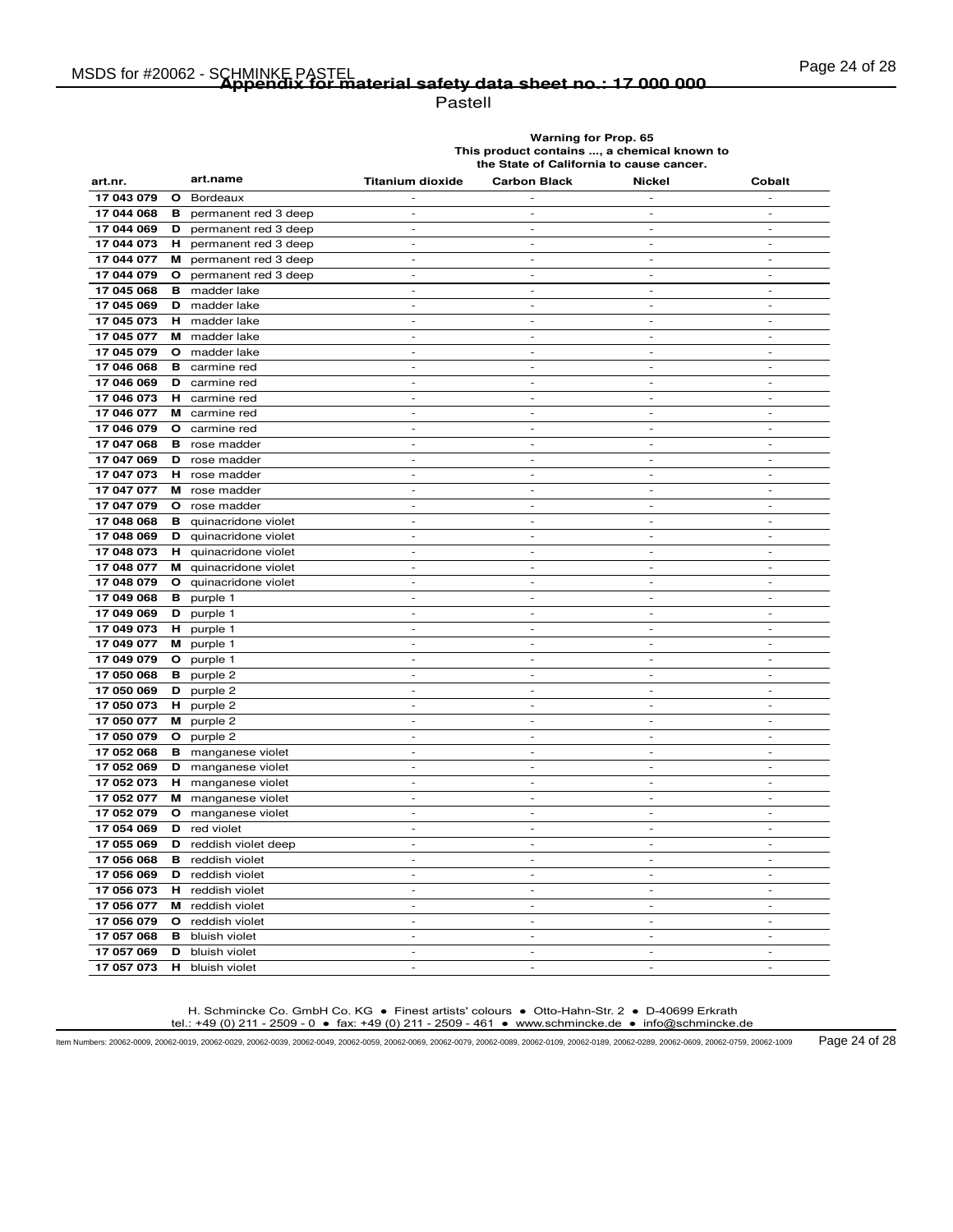# Page 24 of 28 MSDS for #20062 - SCHMINKE PASTEL **Appendix for material safety data sheet no.: 17 000 000**

Pastell

**Warning for Prop. 65 This product contains ..., a chemical known to the State of California to cause cancer.**

| art.nr.    |              | art.name                       | <b>Titanium dioxide</b>                              | <b>Carbon Black</b>      | Nickel                   | Cobalt                      |
|------------|--------------|--------------------------------|------------------------------------------------------|--------------------------|--------------------------|-----------------------------|
| 17 043 079 | $\circ$      | Bordeaux                       |                                                      |                          |                          |                             |
| 17 044 068 | в            | permanent red 3 deep           | $\overline{\phantom{a}}$                             | $\overline{\phantom{a}}$ | $\overline{a}$           | $\overline{\phantom{a}}$    |
| 17 044 069 | D            | permanent red 3 deep           | $\overline{\phantom{a}}$                             | $\overline{\phantom{a}}$ | $\overline{\phantom{a}}$ | $\sim$                      |
| 17 044 073 | н.           | permanent red 3 deep           | $\sim$                                               | $\sim$                   | $\overline{\phantom{a}}$ | $\sim$                      |
| 17 044 077 | м            | permanent red 3 deep           | $\overline{\phantom{a}}$                             | $\overline{\phantom{a}}$ | $\overline{\phantom{a}}$ | $\overline{\phantom{a}}$    |
| 17 044 079 | $\circ$      | permanent red 3 deep           | $\overline{a}$                                       | $\overline{a}$           | ÷,                       | $\overline{a}$              |
| 17 045 068 |              | <b>B</b> madder lake           | $\sim$                                               | $\sim$                   | $\sim$                   | $\sim$                      |
| 17 045 069 |              | <b>D</b> madder lake           | $\sim$                                               | $\overline{\phantom{a}}$ | $\overline{\phantom{a}}$ | $\sim$                      |
| 17 045 073 | н.           | madder lake                    |                                                      |                          |                          | $\overline{a}$              |
| 17 045 077 |              | M madder lake                  | $\overline{\phantom{a}}$                             | $\overline{\phantom{a}}$ | $\overline{\phantom{a}}$ | $\overline{\phantom{a}}$    |
| 17 045 079 |              | O madder lake                  | $\overline{\phantom{a}}$                             | $\sim$                   | $\overline{\phantom{a}}$ | $\sim$                      |
| 17 046 068 | в            | carmine red                    | $\blacksquare$                                       | $\blacksquare$           | $\equiv$                 | $\blacksquare$              |
| 17 046 069 | D            | carmine red                    | $\overline{a}$                                       | $\overline{a}$           | $\overline{a}$           | $\overline{a}$              |
| 17 046 073 |              | H carmine red                  | $\overline{\phantom{a}}$                             | $\overline{\phantom{a}}$ | $\frac{1}{2}$            | $\sim$                      |
| 17 046 077 |              | M carmine red                  | $\sim$                                               | $\sim$                   | $\overline{a}$           | $\sim$                      |
| 17 046 079 |              | <b>O</b> carmine red           | $\sim$                                               | $\overline{\phantom{a}}$ | $\overline{a}$           | $\overline{\phantom{a}}$    |
| 17 047 068 | в            | rose madder                    | $\overline{\phantom{a}}$                             | $\sim$                   | $\overline{a}$           | $\overline{a}$              |
| 17 047 069 | D            | rose madder                    | $\overline{\phantom{a}}$                             | $\sim$                   | $\overline{\phantom{a}}$ | $\overline{\phantom{a}}$    |
| 17 047 073 | н            | rose madder                    | $\sim$                                               | $\sim$                   | $\mathcal{L}$            | $\sim$                      |
| 17 047 077 | м            | rose madder                    | $\sim$                                               | $\overline{\phantom{a}}$ | $\overline{\phantom{a}}$ | $\overline{\phantom{a}}$    |
| 17 047 079 |              | O rose madder                  | $\overline{\phantom{a}}$                             | $\frac{1}{2}$            | $\overline{\phantom{m}}$ | $\frac{1}{2}$               |
| 17 048 068 |              | <b>B</b> quinacridone violet   | $\overline{\phantom{a}}$                             | $\sim$                   | $\sim$                   | $\overline{a}$              |
| 17 048 069 |              | <b>D</b> quinacridone violet   | $\overline{a}$                                       | $\overline{\phantom{a}}$ | $\overline{\phantom{a}}$ | $\overline{a}$              |
| 17 048 073 |              | H quinacridone violet          | $\sim$                                               | $\overline{\phantom{a}}$ | $\overline{a}$           | $\overline{\phantom{a}}$    |
| 17 048 077 |              | M quinacridone violet          | $\sim$                                               | $\overline{\phantom{a}}$ | $\overline{a}$           | $\overline{\phantom{a}}$    |
| 17 048 079 | $\mathbf{o}$ | quinacridone violet            | $\overline{\phantom{a}}$                             | $\sim$                   | $\mathcal{L}$            | $\mathcal{L}^{\mathcal{A}}$ |
| 17 049 068 | в            | purple 1                       | $\overline{\phantom{a}}$                             | $\overline{\phantom{a}}$ | $\overline{\phantom{a}}$ | $\overline{\phantom{a}}$    |
| 17 049 069 | D            | purple 1                       | $\overline{\phantom{0}}$                             | $\frac{1}{2}$            |                          |                             |
| 17 049 073 | н.           | purple 1                       | $\overline{\phantom{a}}$                             | $\sim$                   | $\overline{a}$           | $\overline{\phantom{a}}$    |
| 17 049 077 |              | M purple 1                     | $\sim$                                               | $\sim$                   | $\sim$                   | $\sim$                      |
| 17 049 079 | $\mathbf{o}$ | purple 1                       | $\overline{\phantom{a}}$                             | $\overline{\phantom{a}}$ | $\overline{\phantom{a}}$ | $\sim$                      |
| 17 050 068 | в            | purple 2                       |                                                      |                          |                          |                             |
| 17 050 069 | D            | purple 2                       | $\overline{\phantom{a}}$                             | $\sim$                   | $\overline{\phantom{a}}$ | $\sim$                      |
| 17 050 073 | н.           | purple 2                       | $\overline{\phantom{a}}$                             | $\sim$                   | $\overline{\phantom{a}}$ | $\sim$                      |
| 17 050 077 | м            | purple 2                       | $\overline{\phantom{a}}$                             | $\blacksquare$           | ÷                        | $\overline{\phantom{a}}$    |
| 17 050 079 | $\mathbf{o}$ | purple 2                       | $\overline{\phantom{a}}$                             | $\frac{1}{2}$            | $\overline{a}$           | $\overline{a}$              |
| 17 052 068 |              | <b>B</b> manganese violet      | $\overline{a}$                                       | $\sim$                   | $\overline{\phantom{a}}$ | $\sim$                      |
| 17 052 069 |              | D manganese violet             | $\overline{\phantom{a}}$                             | $\overline{\phantom{a}}$ | $\sim$                   | $\overline{\phantom{a}}$    |
| 17 052 073 |              | <b>H</b> manganese violet      | $\overline{a}$                                       | $\overline{a}$           | $\overline{a}$           | $\frac{1}{2}$               |
| 17 052 077 |              | <b>M</b> manganese violet      | $\sim$                                               | $\sim$                   | $\sim$                   | $\sim$                      |
| 17 052 079 |              | O manganese violet             | $\overline{\phantom{a}}$                             | $\sim$                   | $\overline{\phantom{a}}$ | $\sim$                      |
| 17 054 069 | D            | red violet                     | $\overline{\phantom{a}}$                             | $\blacksquare$           | $\blacksquare$           | $\blacksquare$              |
| 17 055 069 | D            | reddish violet deep            |                                                      |                          |                          |                             |
| 17 056 068 |              | <b>B</b> reddish violet        | $\sim$                                               | $\overline{\phantom{a}}$ | $\overline{a}$           | $\sim$                      |
| 17 056 069 | D            | reddish violet                 | $\sim$                                               | $\sim$                   | $\overline{a}$           | $\sim$                      |
| 17 056 073 |              | H reddish violet               | $\overline{\phantom{a}}$                             | $\overline{\phantom{a}}$ | $\overline{\phantom{a}}$ | $\overline{\phantom{a}}$    |
| 17 056 077 | м            | reddish violet                 | $\sim$                                               | $\sim$                   | ٠                        | $\sim$                      |
| 17 056 079 |              | O reddish violet               | $\overline{\phantom{a}}$<br>$\overline{\phantom{a}}$ | $\overline{\phantom{a}}$ | $\overline{\phantom{a}}$ | $\overline{\phantom{a}}$    |
| 17 057 068 | в<br>D       | bluish violet                  |                                                      | $\sim$                   | $\sim$                   | $\sim$                      |
| 17 057 069 | н            | bluish violet<br>bluish violet | $\overline{\phantom{a}}$<br>$\overline{a}$           | $\blacksquare$           | $\blacksquare$           | $\blacksquare$              |
| 17 057 073 |              |                                |                                                      |                          |                          |                             |

H. Schmincke Co. GmbH Co. KG ● Finest artists' colours ● Otto-Hahn-Str. 2 ● D-40699 Erkrath tel.: +49 (0) 211 - 2509 - 0 ● fax: +49 (0) 211 - 2509 - 461 ● www.schmincke.de ● info@schmincke.de

Item Numbers: 20062-0009, 20062-0019, 20062-0029, 20062-0039, 20062-0049, 20062-0059, 20062-0069, 20062-0079, 20062-0089, 20062-0109, 20062-0189, 20062-0289, 20062-0609, 20062-0759, 20062-1009 Page 24 of 28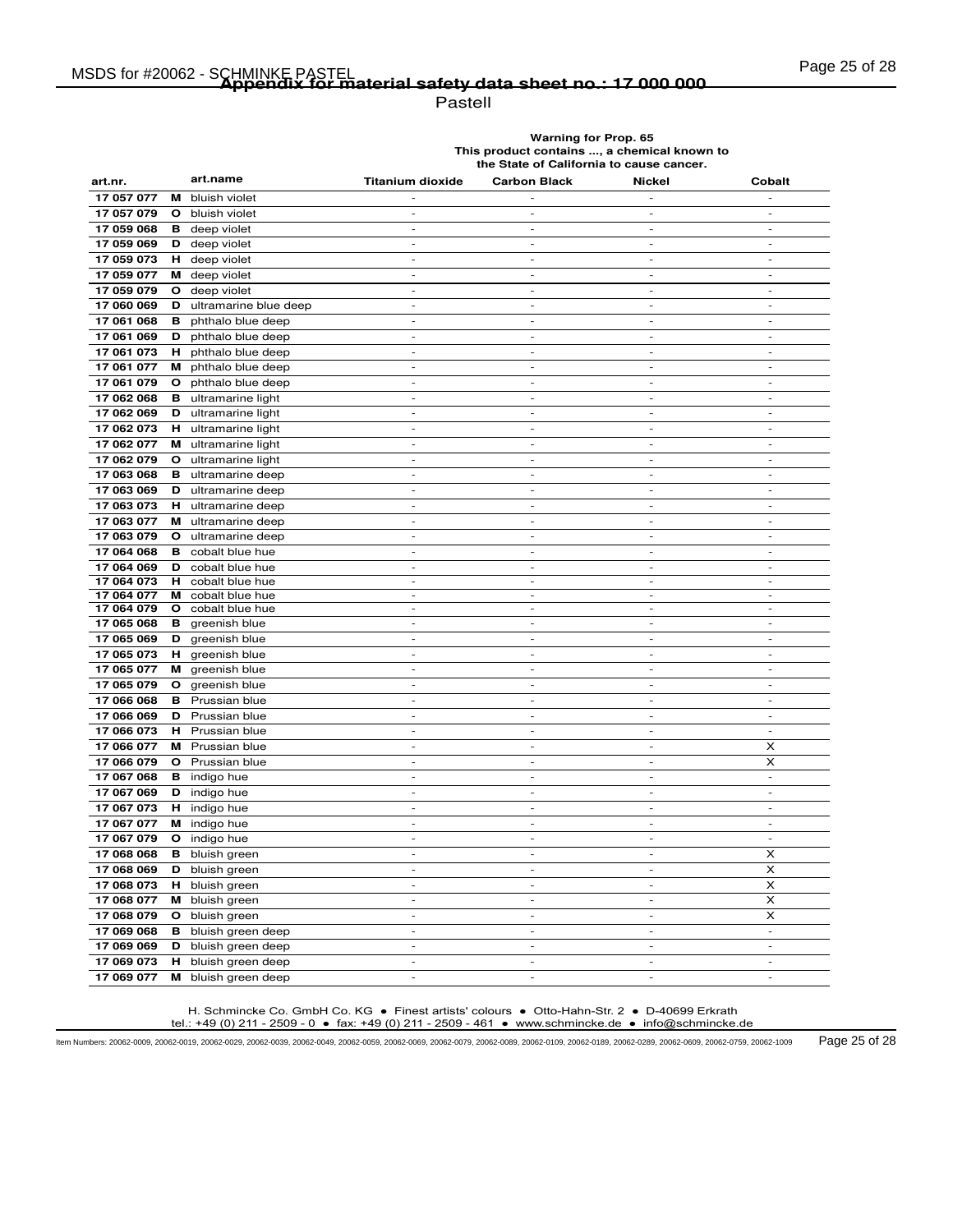# Page 25 of 28 MSDS for #20062 - SCHMINKE PASTEL **Appendix for material safety data sheet no.: 17 000 000**

Pastell

**Warning for Prop. 65 This product contains ..., a chemical known to the State of California to cause cancer.**

| art.nr.    |              | art.name                       | <b>Titanium dioxide</b>      | <b>Carbon Black</b>          | Nickel                       | Cobalt                       |
|------------|--------------|--------------------------------|------------------------------|------------------------------|------------------------------|------------------------------|
| 17 057 077 | м            | bluish violet                  |                              |                              |                              |                              |
| 17 057 079 | $\mathbf{o}$ | bluish violet                  | $\overline{\phantom{a}}$     | $\overline{\phantom{a}}$     | $\overline{\phantom{a}}$     | $\overline{\phantom{a}}$     |
| 17 059 068 | в            | deep violet                    | $\overline{\phantom{a}}$     | $\overline{\phantom{a}}$     | $\overline{\phantom{a}}$     | $\overline{\phantom{a}}$     |
| 17 059 069 | D            | deep violet                    | $\overline{\phantom{0}}$     | $\overline{\phantom{m}}$     | $\frac{1}{2}$                | $\overline{\phantom{m}}$     |
| 17 059 073 |              | <b>H</b> deep violet           | $\overline{a}$               | $\overline{a}$               | $\overline{a}$               | $\overline{a}$               |
| 17 059 077 |              | M deep violet                  | $\overline{\phantom{a}}$     | $\blacksquare$               | $\mathcal{L}_{\mathcal{A}}$  | $\mathcal{L}_{\mathcal{A}}$  |
| 17 059 079 | $\circ$      | deep violet                    | $\overline{a}$               | $\overline{a}$               | $\overline{a}$               | ÷,                           |
| 17 060 069 |              | <b>D</b> ultramarine blue deep | $\overline{\phantom{a}}$     | $\sim$                       | $\sim$                       | $\sim$                       |
| 17 061 068 | в            | phthalo blue deep              | $\overline{\phantom{a}}$     | $\overline{\phantom{a}}$     | $\overline{\phantom{a}}$     | $\overline{\phantom{a}}$     |
| 17 061 069 | D            | phthalo blue deep              | $\overline{\phantom{0}}$     | $\overline{a}$               | $\overline{a}$               | $\overline{a}$               |
| 17 061 073 |              | H phthalo blue deep            | $\overline{\phantom{a}}$     | $\sim$                       | $\sim$                       | $\overline{a}$               |
| 17 061 077 |              | M phthalo blue deep            | $\overline{\phantom{a}}$     | $\overline{\phantom{a}}$     | $\overline{\phantom{a}}$     | $\overline{\phantom{a}}$     |
| 17 061 079 | O            | phthalo blue deep              | $\frac{1}{2}$                | $\overline{\phantom{a}}$     | $\overline{\phantom{a}}$     | $\overline{\phantom{a}}$     |
| 17 062 068 |              | <b>B</b> ultramarine light     | $\sim$                       | $\overline{\phantom{a}}$     | $\overline{\phantom{a}}$     | $\sim$                       |
| 17 062 069 | D            | ultramarine light              | $\blacksquare$               | $\blacksquare$               | $\overline{\phantom{a}}$     | $\overline{\phantom{a}}$     |
| 17 062 073 |              | <b>H</b> ultramarine light     | $\overline{\phantom{0}}$     | $\overline{a}$               | $\qquad \qquad \blacksquare$ | $\qquad \qquad \blacksquare$ |
| 17 062 077 |              | M ultramarine light            | $\sim$                       | $\overline{\phantom{a}}$     | $\sim$                       | $\overline{a}$               |
| 17 062 079 |              | O ultramarine light            | $\sim$                       | $\overline{\phantom{a}}$     | $\overline{\phantom{a}}$     | $\sim$                       |
| 17 063 068 | в            | ultramarine deep               | $\overline{a}$               | $\overline{a}$               | $\overline{a}$               | $\overline{a}$               |
| 17 063 069 | D            | ultramarine deep               | $\sim$                       | $\sim$                       | $\sim$                       | $\sim$                       |
| 17 063 073 | н            | ultramarine deep               | $\overline{\phantom{a}}$     | $\overline{\phantom{a}}$     | $\overline{\phantom{a}}$     | $\overline{\phantom{a}}$     |
| 17 063 077 |              | M ultramarine deep             | $\overline{a}$               | $\overline{a}$               | $\overline{a}$               | $\overline{a}$               |
| 17 063 079 | $\mathbf{o}$ | ultramarine deep               | $\sim$                       | $\sim$                       | $\sim$                       | $\sim$                       |
| 17 064 068 | в            | cobalt blue hue                | $\overline{\phantom{a}}$     | $\overline{\phantom{a}}$     | $\sim$                       | $\sim$                       |
| 17 064 069 | D            | cobalt blue hue                | $\overline{a}$               | $\overline{\phantom{a}}$     | $\overline{\phantom{a}}$     | $\overline{\phantom{a}}$     |
| 17 064 073 | н            | cobalt blue hue                | $\overline{\phantom{0}}$     | $\frac{1}{2}$                | $\overline{\phantom{a}}$     | $\overline{\phantom{a}}$     |
| 17 064 077 | м            | cobalt blue hue                | $\overline{a}$               | $\overline{a}$               | $\overline{a}$               | $\overline{a}$               |
| 17 064 079 | O            | cobalt blue hue                | $\overline{\phantom{a}}$     | $\overline{\phantom{a}}$     | $\overline{\phantom{a}}$     | $\overline{\phantom{a}}$     |
| 17 065 068 | в            | greenish blue                  | $\overline{a}$               | $\overline{\phantom{a}}$     | $\overline{\phantom{a}}$     | $\overline{\phantom{a}}$     |
| 17 065 069 | D            | greenish blue                  | $\qquad \qquad \blacksquare$ | $\overline{\phantom{a}}$     | $\sim$                       | $\sim$                       |
| 17 065 073 | н.           | greenish blue                  | $\overline{\phantom{a}}$     | $\overline{\phantom{a}}$     | $\sim$                       | $\overline{\phantom{a}}$     |
| 17 065 077 | м            | greenish blue                  | $\overline{\phantom{a}}$     | $\overline{\phantom{a}}$     | $\sim$                       | $\sim$                       |
| 17 065 079 | $\mathbf{o}$ | greenish blue                  | $\overline{\phantom{a}}$     | $\overline{\phantom{a}}$     | $\overline{\phantom{a}}$     | $\overline{\phantom{a}}$     |
| 17 066 068 | в            | Prussian blue                  |                              |                              |                              |                              |
| 17 066 069 | D            | Prussian blue                  | $\overline{a}$               | $\overline{a}$               | $\overline{a}$               | $\sim$                       |
| 17 066 073 | н.           | Prussian blue                  | $\sim$                       | $\overline{\phantom{a}}$     | $\sim$                       | $\sim$                       |
| 17 066 077 | м            | Prussian blue                  | $\overline{\phantom{0}}$     | $\qquad \qquad \blacksquare$ | $\overline{\phantom{a}}$     | x                            |
| 17 066 079 | O            | Prussian blue                  | $\sim$                       | $\sim$                       | $\sim$                       | x                            |
| 17 067 068 | в            | indigo hue                     | $\overline{\phantom{a}}$     | $\overline{\phantom{a}}$     | $\overline{\phantom{a}}$     | $\overline{\phantom{a}}$     |
| 17 067 069 | D            | indigo hue                     | $\overline{\phantom{a}}$     | $\overline{a}$               | $\overline{a}$               | $\overline{\phantom{a}}$     |
| 17 067 073 |              | <b>H</b> indigo hue            | $\overline{\phantom{a}}$     | $\overline{a}$               | $\sim$                       | $\sim$                       |
| 17 067 077 |              | M indigo hue                   | $\overline{a}$               | $\overline{a}$               | $\overline{\phantom{a}}$     | $\overline{\phantom{a}}$     |
| 17 067 079 |              | O indigo hue                   | $\overline{\phantom{a}}$     | $\overline{\phantom{a}}$     | $\sim$                       | $\overline{\phantom{a}}$     |
| 17 068 068 |              | <b>B</b> bluish green          | $\overline{\phantom{a}}$     | $\overline{\phantom{a}}$     | $\overline{\phantom{a}}$     | x                            |
| 17 068 069 | D            | bluish green                   | $\overline{\phantom{a}}$     | $\overline{\phantom{m}}$     | $\overline{\phantom{a}}$     | X                            |
| 17 068 073 |              | <b>H</b> bluish green          | $\overline{\phantom{a}}$     | ÷,                           | $\sim$                       | x                            |
| 17 068 077 |              | M bluish green                 | $\overline{a}$               | $\overline{a}$               | $\overline{a}$               | X                            |
| 17 068 079 |              | O bluish green                 | $\overline{\phantom{0}}$     | $\frac{1}{2}$                | $\overline{\phantom{a}}$     | x                            |
| 17 069 068 |              | <b>B</b> bluish green deep     | $\overline{\phantom{a}}$     | $\overline{\phantom{a}}$     | $\overline{\phantom{a}}$     | $\sim$                       |
| 17 069 069 | D            | bluish green deep              | $\sim$                       | $\sim$                       | $\sim$                       | $\sim$                       |
| 17 069 073 |              | H bluish green deep            |                              |                              |                              |                              |
| 17 069 077 | М            | bluish green deep              |                              |                              |                              |                              |

H. Schmincke Co. GmbH Co. KG ● Finest artists' colours ● Otto-Hahn-Str. 2 ● D-40699 Erkrath tel.: +49 (0) 211 - 2509 - 0 ● fax: +49 (0) 211 - 2509 - 461 ● www.schmincke.de ● info@schmincke.de

Item Numbers: 20062-0009, 20062-0019, 20062-0029, 20062-0039, 20062-0049, 20062-0059, 20062-0069, 20062-0079, 20062-0089, 20062-0109, 20062-0189, 20062-0289, 20062-0609, 20062-0759, 20062-1009 Page 25 of 28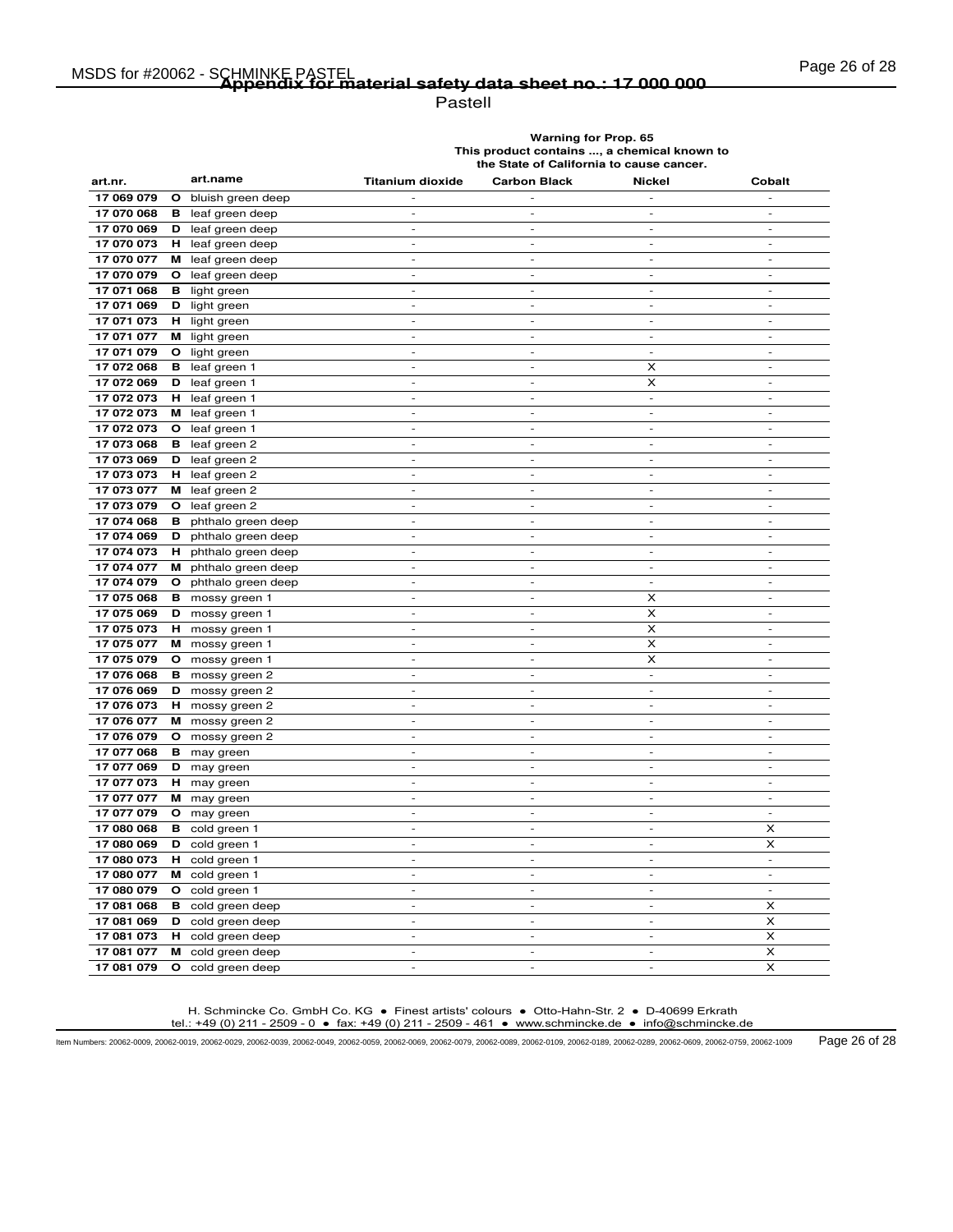Pastell

**Warning for Prop. 65 This product contains ..., a chemical known to the State of California to cause cancer.**

| art.nr.    | art.name                          | <b>Titanium dioxide</b>     | <b>Carbon Black</b>          | <b>Nickel</b>            | Cobalt                   |
|------------|-----------------------------------|-----------------------------|------------------------------|--------------------------|--------------------------|
| 17 069 079 | $\mathbf{o}$<br>bluish green deep |                             |                              |                          | $\overline{a}$           |
| 17 070 068 | в<br>leaf green deep              | $\overline{a}$              | ٠                            | $\sim$                   | $\overline{\phantom{a}}$ |
| 17 070 069 | D<br>leaf green deep              | $\overline{\phantom{a}}$    | $\overline{\phantom{a}}$     | $\frac{1}{2}$            | $\overline{\phantom{a}}$ |
| 17 070 073 | н<br>leaf green deep              | $\overline{\phantom{a}}$    | $\qquad \qquad \blacksquare$ | $\overline{\phantom{a}}$ | $\overline{\phantom{a}}$ |
| 17 070 077 | м<br>leaf green deep              | $\sim$                      | $\sim$                       | $\sim$                   | $\sim$                   |
| 17 070 079 | O<br>leaf green deep              | $\overline{\phantom{a}}$    | $\overline{\phantom{a}}$     | $\overline{\phantom{a}}$ | $\overline{\phantom{a}}$ |
| 17 071 068 | в<br>light green                  | $\overline{a}$              | $\overline{a}$               | $\overline{a}$           | $\overline{a}$           |
| 17 071 069 | D<br>light green                  | $\overline{\phantom{a}}$    | ÷,                           | $\sim$                   | $\sim$                   |
| 17 071 073 | light green<br>н.                 | $\overline{a}$              | $\overline{a}$               | $\sim$                   | $\sim$                   |
| 17 071 077 | M light green                     | $\overline{\phantom{a}}$    | $\overline{\phantom{a}}$     | $\sim$                   | $\sim$                   |
| 17 071 079 | O<br>light green                  | $\overline{a}$              | $\overline{a}$               | $\overline{\phantom{a}}$ | $\overline{\phantom{a}}$ |
| 17 072 068 | leaf green 1<br>в                 | $\overline{\phantom{a}}$    | $\overline{\phantom{a}}$     | x                        | $\sim$                   |
| 17 072 069 | D<br>leaf green 1                 | $\overline{\phantom{a}}$    | $\overline{\phantom{a}}$     | X                        | $\overline{\phantom{a}}$ |
| 17 072 073 | leaf green 1<br>н.                | $\overline{\phantom{a}}$    | $\overline{\phantom{m}}$     | $\overline{\phantom{a}}$ | $\blacksquare$           |
| 17 072 073 | м<br>leaf green 1                 | $\overline{a}$              | $\overline{a}$               | $\overline{a}$           | $\overline{a}$           |
| 17 072 073 | leaf green 1<br>O                 | $\sim$                      | $\sim$                       | $\sim$                   | $\sim$                   |
| 17 073 068 | в<br>leaf green 2                 | $\overline{\phantom{a}}$    | $\overline{\phantom{a}}$     | $\overline{\phantom{a}}$ | $\overline{\phantom{a}}$ |
| 17 073 069 | leaf green 2<br>D                 | $\overline{a}$              | ÷,                           | $\overline{\phantom{a}}$ | $\overline{\phantom{a}}$ |
| 17 073 073 | leaf green 2<br>н.                | $\overline{\phantom{a}}$    | $\overline{\phantom{a}}$     | $\overline{\phantom{a}}$ | $\overline{\phantom{a}}$ |
| 17 073 077 | leaf green 2<br>м                 | $\overline{\phantom{a}}$    | $\overline{\phantom{a}}$     | $\sim$                   | $\sim$                   |
| 17 073 079 | O<br>leaf green 2                 | $\overline{\phantom{a}}$    | $\overline{\phantom{0}}$     | $\overline{\phantom{a}}$ | $\blacksquare$           |
| 17 074 068 | в<br>phthalo green deep           | $\frac{1}{2}$               | $\overline{a}$               | $\overline{\phantom{a}}$ | $\overline{\phantom{a}}$ |
| 17 074 069 | D<br>phthalo green deep           | $\sim$                      | $\overline{\phantom{a}}$     | $\sim$                   | $\sim$                   |
| 17 074 073 | H phthalo green deep              | $\overline{\phantom{a}}$    | $\overline{\phantom{a}}$     | $\overline{\phantom{a}}$ | $\overline{\phantom{a}}$ |
| 17 074 077 | м<br>phthalo green deep           | $\overline{a}$              | $\overline{a}$               |                          | $\overline{a}$           |
| 17 074 079 | O phthalo green deep              | $\overline{\phantom{a}}$    | $\overline{\phantom{a}}$     | $\sim$                   | $\overline{\phantom{a}}$ |
| 17 075 068 | в<br>mossy green 1                | $\overline{\phantom{a}}$    | $\sim$                       | x                        | $\sim$                   |
| 17 075 069 | D<br>mossy green 1                | $\overline{\phantom{a}}$    | $\overline{\phantom{a}}$     | X                        | $\overline{\phantom{a}}$ |
| 17 075 073 | н.<br>mossy green 1               | $\overline{a}$              | $\overline{a}$               | $\boldsymbol{\times}$    | $\overline{\phantom{a}}$ |
| 17 075 077 | M mossy green 1                   | $\overline{a}$              | $\overline{a}$               | X                        | $\overline{\phantom{a}}$ |
| 17 075 079 | $\mathbf{o}$<br>mossy green 1     | $\overline{\phantom{a}}$    | $\overline{\phantom{a}}$     | X                        | $\overline{\phantom{a}}$ |
| 17 076 068 | в<br>mossy green 2                | $\overline{a}$              | $\overline{a}$               | ÷,                       | ÷,                       |
| 17 076 069 | D<br>mossy green 2                | $\equiv$                    | $\blacksquare$               | $\blacksquare$           | $\blacksquare$           |
| 17 076 073 | H mossy green 2                   | $\sim$                      | $\overline{\phantom{a}}$     | $\sim$                   | $\sim$                   |
| 17 076 077 | M mossy green 2                   | $\overline{\phantom{a}}$    | $\sim$                       | $\overline{\phantom{a}}$ | $\blacksquare$           |
| 17 076 079 | O mossy green 2                   |                             |                              |                          |                          |
| 17 077 068 | <b>B</b> may green                | $\overline{a}$              | $\overline{a}$               | $\overline{\phantom{a}}$ | $\sim$                   |
| 17 077 069 | D may green                       | $\overline{\phantom{a}}$    | $\overline{\phantom{a}}$     | $\sim$                   | $\sim$                   |
| 17 077 073 | <b>H</b> may green                | $\overline{a}$              | $\overline{a}$               | $\overline{\phantom{a}}$ | $\overline{\phantom{a}}$ |
| 17 077 077 | M may green                       | $\overline{\phantom{0}}$    | $\overline{\phantom{m}}$     | $\frac{1}{2}$            | $\overline{\phantom{a}}$ |
| 17 077 079 | <b>O</b> may green                | $\sim$                      | $\overline{\phantom{a}}$     | $\sim$                   | $\sim$                   |
| 17 080 068 | в<br>cold green 1                 | $\blacksquare$              | $\blacksquare$               | $\blacksquare$           | x                        |
| 17 080 069 | D<br>cold green 1                 | $\overline{a}$              | $\qquad \qquad \blacksquare$ | $\overline{\phantom{a}}$ | X                        |
| 17 080 073 | н<br>cold green 1                 | $\overline{a}$              | $\overline{a}$               | $\overline{\phantom{a}}$ | $\bar{\phantom{a}}$      |
| 17 080 077 | cold green 1<br>м                 | $\overline{\phantom{a}}$    | $\overline{\phantom{a}}$     | $\overline{\phantom{a}}$ | $\overline{\phantom{a}}$ |
| 17 080 079 | O cold green 1                    | $\overline{a}$              | $\overline{\phantom{a}}$     | $\overline{\phantom{a}}$ | $\sim$                   |
| 17 081 068 | в<br>cold green deep              | $\overline{a}$              | $\overline{a}$               | $\overline{a}$           | X                        |
| 17 081 069 | cold green deep<br>D              | $\sim$                      | $\overline{a}$               | $\sim$                   | $\boldsymbol{\times}$    |
| 17 081 073 | cold green deep<br>н.             | $\mathcal{L}_{\mathcal{A}}$ | $\overline{\phantom{a}}$     | $\sim$                   | X                        |
| 17 081 077 | м<br>cold green deep              | $\overline{\phantom{a}}$    | $\overline{\phantom{a}}$     | $\blacksquare$           | X                        |
| 17 081 079 | O<br>cold green deep              |                             |                              |                          | X                        |

H. Schmincke Co. GmbH Co. KG ● Finest artists' colours ● Otto-Hahn-Str. 2 ● D-40699 Erkrath tel.: +49 (0) 211 - 2509 - 0 ● fax: +49 (0) 211 - 2509 - 461 ● www.schmincke.de ● info@schmincke.de

Item Numbers: 20062-0009, 20062-0019, 20062-0029, 20062-0039, 20062-0049, 20062-0059, 20062-0069, 20062-0079, 20062-0089, 20062-0109, 20062-0189, 20062-0289, 20062-0609, 20062-0759, 20062-1009 Page 26 of 28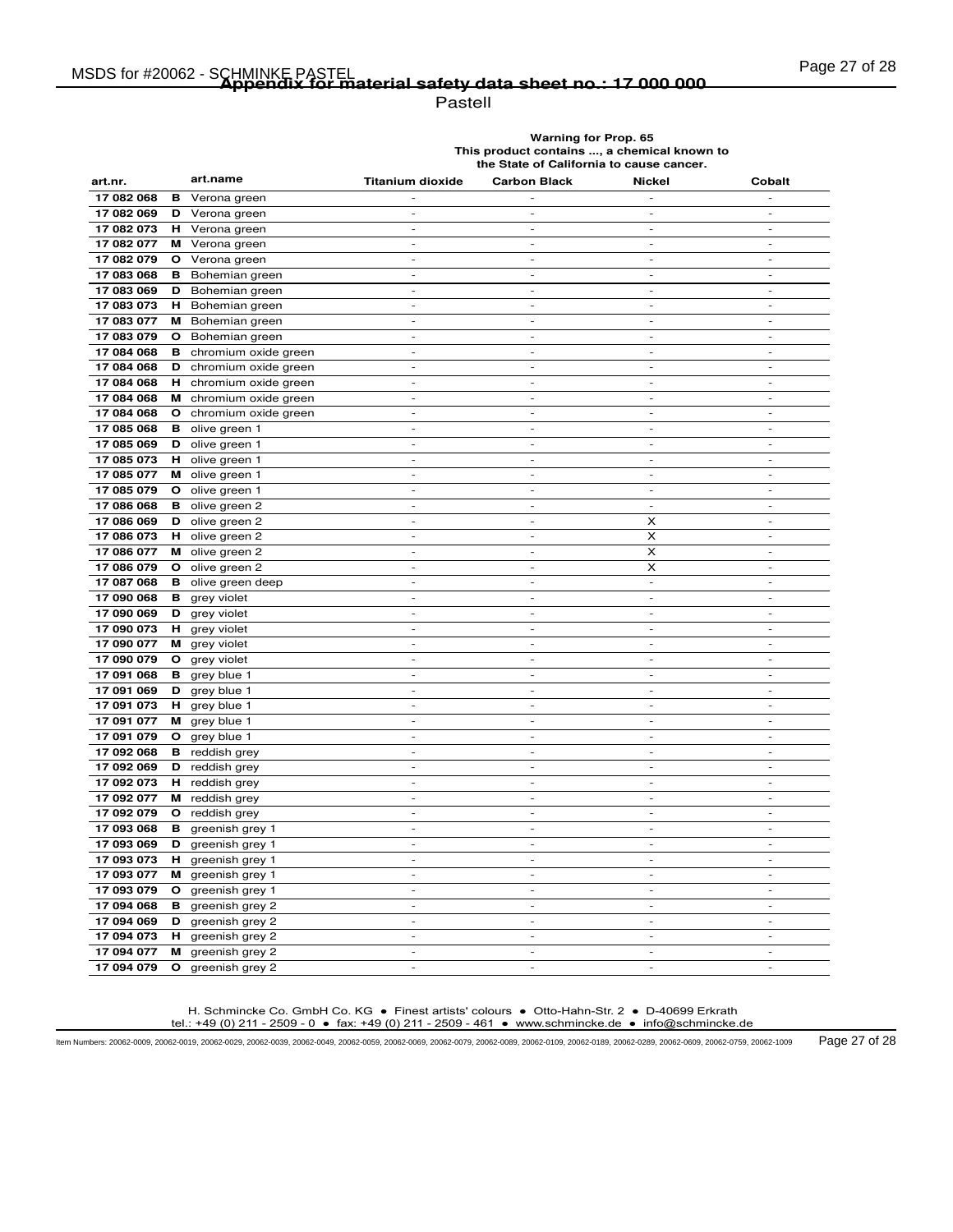# Page 27 of 28 MSDS for #20062 - SCHMINKE PASTEL **Appendix for material safety data sheet no.: 17 000 000**

Pastell

**Warning for Prop. 65 This product contains ..., a chemical known to the State of California to cause cancer.**

| art.nr.    |    | art.name             | <b>Titanium dioxide</b>                    | <b>Carbon Black</b>      | <b>Nickel</b>                | Cobalt                   |
|------------|----|----------------------|--------------------------------------------|--------------------------|------------------------------|--------------------------|
| 17 082 068 | в  | Verona green         |                                            |                          |                              | $\overline{a}$           |
| 17 082 069 | D  | Verona green         | $\overline{a}$                             | $\sim$                   | $\overline{\phantom{a}}$     | $\overline{a}$           |
| 17 082 073 | н. | Verona green         | $\overline{\phantom{a}}$                   | $\overline{\phantom{a}}$ | $\overline{\phantom{a}}$     | $\overline{\phantom{a}}$ |
| 17 082 077 | м  | Verona green         | $\overline{\phantom{a}}$                   | $\overline{\phantom{a}}$ | $\qquad \qquad \blacksquare$ | $\overline{\phantom{m}}$ |
| 17 082 079 | O  | Verona green         | $\sim$                                     | $\sim$                   | $\sim$                       | $\sim$                   |
| 17 083 068 | в  | Bohemian green       | $\overline{\phantom{a}}$                   | $\overline{\phantom{a}}$ | $\qquad \qquad \blacksquare$ | $\overline{\phantom{a}}$ |
| 17 083 069 | D  | Bohemian green       | $\overline{a}$                             | $\overline{a}$           | $\overline{a}$               | $\overline{a}$           |
| 17 083 073 | н  | Bohemian green       | $\sim$                                     | $\sim$                   | ÷,                           | $\sim$                   |
| 17 083 077 | м  | Bohemian green       | $\overline{a}$                             | $\overline{a}$           | $\overline{a}$               | $\overline{\phantom{a}}$ |
| 17 083 079 | O  | Bohemian green       | $\overline{\phantom{a}}$                   | $\overline{\phantom{a}}$ | $\overline{\phantom{a}}$     | $\sim$                   |
| 17 084 068 | в  | chromium oxide green | $\overline{a}$                             | $\overline{a}$           | $\overline{a}$               | $\overline{a}$           |
| 17 084 068 | D  | chromium oxide green | $\overline{\phantom{a}}$                   | $\overline{\phantom{a}}$ | $\overline{\phantom{a}}$     | $\sim$                   |
| 17 084 068 | н  | chromium oxide green | $\overline{\phantom{a}}$                   | $\overline{\phantom{a}}$ | $\overline{\phantom{a}}$     | $\overline{\phantom{a}}$ |
| 17 084 068 | м  | chromium oxide green | $\overline{\phantom{a}}$                   | $\overline{\phantom{m}}$ | $\qquad \qquad \blacksquare$ | $\overline{\phantom{a}}$ |
| 17 084 068 | О  | chromium oxide green | $\overline{\phantom{a}}$                   | $\overline{a}$           | $\overline{a}$               | $\overline{a}$           |
| 17 085 068 | в  | olive green 1        | $\sim$                                     | $\sim$                   | $\sim$                       | $\sim$                   |
| 17 085 069 | D  | olive green 1        | $\sim$                                     | $\overline{\phantom{a}}$ | $\overline{a}$               | $\overline{\phantom{a}}$ |
| 17 085 073 | н  | olive green 1        | $\overline{\phantom{a}}$                   | $\overline{\phantom{a}}$ | ÷,                           | $\overline{\phantom{a}}$ |
| 17 085 077 | м  | olive green 1        | $\overline{\phantom{a}}$                   | $\overline{\phantom{a}}$ | $\overline{\phantom{a}}$     | $\overline{\phantom{a}}$ |
| 17 085 079 | О  | olive green 1        | $\overline{\phantom{a}}$                   | $\sim$                   | $\overline{\phantom{a}}$     | $\overline{\phantom{a}}$ |
| 17 086 068 | в  | olive green 2        | $\overline{\phantom{a}}$                   | $\overline{\phantom{a}}$ | $\qquad \qquad \blacksquare$ | $\overline{\phantom{a}}$ |
| 17 086 069 | D  | olive green 2        | $\sim$                                     | ٠                        | X                            | $\overline{\phantom{a}}$ |
| 17 086 073 | н. | olive green 2        | $\sim$                                     | $\sim$                   | X                            | $\sim$                   |
| 17 086 077 |    | M olive green 2      | $\overline{\phantom{a}}$                   | $\overline{\phantom{a}}$ | X                            | $\overline{\phantom{a}}$ |
| 17 086 079 | O  | olive green 2        | $\overline{a}$                             | i,                       | X                            | $\overline{a}$           |
| 17 087 068 | в  | olive green deep     | $\overline{\phantom{a}}$                   | $\overline{\phantom{a}}$ | $\Box$                       | $\overline{\phantom{a}}$ |
| 17 090 068 | в  | grey violet          | $\overline{\phantom{a}}$                   | $\sim$                   | $\overline{\phantom{a}}$     | $\sim$                   |
| 17 090 069 | D  | grey violet          | $\overline{\phantom{a}}$                   | $\overline{\phantom{a}}$ | $\overline{\phantom{a}}$     | $\overline{\phantom{a}}$ |
| 17 090 073 | н  | grey violet          | $\overline{a}$                             | $\overline{a}$           | $\overline{a}$               | $\overline{\phantom{a}}$ |
| 17 090 077 | м  | grey violet          | $\overline{a}$                             | $\overline{a}$           | $\overline{a}$               | $\overline{a}$           |
| 17 090 079 | О  | grey violet          | $\overline{\phantom{a}}$                   | $\overline{\phantom{a}}$ | $\overline{\phantom{a}}$     | $\overline{\phantom{a}}$ |
| 17 091 068 | в  | grey blue 1          | $\overline{\phantom{a}}$                   | $\overline{\phantom{a}}$ | $\overline{a}$               | ÷,                       |
| 17 091 069 | D  | grey blue 1          | $\overline{\phantom{a}}$                   | $\blacksquare$           | $\overline{\phantom{a}}$     | $\blacksquare$           |
| 17 091 073 | н  | grey blue 1          | $\overline{\phantom{a}}$                   | $\overline{\phantom{a}}$ | $\overline{\phantom{a}}$     | $\sim$                   |
| 17 091 077 | м  | grey blue 1          | $\overline{\phantom{a}}$                   | $\sim$                   | $\sim$                       | $\overline{\phantom{a}}$ |
| 17 091 079 | O  | grey blue 1          |                                            |                          |                              |                          |
| 17 092 068 | в  | reddish grey         | $\overline{a}$                             | $\overline{a}$           | $\overline{a}$               | $\overline{a}$           |
| 17 092 069 | D  | reddish grey         | $\sim$                                     | $\sim$                   | $\overline{a}$               | $\sim$                   |
| 17 092 073 | н. | reddish grey         | $\overline{\phantom{a}}$                   | $\overline{\phantom{a}}$ | $\overline{a}$               | $\overline{\phantom{a}}$ |
| 17 092 077 | м  | reddish grey         | $\overline{\phantom{a}}$                   | $\overline{\phantom{a}}$ | $\overline{\phantom{m}}$     | $\frac{1}{2}$            |
| 17 092 079 | O  | reddish grey         | $\overline{\phantom{a}}$                   | $\sim$                   | $\overline{a}$               | $\sim$                   |
| 17 093 068 | в  | greenish grey 1      | $\equiv$                                   | $\overline{\phantom{a}}$ | $\blacksquare$               | $\blacksquare$           |
| 17 093 069 | D  | greenish grey 1      | $\overline{\phantom{a}}$                   | $\overline{\phantom{a}}$ | $\qquad \qquad \blacksquare$ | $\overline{\phantom{a}}$ |
| 17 093 073 | н  | greenish grey 1      | $\overline{\phantom{a}}$                   | $\overline{\phantom{a}}$ | $\overline{a}$               | $\overline{\phantom{a}}$ |
| 17 093 077 | м  | greenish grey 1      | $\overline{\phantom{a}}$                   | $\overline{\phantom{a}}$ | $\overline{\phantom{a}}$     | $\overline{\phantom{a}}$ |
| 17 093 079 | O  | greenish grey 1      | $\overline{\phantom{a}}$                   | $\overline{\phantom{a}}$ | $\overline{\phantom{a}}$     | $\overline{\phantom{a}}$ |
| 17 094 068 | в  | greenish grey 2      | $\overline{a}$                             | $\overline{a}$           | $\overline{a}$               | $\overline{a}$           |
| 17 094 069 | D  | greenish grey 2      | $\overline{\phantom{a}}$                   | $\sim$                   | $\overline{a}$               | $\sim$                   |
| 17 094 073 | н. | greenish grey 2      | $\mathcal{L}_{\mathcal{A}}$                | $\sim$                   | $\overline{\phantom{a}}$     | $\sim$                   |
| 17 094 077 | м  | greenish grey 2      | $\overline{\phantom{a}}$<br>$\overline{a}$ | $\overline{\phantom{a}}$ | $\overline{\phantom{a}}$     | $\overline{\phantom{a}}$ |
| 17 094 079 | O  | greenish grey 2      |                                            |                          |                              |                          |

H. Schmincke Co. GmbH Co. KG ● Finest artists' colours ● Otto-Hahn-Str. 2 ● D-40699 Erkrath tel.: +49 (0) 211 - 2509 - 0 ● fax: +49 (0) 211 - 2509 - 461 ● www.schmincke.de ● info@schmincke.de

Item Numbers: 20062-0009, 20062-0019, 20062-0029, 20062-0039, 20062-0049, 20062-0059, 20062-0069, 20062-0079, 20062-0089, 20062-0109, 20062-0189, 20062-0289, 20062-0609, 20062-0759, 20062-1009 Page 27 of 28